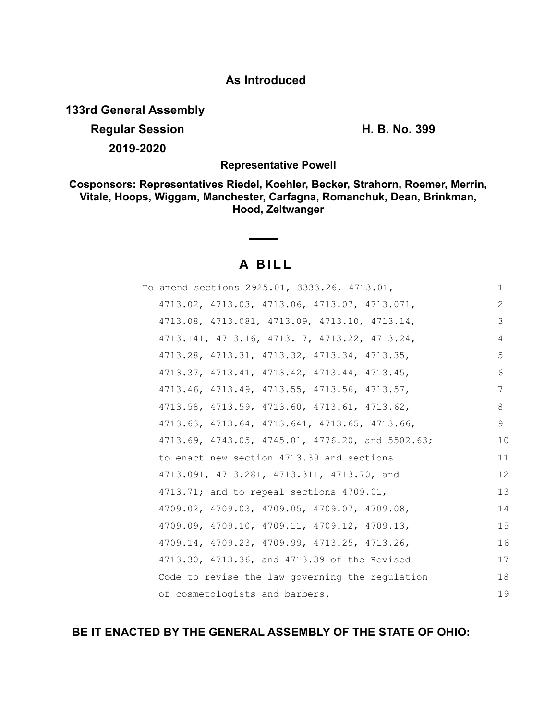## **As Introduced**

**133rd General Assembly**

**Regular Session H. B. No. 399 2019-2020**

**Representative Powell**

**Cosponsors: Representatives Riedel, Koehler, Becker, Strahorn, Roemer, Merrin, Vitale, Hoops, Wiggam, Manchester, Carfagna, Romanchuk, Dean, Brinkman, Hood, Zeltwanger**

# **A B I L L**

| To amend sections 2925.01, 3333.26, 4713.01,   |  |                                                  | $\mathbf 1$ |
|------------------------------------------------|--|--------------------------------------------------|-------------|
|                                                |  | 4713.02, 4713.03, 4713.06, 4713.07, 4713.071,    | 2           |
|                                                |  | 4713.08, 4713.081, 4713.09, 4713.10, 4713.14,    | 3           |
|                                                |  | 4713.141, 4713.16, 4713.17, 4713.22, 4713.24,    | 4           |
| 4713.28, 4713.31, 4713.32, 4713.34, 4713.35,   |  |                                                  | 5           |
| 4713.37, 4713.41, 4713.42, 4713.44, 4713.45,   |  |                                                  | 6           |
| 4713.46, 4713.49, 4713.55, 4713.56, 4713.57,   |  |                                                  | 7           |
| 4713.58, 4713.59, 4713.60, 4713.61, 4713.62,   |  |                                                  | 8           |
|                                                |  | 4713.63, 4713.64, 4713.641, 4713.65, 4713.66,    | 9           |
|                                                |  | 4713.69, 4743.05, 4745.01, 4776.20, and 5502.63; | 10          |
| to enact new section 4713.39 and sections      |  |                                                  | 11          |
| 4713.091, 4713.281, 4713.311, 4713.70, and     |  |                                                  | 12          |
| $4713.71$ ; and to repeal sections $4709.01$ , |  |                                                  | 13          |
| 4709.02, 4709.03, 4709.05, 4709.07, 4709.08,   |  |                                                  | 14          |
| 4709.09, 4709.10, 4709.11, 4709.12, 4709.13,   |  |                                                  | 15          |
| 4709.14, 4709.23, 4709.99, 4713.25, 4713.26,   |  |                                                  | 16          |
| 4713.30, 4713.36, and 4713.39 of the Revised   |  |                                                  | 17          |
|                                                |  | Code to revise the law governing the regulation  | 18          |
| of cosmetologists and barbers.                 |  |                                                  | 19          |

**BE IT ENACTED BY THE GENERAL ASSEMBLY OF THE STATE OF OHIO:**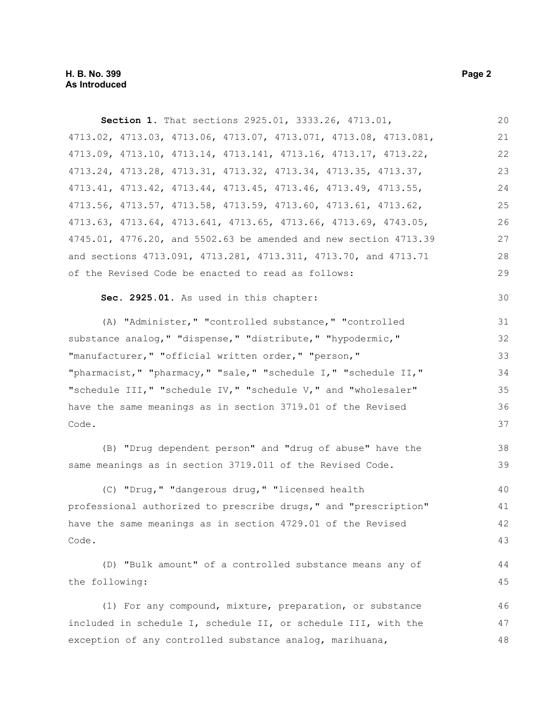**Section 1.** That sections 2925.01, 3333.26, 4713.01, 4713.02, 4713.03, 4713.06, 4713.07, 4713.071, 4713.08, 4713.081, 4713.09, 4713.10, 4713.14, 4713.141, 4713.16, 4713.17, 4713.22, 4713.24, 4713.28, 4713.31, 4713.32, 4713.34, 4713.35, 4713.37, 4713.41, 4713.42, 4713.44, 4713.45, 4713.46, 4713.49, 4713.55, 4713.56, 4713.57, 4713.58, 4713.59, 4713.60, 4713.61, 4713.62, 4713.63, 4713.64, 4713.641, 4713.65, 4713.66, 4713.69, 4743.05, 4745.01, 4776.20, and 5502.63 be amended and new section 4713.39 and sections 4713.091, 4713.281, 4713.311, 4713.70, and 4713.71 of the Revised Code be enacted to read as follows: **Sec. 2925.01.** As used in this chapter: (A) "Administer," "controlled substance," "controlled substance analog," "dispense," "distribute," "hypodermic," "manufacturer," "official written order," "person," "pharmacist," "pharmacy," "sale," "schedule I," "schedule II," "schedule III," "schedule IV," "schedule V," and "wholesaler" have the same meanings as in section 3719.01 of the Revised Code. (B) "Drug dependent person" and "drug of abuse" have the same meanings as in section 3719.011 of the Revised Code. (C) "Drug," "dangerous drug," "licensed health professional authorized to prescribe drugs," and "prescription" have the same meanings as in section 4729.01 of the Revised Code. (D) "Bulk amount" of a controlled substance means any of the following: (1) For any compound, mixture, preparation, or substance included in schedule I, schedule II, or schedule III, with the exception of any controlled substance analog, marihuana, 20 21 22 23 24 25 26 27 28 29 30 31 32 33 34 35 36 37 38 39 40 41 42 43 44 45 46 47 48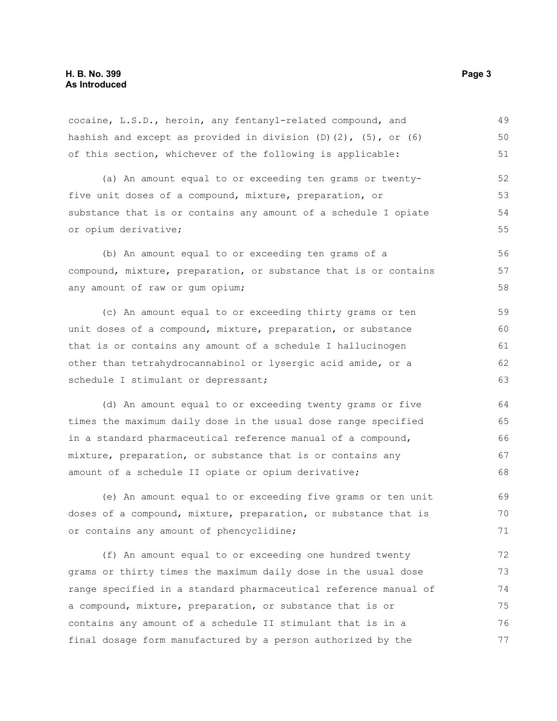cocaine, L.S.D., heroin, any fentanyl-related compound, and hashish and except as provided in division  $(D)(2)$ ,  $(5)$ , or  $(6)$ of this section, whichever of the following is applicable: 50

(a) An amount equal to or exceeding ten grams or twentyfive unit doses of a compound, mixture, preparation, or substance that is or contains any amount of a schedule I opiate or opium derivative; 52 53 54 55

(b) An amount equal to or exceeding ten grams of a compound, mixture, preparation, or substance that is or contains any amount of raw or gum opium; 56 57 58

(c) An amount equal to or exceeding thirty grams or ten unit doses of a compound, mixture, preparation, or substance that is or contains any amount of a schedule I hallucinogen other than tetrahydrocannabinol or lysergic acid amide, or a schedule I stimulant or depressant; 59 60 61 62 63

(d) An amount equal to or exceeding twenty grams or five times the maximum daily dose in the usual dose range specified in a standard pharmaceutical reference manual of a compound, mixture, preparation, or substance that is or contains any amount of a schedule II opiate or opium derivative; 64 65 66 67 68

(e) An amount equal to or exceeding five grams or ten unit doses of a compound, mixture, preparation, or substance that is or contains any amount of phencyclidine; 69 70 71

(f) An amount equal to or exceeding one hundred twenty grams or thirty times the maximum daily dose in the usual dose range specified in a standard pharmaceutical reference manual of a compound, mixture, preparation, or substance that is or contains any amount of a schedule II stimulant that is in a final dosage form manufactured by a person authorized by the 72 73 74 75 76 77

49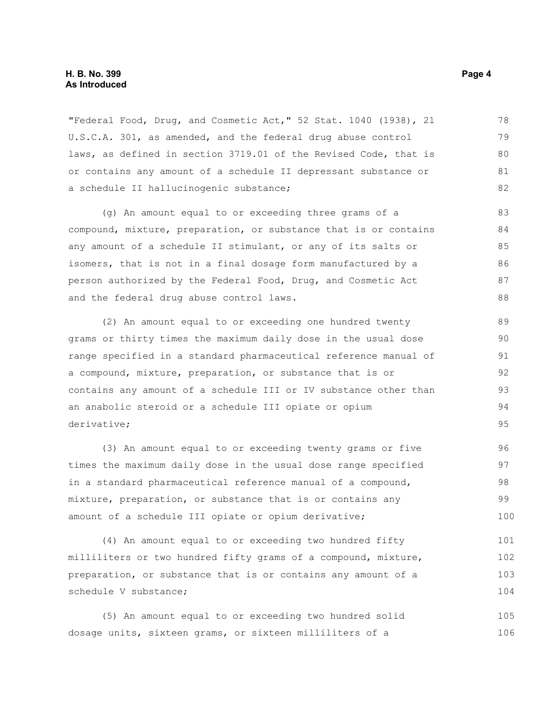#### **H. B. No. 399 Page 4 As Introduced**

"Federal Food, Drug, and Cosmetic Act," 52 Stat. 1040 (1938), 21 U.S.C.A. 301, as amended, and the federal drug abuse control laws, as defined in section 3719.01 of the Revised Code, that is or contains any amount of a schedule II depressant substance or a schedule II hallucinogenic substance; 78 79 80 81 82

(g) An amount equal to or exceeding three grams of a compound, mixture, preparation, or substance that is or contains any amount of a schedule II stimulant, or any of its salts or isomers, that is not in a final dosage form manufactured by a person authorized by the Federal Food, Drug, and Cosmetic Act and the federal drug abuse control laws.

(2) An amount equal to or exceeding one hundred twenty grams or thirty times the maximum daily dose in the usual dose range specified in a standard pharmaceutical reference manual of a compound, mixture, preparation, or substance that is or contains any amount of a schedule III or IV substance other than an anabolic steroid or a schedule III opiate or opium derivative; 89 90 91 92

(3) An amount equal to or exceeding twenty grams or five times the maximum daily dose in the usual dose range specified in a standard pharmaceutical reference manual of a compound, mixture, preparation, or substance that is or contains any amount of a schedule III opiate or opium derivative; 96 97 98 99 100

(4) An amount equal to or exceeding two hundred fifty milliliters or two hundred fifty grams of a compound, mixture, preparation, or substance that is or contains any amount of a schedule V substance; 101 102 103 104

(5) An amount equal to or exceeding two hundred solid dosage units, sixteen grams, or sixteen milliliters of a 105 106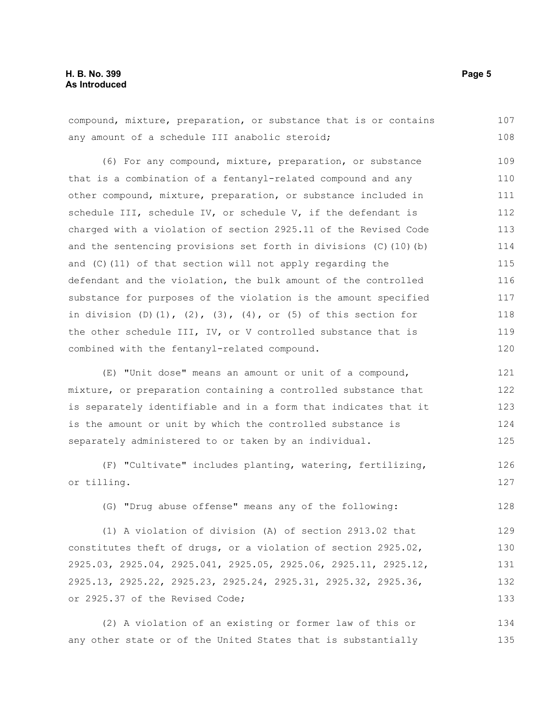compound, mixture, preparation, or substance that is or contains any amount of a schedule III anabolic steroid; 107 108

(6) For any compound, mixture, preparation, or substance that is a combination of a fentanyl-related compound and any other compound, mixture, preparation, or substance included in schedule III, schedule IV, or schedule V, if the defendant is charged with a violation of section 2925.11 of the Revised Code and the sentencing provisions set forth in divisions (C)(10)(b) and (C)(11) of that section will not apply regarding the defendant and the violation, the bulk amount of the controlled substance for purposes of the violation is the amount specified in division  $(D)$   $(1)$ ,  $(2)$ ,  $(3)$ ,  $(4)$ , or  $(5)$  of this section for the other schedule III, IV, or V controlled substance that is combined with the fentanyl-related compound. 109 110 111 112 113 114 115 116 117 118 119 120

(E) "Unit dose" means an amount or unit of a compound, mixture, or preparation containing a controlled substance that is separately identifiable and in a form that indicates that it is the amount or unit by which the controlled substance is separately administered to or taken by an individual. 121 122 123 124 125

(F) "Cultivate" includes planting, watering, fertilizing, or tilling.

(G) "Drug abuse offense" means any of the following:

(1) A violation of division (A) of section 2913.02 that constitutes theft of drugs, or a violation of section 2925.02, 2925.03, 2925.04, 2925.041, 2925.05, 2925.06, 2925.11, 2925.12, 2925.13, 2925.22, 2925.23, 2925.24, 2925.31, 2925.32, 2925.36, or 2925.37 of the Revised Code; 129 130 131 132 133

(2) A violation of an existing or former law of this or any other state or of the United States that is substantially 134 135

126 127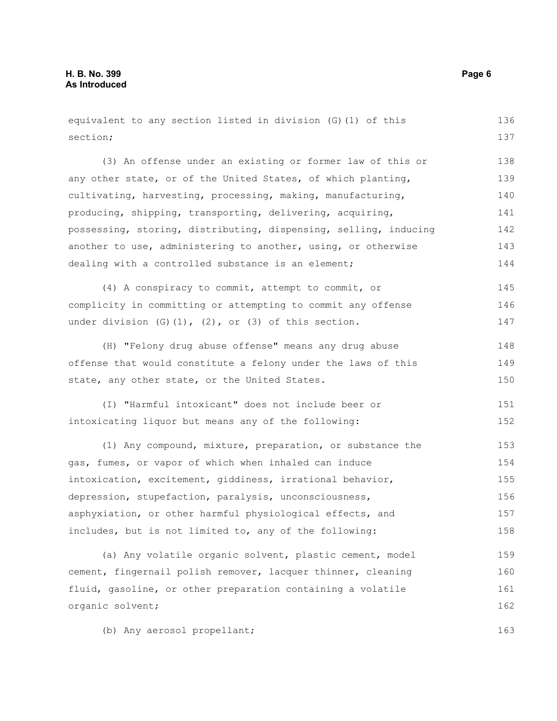equivalent to any section listed in division (G)(1) of this section; 136 137

(3) An offense under an existing or former law of this or any other state, or of the United States, of which planting, cultivating, harvesting, processing, making, manufacturing, producing, shipping, transporting, delivering, acquiring, possessing, storing, distributing, dispensing, selling, inducing another to use, administering to another, using, or otherwise dealing with a controlled substance is an element; 138 139 140 141 142 143 144

(4) A conspiracy to commit, attempt to commit, or complicity in committing or attempting to commit any offense under division  $(G)$ (1),  $(2)$ , or  $(3)$  of this section. 145 146 147

(H) "Felony drug abuse offense" means any drug abuse offense that would constitute a felony under the laws of this state, any other state, or the United States. 148 149 150

(I) "Harmful intoxicant" does not include beer or intoxicating liquor but means any of the following: 151 152

(1) Any compound, mixture, preparation, or substance the gas, fumes, or vapor of which when inhaled can induce intoxication, excitement, giddiness, irrational behavior, depression, stupefaction, paralysis, unconsciousness, asphyxiation, or other harmful physiological effects, and includes, but is not limited to, any of the following: 153 154 155 156 157 158

(a) Any volatile organic solvent, plastic cement, model cement, fingernail polish remover, lacquer thinner, cleaning fluid, gasoline, or other preparation containing a volatile organic solvent; 159 160 161 162

(b) Any aerosol propellant;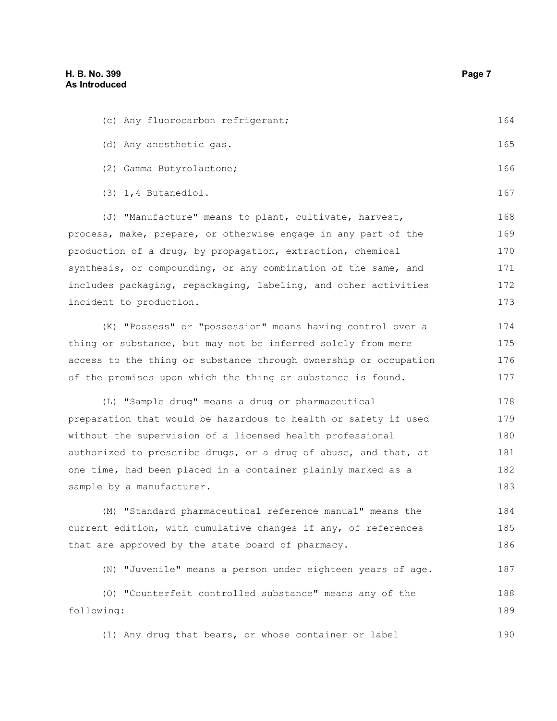| (c) Any fluorocarbon refrigerant;                              | 164 |
|----------------------------------------------------------------|-----|
| (d) Any anesthetic gas.                                        | 165 |
| (2) Gamma Butyrolactone;                                       | 166 |
| $(3)$ 1,4 Butanediol.                                          | 167 |
| (J) "Manufacture" means to plant, cultivate, harvest,          | 168 |
| process, make, prepare, or otherwise engage in any part of the | 169 |
| production of a drug, by propagation, extraction, chemical     | 170 |
| synthesis, or compounding, or any combination of the same, and | 171 |

includes packaging, repackaging, labeling, and other activities incident to production. 172 173

(K) "Possess" or "possession" means having control over a thing or substance, but may not be inferred solely from mere access to the thing or substance through ownership or occupation of the premises upon which the thing or substance is found. 174 175 176 177

(L) "Sample drug" means a drug or pharmaceutical preparation that would be hazardous to health or safety if used without the supervision of a licensed health professional authorized to prescribe drugs, or a drug of abuse, and that, at one time, had been placed in a container plainly marked as a sample by a manufacturer. 178 179 180 181 182 183

(M) "Standard pharmaceutical reference manual" means the current edition, with cumulative changes if any, of references that are approved by the state board of pharmacy. 184 185 186

(N) "Juvenile" means a person under eighteen years of age. 187

(O) "Counterfeit controlled substance" means any of the following: 188 189

(1) Any drug that bears, or whose container or label 190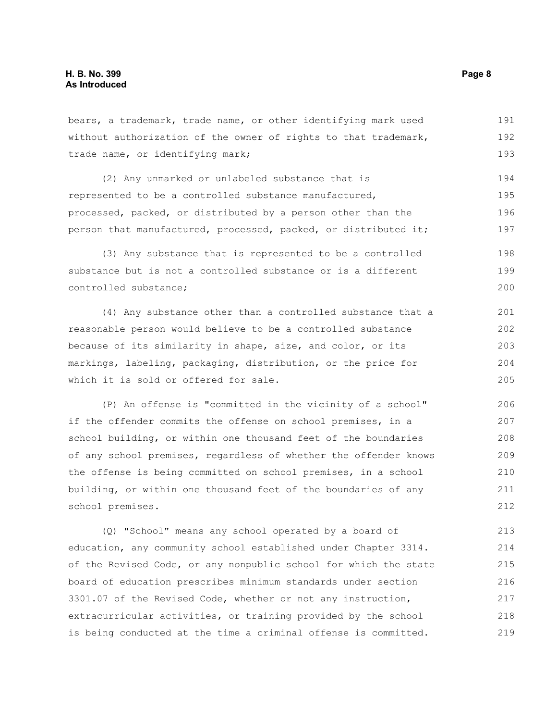bears, a trademark, trade name, or other identifying mark used without authorization of the owner of rights to that trademark, trade name, or identifying mark; 191 192 193

(2) Any unmarked or unlabeled substance that is represented to be a controlled substance manufactured, processed, packed, or distributed by a person other than the person that manufactured, processed, packed, or distributed it; 194 195 196 197

(3) Any substance that is represented to be a controlled substance but is not a controlled substance or is a different controlled substance; 198 199 200

(4) Any substance other than a controlled substance that a reasonable person would believe to be a controlled substance because of its similarity in shape, size, and color, or its markings, labeling, packaging, distribution, or the price for which it is sold or offered for sale.

(P) An offense is "committed in the vicinity of a school" if the offender commits the offense on school premises, in a school building, or within one thousand feet of the boundaries of any school premises, regardless of whether the offender knows the offense is being committed on school premises, in a school building, or within one thousand feet of the boundaries of any school premises. 206 207 208 209 210 211 212

(Q) "School" means any school operated by a board of education, any community school established under Chapter 3314. of the Revised Code, or any nonpublic school for which the state board of education prescribes minimum standards under section 3301.07 of the Revised Code, whether or not any instruction, extracurricular activities, or training provided by the school is being conducted at the time a criminal offense is committed. 213 214 215 216 217 218 219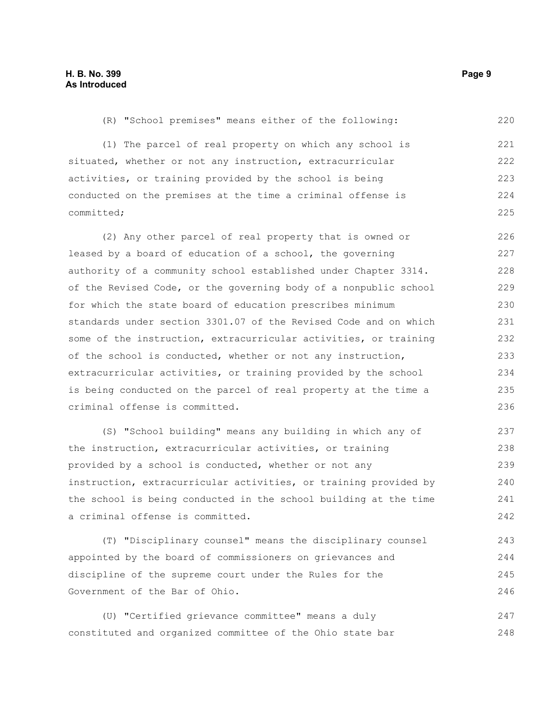(R) "School premises" means either of the following: (1) The parcel of real property on which any school is situated, whether or not any instruction, extracurricular activities, or training provided by the school is being conducted on the premises at the time a criminal offense is committed; (2) Any other parcel of real property that is owned or leased by a board of education of a school, the governing authority of a community school established under Chapter 3314. of the Revised Code, or the governing body of a nonpublic school for which the state board of education prescribes minimum standards under section 3301.07 of the Revised Code and on which some of the instruction, extracurricular activities, or training of the school is conducted, whether or not any instruction, 220 221 222 223 224 225 226 227 228 229 230 231 232 233

extracurricular activities, or training provided by the school is being conducted on the parcel of real property at the time a criminal offense is committed. 234 235 236

(S) "School building" means any building in which any of the instruction, extracurricular activities, or training provided by a school is conducted, whether or not any instruction, extracurricular activities, or training provided by the school is being conducted in the school building at the time a criminal offense is committed. 237 238 239 240 241 242

(T) "Disciplinary counsel" means the disciplinary counsel appointed by the board of commissioners on grievances and discipline of the supreme court under the Rules for the Government of the Bar of Ohio. 243 244 245 246

(U) "Certified grievance committee" means a duly constituted and organized committee of the Ohio state bar 247 248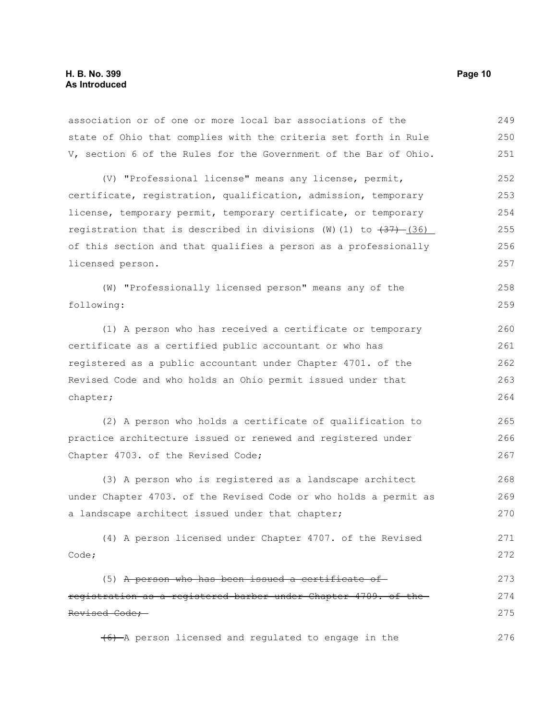association or of one or more local bar associations of the state of Ohio that complies with the criteria set forth in Rule V, section 6 of the Rules for the Government of the Bar of Ohio. 249 250 251

(V) "Professional license" means any license, permit, certificate, registration, qualification, admission, temporary license, temporary permit, temporary certificate, or temporary registration that is described in divisions (W)(1) to  $\left(37\right)$  (36) of this section and that qualifies a person as a professionally licensed person. 252 253 254 255 256 257

(W) "Professionally licensed person" means any of the following:

(1) A person who has received a certificate or temporary certificate as a certified public accountant or who has registered as a public accountant under Chapter 4701. of the Revised Code and who holds an Ohio permit issued under that chapter; 260 261 262 263 264

(2) A person who holds a certificate of qualification to practice architecture issued or renewed and registered under Chapter 4703. of the Revised Code; 265 266 267

(3) A person who is registered as a landscape architect under Chapter 4703. of the Revised Code or who holds a permit as a landscape architect issued under that chapter; 268 269 270

(4) A person licensed under Chapter 4707. of the Revised Code; 271 272

(5) A person who has been issued a certificate of registration as a registered barber under Chapter 4709. of the Revised Code: 273 274 275

(6) A person licensed and regulated to engage in the 276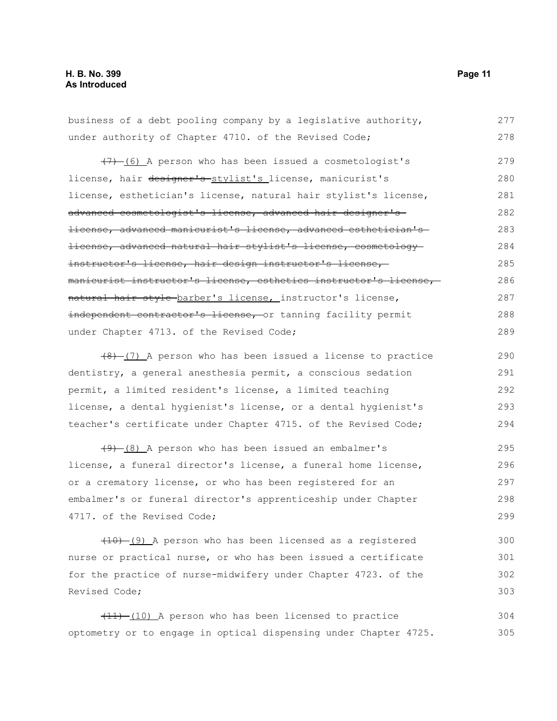business of a debt pooling company by a legislative authority, under authority of Chapter 4710. of the Revised Code; (7) (6) A person who has been issued a cosmetologist's license, hair designer's stylist's license, manicurist's license, esthetician's license, natural hair stylist's license, advanced cosmetologist's license, advanced hair designer's license, advanced manicurist's license, advanced esthetician's license, advanced natural hair stylist's license, cosmetology instructor's license, hair design instructor's license, manicurist instructor's license, esthetics instructor's license, natural hair style barber's license, instructor's license, independent contractor's license, or tanning facility permit under Chapter 4713. of the Revised Code;  $(8)$   $(7)$  A person who has been issued a license to practice dentistry, a general anesthesia permit, a conscious sedation permit, a limited resident's license, a limited teaching 277 278 279 280 281 282 283 284 285 286 287 288 289 290 291 292

license, a dental hygienist's license, or a dental hygienist's teacher's certificate under Chapter 4715. of the Revised Code; 293 294

(9) (8) A person who has been issued an embalmer's license, a funeral director's license, a funeral home license, or a crematory license, or who has been registered for an embalmer's or funeral director's apprenticeship under Chapter 4717. of the Revised Code; 295 296 297 298 299

(10) (9) A person who has been licensed as a registered nurse or practical nurse, or who has been issued a certificate for the practice of nurse-midwifery under Chapter 4723. of the Revised Code; 300 301 302 303

 $(11)$   $(10)$  A person who has been licensed to practice optometry or to engage in optical dispensing under Chapter 4725. 304 305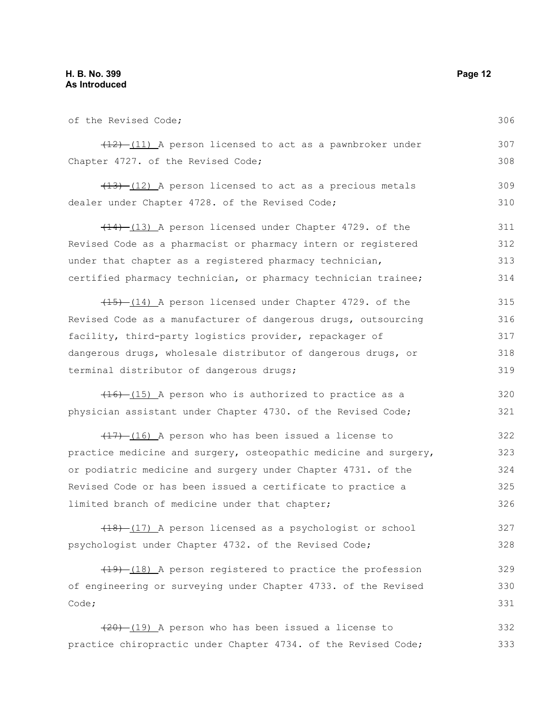of the Revised Code; (12) (11) A person licensed to act as a pawnbroker under Chapter 4727. of the Revised Code; (13) (12) A person licensed to act as a precious metals dealer under Chapter 4728. of the Revised Code;  $(14)$  (13) A person licensed under Chapter 4729. of the Revised Code as a pharmacist or pharmacy intern or registered under that chapter as a registered pharmacy technician, certified pharmacy technician, or pharmacy technician trainee; (15) (14) A person licensed under Chapter 4729. of the Revised Code as a manufacturer of dangerous drugs, outsourcing facility, third-party logistics provider, repackager of dangerous drugs, wholesale distributor of dangerous drugs, or terminal distributor of dangerous drugs;  $(16)$   $(15)$  A person who is authorized to practice as a physician assistant under Chapter 4730. of the Revised Code;  $(17)$   $(16)$  A person who has been issued a license to practice medicine and surgery, osteopathic medicine and surgery, or podiatric medicine and surgery under Chapter 4731. of the Revised Code or has been issued a certificate to practice a limited branch of medicine under that chapter; (18) (17) A person licensed as a psychologist or school psychologist under Chapter 4732. of the Revised Code; (19) (18) A person registered to practice the profession of engineering or surveying under Chapter 4733. of the Revised Code;  $(20)$  (19) A person who has been issued a license to 306 307 308 309 310 311 312 313 314 315 316 317 318 319 320 321 322 323 324 325 326 327 328 329 330 331 332

practice chiropractic under Chapter 4734. of the Revised Code;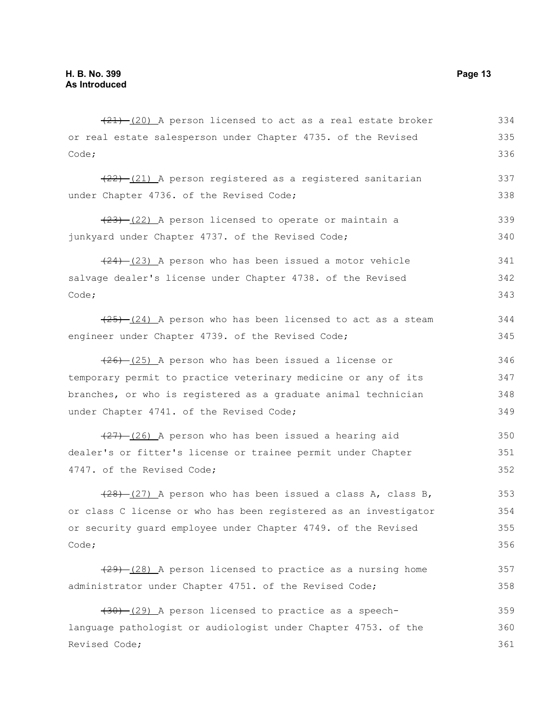| $(21)$ $(20)$ A person licensed to act as a real estate broker            | 334 |
|---------------------------------------------------------------------------|-----|
| or real estate salesperson under Chapter 4735. of the Revised             | 335 |
| Code;                                                                     | 336 |
| $\frac{22}{2}$ (21) A person registered as a registered sanitarian        | 337 |
| under Chapter 4736. of the Revised Code;                                  | 338 |
| $(23)$ $(22)$ A person licensed to operate or maintain a                  | 339 |
| junkyard under Chapter 4737. of the Revised Code;                         | 340 |
| $(24)$ $(23)$ A person who has been issued a motor vehicle                | 341 |
| salvage dealer's license under Chapter 4738. of the Revised               | 342 |
| Code;                                                                     | 343 |
| $\overline{(25)}$ $(24)$ A person who has been licensed to act as a steam | 344 |
| engineer under Chapter 4739. of the Revised Code;                         | 345 |
| $(26)$ $(25)$ A person who has been issued a license or                   | 346 |
| temporary permit to practice veterinary medicine or any of its            | 347 |
| branches, or who is registered as a graduate animal technician            |     |
| under Chapter 4741. of the Revised Code;                                  | 349 |
| $(27)$ $(26)$ A person who has been issued a hearing aid                  | 350 |
| dealer's or fitter's license or trainee permit under Chapter              | 351 |
| 4747. of the Revised Code;                                                | 352 |
| $(28)$ (27) A person who has been issued a class A, class B,              | 353 |
| or class C license or who has been registered as an investigator          | 354 |
| or security guard employee under Chapter 4749. of the Revised             | 355 |
| Code;                                                                     | 356 |
| $(29)$ $(28)$ A person licensed to practice as a nursing home             | 357 |
| administrator under Chapter 4751. of the Revised Code;                    | 358 |
| $(30)$ (29) A person licensed to practice as a speech-                    | 359 |
| language pathologist or audiologist under Chapter 4753. of the            | 360 |
| Revised Code;                                                             | 361 |
|                                                                           |     |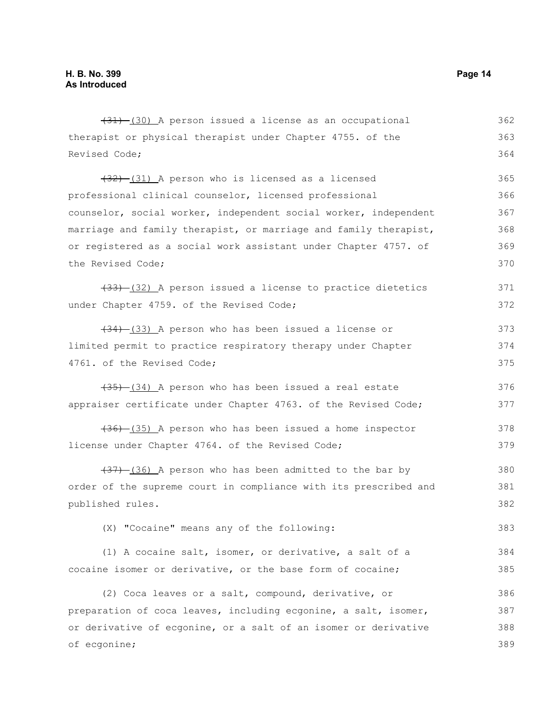(31) (30) A person issued a license as an occupational therapist or physical therapist under Chapter 4755. of the Revised Code; (32) (31) A person who is licensed as a licensed professional clinical counselor, licensed professional counselor, social worker, independent social worker, independent marriage and family therapist, or marriage and family therapist, or registered as a social work assistant under Chapter 4757. of the Revised Code;  $(33)$  (32) A person issued a license to practice dietetics under Chapter 4759. of the Revised Code;  $(34)$   $(33)$  A person who has been issued a license or limited permit to practice respiratory therapy under Chapter 4761. of the Revised Code; (35) (34) A person who has been issued a real estate appraiser certificate under Chapter 4763. of the Revised Code;  $(36)$   $(35)$  A person who has been issued a home inspector license under Chapter 4764. of the Revised Code;  $(37)$   $(36)$  A person who has been admitted to the bar by order of the supreme court in compliance with its prescribed and published rules. (X) "Cocaine" means any of the following: (1) A cocaine salt, isomer, or derivative, a salt of a cocaine isomer or derivative, or the base form of cocaine; (2) Coca leaves or a salt, compound, derivative, or preparation of coca leaves, including ecgonine, a salt, isomer, or derivative of ecgonine, or a salt of an isomer or derivative of ecgonine; 362 363 364 365 366 367 368 369 370 371 372 373 374 375 376 377 378 379 380 381 382 383 384 385 386 387 388 389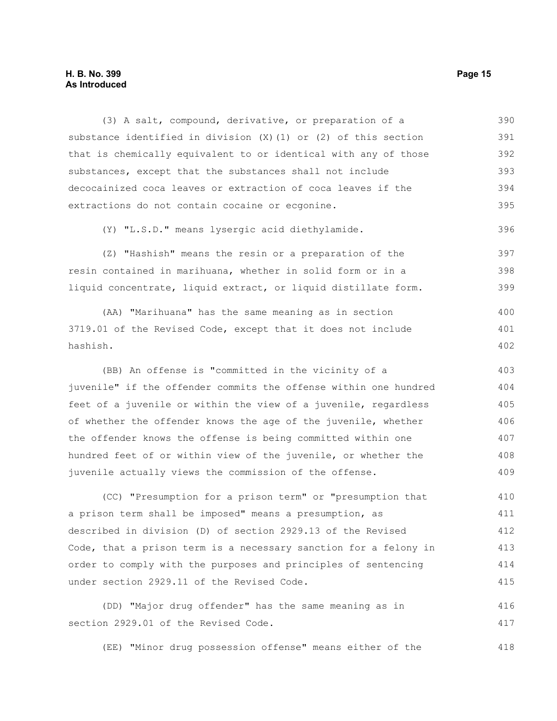#### **H. B. No. 399 Page 15 As Introduced**

(3) A salt, compound, derivative, or preparation of a substance identified in division (X)(1) or (2) of this section that is chemically equivalent to or identical with any of those substances, except that the substances shall not include decocainized coca leaves or extraction of coca leaves if the extractions do not contain cocaine or ecgonine. 390 391 392 393 394 395

(Y) "L.S.D." means lysergic acid diethylamide.

(Z) "Hashish" means the resin or a preparation of the resin contained in marihuana, whether in solid form or in a liquid concentrate, liquid extract, or liquid distillate form. 397 398 399

(AA) "Marihuana" has the same meaning as in section 3719.01 of the Revised Code, except that it does not include hashish. 400 401 402

(BB) An offense is "committed in the vicinity of a juvenile" if the offender commits the offense within one hundred feet of a juvenile or within the view of a juvenile, regardless of whether the offender knows the age of the juvenile, whether the offender knows the offense is being committed within one hundred feet of or within view of the juvenile, or whether the juvenile actually views the commission of the offense. 403 404 405 406 407 408 409

(CC) "Presumption for a prison term" or "presumption that a prison term shall be imposed" means a presumption, as described in division (D) of section 2929.13 of the Revised Code, that a prison term is a necessary sanction for a felony in order to comply with the purposes and principles of sentencing under section 2929.11 of the Revised Code. 410 411 412 413 414 415

(DD) "Major drug offender" has the same meaning as in section 2929.01 of the Revised Code. 416 417

(EE) "Minor drug possession offense" means either of the 418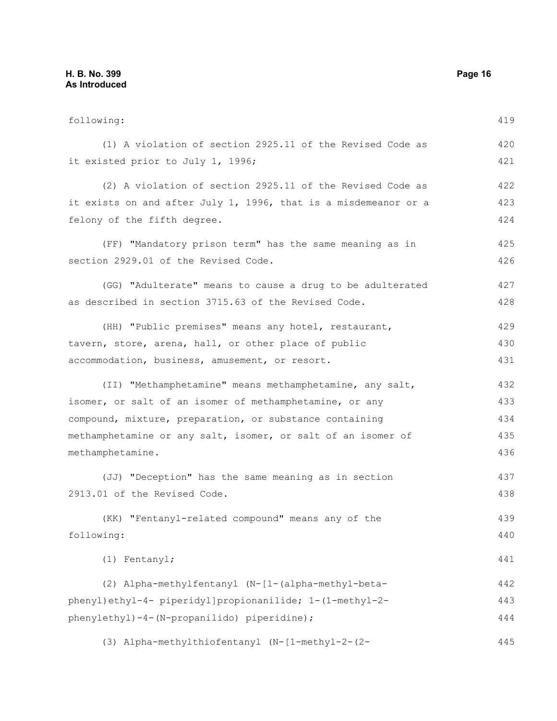| following:                                                      | 419 |
|-----------------------------------------------------------------|-----|
| (1) A violation of section 2925.11 of the Revised Code as       | 420 |
| it existed prior to July 1, 1996;                               | 421 |
| (2) A violation of section 2925.11 of the Revised Code as       | 422 |
| it exists on and after July 1, 1996, that is a misdemeanor or a | 423 |
| felony of the fifth degree.                                     | 424 |
| (FF) "Mandatory prison term" has the same meaning as in         | 425 |
| section 2929.01 of the Revised Code.                            | 426 |
| (GG) "Adulterate" means to cause a drug to be adulterated       | 427 |
| as described in section 3715.63 of the Revised Code.            | 428 |
| (HH) "Public premises" means any hotel, restaurant,             | 429 |
| tavern, store, arena, hall, or other place of public            | 430 |
| accommodation, business, amusement, or resort.                  | 431 |
| (II) "Methamphetamine" means methamphetamine, any salt,         | 432 |
| isomer, or salt of an isomer of methamphetamine, or any         | 433 |
| compound, mixture, preparation, or substance containing         | 434 |
| methamphetamine or any salt, isomer, or salt of an isomer of    | 435 |
| methamphetamine.                                                | 436 |
| (JJ) "Deception" has the same meaning as in section             | 437 |
| 2913.01 of the Revised Code.                                    | 438 |
| (KK) "Fentanyl-related compound" means any of the               | 439 |
| following:                                                      | 440 |
| $(1)$ Fentanyl;                                                 | 441 |
| (2) Alpha-methylfentanyl (N-[1-(alpha-methyl-beta-              | 442 |
| phenyl)ethyl-4- piperidyl]propionanilide; 1-(1-methyl-2-        | 443 |
| phenylethyl)-4-(N-propanilido) piperidine);                     | 444 |
| (3) Alpha-methylthiofentanyl (N-[1-methyl-2-(2-                 | 445 |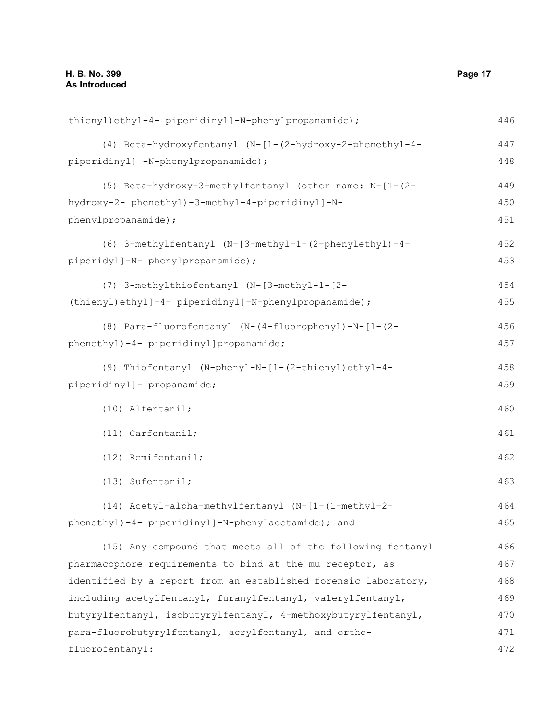| thienyl)ethyl-4- piperidinyl]-N-phenylpropanamide);             | 446 |
|-----------------------------------------------------------------|-----|
| (4) Beta-hydroxyfentanyl (N-[1-(2-hydroxy-2-phenethyl-4-        | 447 |
| piperidinyl] -N-phenylpropanamide);                             | 448 |
| (5) Beta-hydroxy-3-methylfentanyl (other name: N-[1-(2-         | 449 |
| hydroxy-2- phenethyl)-3-methyl-4-piperidinyl]-N-                | 450 |
| phenylpropanamide);                                             | 451 |
| (6) 3-methylfentanyl (N-[3-methyl-1-(2-phenylethyl)-4-          | 452 |
| piperidyl]-N- phenylpropanamide);                               | 453 |
| (7) 3-methylthiofentanyl (N-[3-methyl-1-[2-                     | 454 |
| (thienyl)ethyl]-4- piperidinyl]-N-phenylpropanamide);           | 455 |
| (8) Para-fluorofentanyl (N-(4-fluorophenyl)-N-[1-(2-            | 456 |
| phenethyl)-4- piperidinyl]propanamide;                          | 457 |
| (9) Thiofentanyl (N-phenyl-N-[1-(2-thienyl)ethyl-4-             | 458 |
| piperidinyl]- propanamide;                                      | 459 |
| (10) Alfentanil;                                                | 460 |
| (11) Carfentanil;                                               | 461 |
| (12) Remifentanil;                                              | 462 |
| (13) Sufentanil;                                                | 463 |
| (14) Acetyl-alpha-methylfentanyl (N-[1-(1-methyl-2-             | 464 |
| phenethyl)-4- piperidinyl]-N-phenylacetamide); and              | 465 |
| (15) Any compound that meets all of the following fentanyl      | 466 |
| pharmacophore requirements to bind at the mu receptor, as       | 467 |
| identified by a report from an established forensic laboratory, | 468 |
| including acetylfentanyl, furanylfentanyl, valerylfentanyl,     | 469 |
| butyrylfentanyl, isobutyrylfentanyl, 4-methoxybutyrylfentanyl,  | 470 |
| para-fluorobutyrylfentanyl, acrylfentanyl, and ortho-           | 471 |
| fluorofentanyl:                                                 | 472 |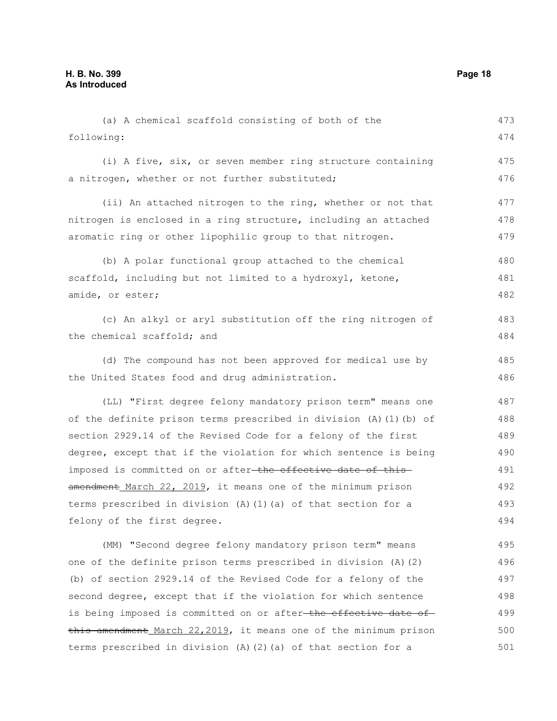following: (i) A five, six, or seven member ring structure containing a nitrogen, whether or not further substituted; (ii) An attached nitrogen to the ring, whether or not that nitrogen is enclosed in a ring structure, including an attached aromatic ring or other lipophilic group to that nitrogen. (b) A polar functional group attached to the chemical scaffold, including but not limited to a hydroxyl, ketone, amide, or ester; (c) An alkyl or aryl substitution off the ring nitrogen of the chemical scaffold; and (d) The compound has not been approved for medical use by the United States food and drug administration. (LL) "First degree felony mandatory prison term" means one of the definite prison terms prescribed in division (A)(1)(b) of section 2929.14 of the Revised Code for a felony of the first degree, except that if the violation for which sentence is being imposed is committed on or after-the effective date of thisamendment March 22, 2019, it means one of the minimum prison terms prescribed in division (A)(1)(a) of that section for a felony of the first degree. (MM) "Second degree felony mandatory prison term" means one of the definite prison terms prescribed in division (A)(2) (b) of section 2929.14 of the Revised Code for a felony of the second degree, except that if the violation for which sentence 474 475 476 477 478 479 480 481 482 483 484 485 486 487 488 489 490 491 492 493 494 495 496 497 498

(a) A chemical scaffold consisting of both of the

is being imposed is committed on or after the effective date of this amendment March 22, 2019, it means one of the minimum prison terms prescribed in division (A)(2)(a) of that section for a 499 500 501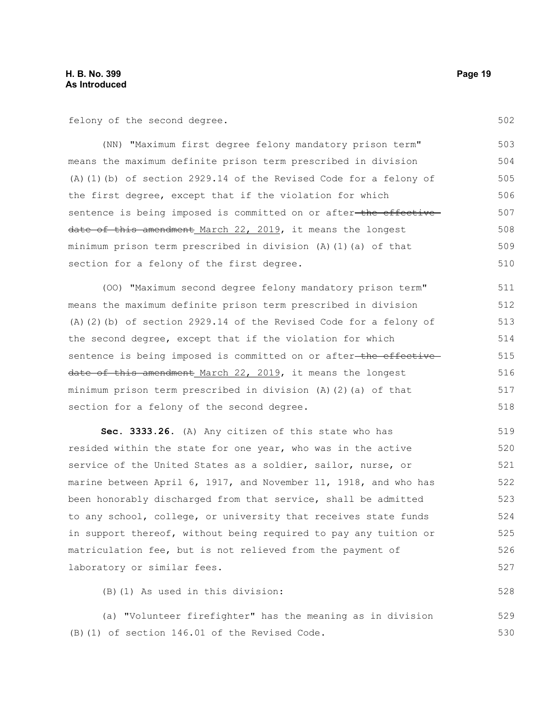felony of the second degree.

(NN) "Maximum first degree felony mandatory prison term" means the maximum definite prison term prescribed in division (A)(1)(b) of section 2929.14 of the Revised Code for a felony of the first degree, except that if the violation for which sentence is being imposed is committed on or after-the effectivedate of this amendment March 22, 2019, it means the longest minimum prison term prescribed in division (A)(1)(a) of that section for a felony of the first degree. 503 504 505 506 507 508 509 510

(OO) "Maximum second degree felony mandatory prison term" means the maximum definite prison term prescribed in division (A)(2)(b) of section 2929.14 of the Revised Code for a felony of the second degree, except that if the violation for which sentence is being imposed is committed on or after-the effectivedate of this amendment March 22, 2019, it means the longest minimum prison term prescribed in division (A)(2)(a) of that section for a felony of the second degree. 511 512 513 514 515 516 517 518

**Sec. 3333.26.** (A) Any citizen of this state who has resided within the state for one year, who was in the active service of the United States as a soldier, sailor, nurse, or marine between April 6, 1917, and November 11, 1918, and who has been honorably discharged from that service, shall be admitted to any school, college, or university that receives state funds in support thereof, without being required to pay any tuition or matriculation fee, but is not relieved from the payment of laboratory or similar fees. 519 520 521 522 523 524 525 526 527

(B)(1) As used in this division: 528

(a) "Volunteer firefighter" has the meaning as in division (B)(1) of section 146.01 of the Revised Code. 529 530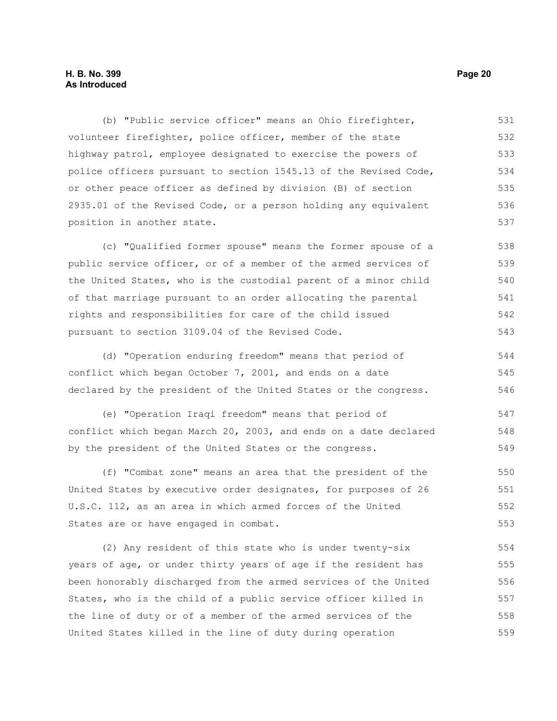(b) "Public service officer" means an Ohio firefighter, volunteer firefighter, police officer, member of the state highway patrol, employee designated to exercise the powers of police officers pursuant to section 1545.13 of the Revised Code, or other peace officer as defined by division (B) of section 2935.01 of the Revised Code, or a person holding any equivalent position in another state. 531 532 533 534 535 536 537

(c) "Qualified former spouse" means the former spouse of a public service officer, or of a member of the armed services of the United States, who is the custodial parent of a minor child of that marriage pursuant to an order allocating the parental rights and responsibilities for care of the child issued pursuant to section 3109.04 of the Revised Code. 538 539 540 541 542 543

(d) "Operation enduring freedom" means that period of conflict which began October 7, 2001, and ends on a date declared by the president of the United States or the congress. 544 545 546

(e) "Operation Iraqi freedom" means that period of conflict which began March 20, 2003, and ends on a date declared by the president of the United States or the congress. 547 548 549

(f) "Combat zone" means an area that the president of the United States by executive order designates, for purposes of 26 U.S.C. 112, as an area in which armed forces of the United States are or have engaged in combat. 550 551 552 553

(2) Any resident of this state who is under twenty-six years of age, or under thirty years of age if the resident has been honorably discharged from the armed services of the United States, who is the child of a public service officer killed in the line of duty or of a member of the armed services of the United States killed in the line of duty during operation 554 555 556 557 558 559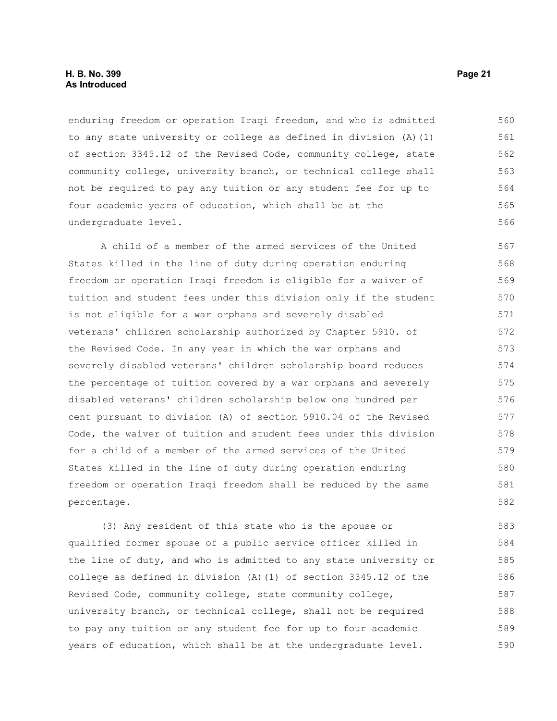enduring freedom or operation Iraqi freedom, and who is admitted to any state university or college as defined in division (A)(1) of section 3345.12 of the Revised Code, community college, state community college, university branch, or technical college shall not be required to pay any tuition or any student fee for up to four academic years of education, which shall be at the undergraduate level. 560 561 562 563 564 565 566

A child of a member of the armed services of the United States killed in the line of duty during operation enduring freedom or operation Iraqi freedom is eligible for a waiver of tuition and student fees under this division only if the student is not eligible for a war orphans and severely disabled veterans' children scholarship authorized by Chapter 5910. of the Revised Code. In any year in which the war orphans and severely disabled veterans' children scholarship board reduces the percentage of tuition covered by a war orphans and severely disabled veterans' children scholarship below one hundred per cent pursuant to division (A) of section 5910.04 of the Revised Code, the waiver of tuition and student fees under this division for a child of a member of the armed services of the United States killed in the line of duty during operation enduring freedom or operation Iraqi freedom shall be reduced by the same percentage. 567 568 569 570 571 572 573 574 575 576 577 578 579 580 581 582

(3) Any resident of this state who is the spouse or qualified former spouse of a public service officer killed in the line of duty, and who is admitted to any state university or college as defined in division (A)(1) of section 3345.12 of the Revised Code, community college, state community college, university branch, or technical college, shall not be required to pay any tuition or any student fee for up to four academic years of education, which shall be at the undergraduate level. 583 584 585 586 587 588 589 590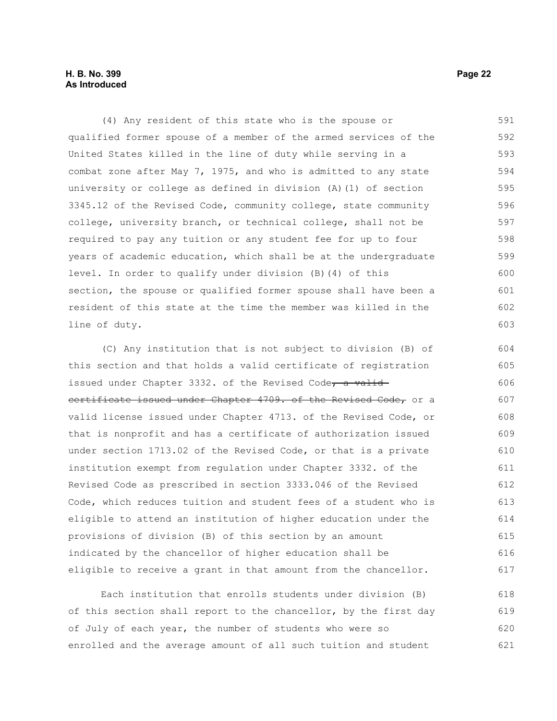#### **H. B. No. 399 Page 22 As Introduced**

(4) Any resident of this state who is the spouse or qualified former spouse of a member of the armed services of the United States killed in the line of duty while serving in a combat zone after May 7, 1975, and who is admitted to any state university or college as defined in division (A)(1) of section 3345.12 of the Revised Code, community college, state community college, university branch, or technical college, shall not be required to pay any tuition or any student fee for up to four years of academic education, which shall be at the undergraduate level. In order to qualify under division (B)(4) of this section, the spouse or qualified former spouse shall have been a resident of this state at the time the member was killed in the line of duty. (C) Any institution that is not subject to division (B) of this section and that holds a valid certificate of registration issued under Chapter 3332. of the Revised Code, a valideertificate issued under Chapter 4709. of the Revised Code, or a valid license issued under Chapter 4713. of the Revised Code, or that is nonprofit and has a certificate of authorization issued under section 1713.02 of the Revised Code, or that is a private institution exempt from regulation under Chapter 3332. of the Revised Code as prescribed in section 3333.046 of the Revised Code, which reduces tuition and student fees of a student who is eligible to attend an institution of higher education under the 591 592 593 594 595 596 597 598 599 600 601 602 603 604 605 606 607 608 609 610 611 612 613 614 615

provisions of division (B) of this section by an amount indicated by the chancellor of higher education shall be eligible to receive a grant in that amount from the chancellor. 616 617

Each institution that enrolls students under division (B) of this section shall report to the chancellor, by the first day of July of each year, the number of students who were so enrolled and the average amount of all such tuition and student 618 619 620 621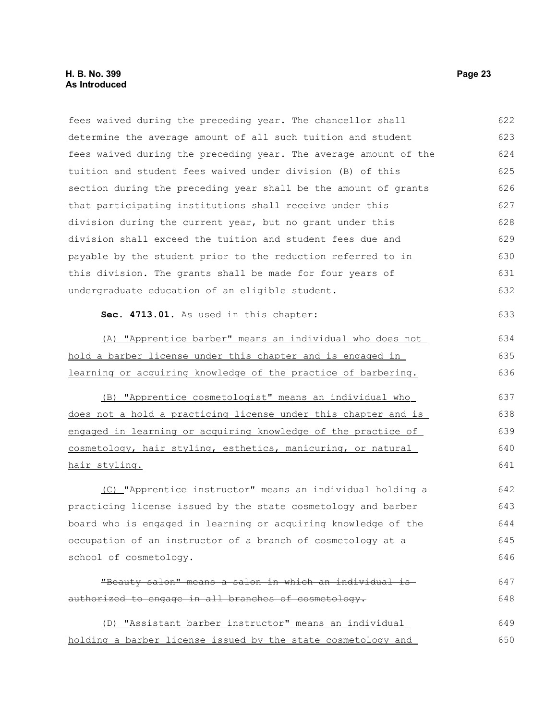## **H. B. No. 399 Page 23 As Introduced**

| fees waived during the preceding year. The chancellor shall      | 622 |
|------------------------------------------------------------------|-----|
| determine the average amount of all such tuition and student     | 623 |
| fees waived during the preceding year. The average amount of the | 624 |
| tuition and student fees waived under division (B) of this       | 625 |
| section during the preceding year shall be the amount of grants  | 626 |
| that participating institutions shall receive under this         | 627 |
| division during the current year, but no grant under this        | 628 |
| division shall exceed the tuition and student fees due and       | 629 |
| payable by the student prior to the reduction referred to in     | 630 |
| this division. The grants shall be made for four years of        | 631 |
| undergraduate education of an eligible student.                  | 632 |
| Sec. 4713.01. As used in this chapter:                           | 633 |
| (A) "Apprentice barber" means an individual who does not         | 634 |
| hold a barber license under this chapter and is engaged in       | 635 |
| learning or acquiring knowledge of the practice of barbering.    | 636 |
| (B) "Apprentice cosmetologist" means an individual who           | 637 |
| does not a hold a practicing license under this chapter and is   | 638 |
| engaged in learning or acquiring knowledge of the practice of    | 639 |
| cosmetology, hair styling, esthetics, manicuring, or natural     | 640 |
| <u>hair styling.</u>                                             | 641 |
| (C) "Apprentice instructor" means an individual holding a        | 642 |
| practicing license issued by the state cosmetology and barber    | 643 |
| board who is engaged in learning or acquiring knowledge of the   | 644 |
| occupation of an instructor of a branch of cosmetology at a      | 645 |
| school of cosmetology.                                           | 646 |
| "Beauty salon" means a salon in which an individual is-          | 647 |
| authorized to engage in all branches of cosmetology.             | 648 |
| (D) "Assistant barber instructor" means an individual            | 649 |
| holding a barber license issued by the state cosmetology and     | 650 |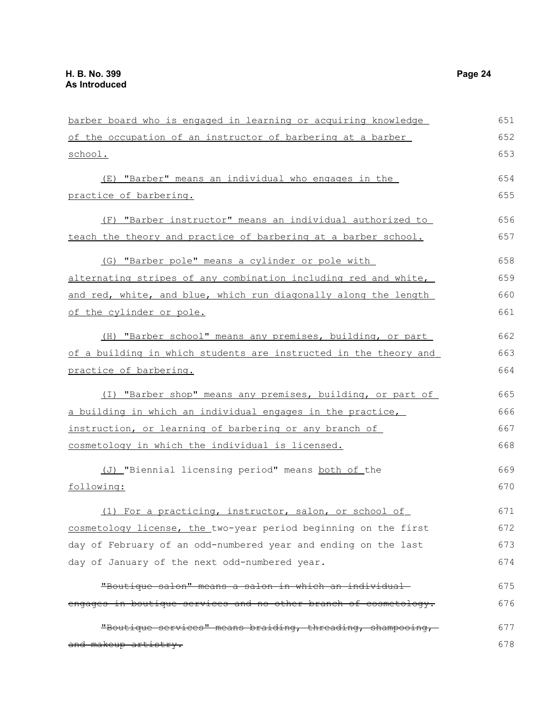| barber board who is engaged in learning or acquiring knowledge   | 651 |
|------------------------------------------------------------------|-----|
| of the occupation of an instructor of barbering at a barber      | 652 |
| school.                                                          | 653 |
| (E) "Barber" means an individual who engages in the              | 654 |
| practice of barbering.                                           | 655 |
| "Barber instructor" means an individual authorized to<br>(F)     | 656 |
| teach the theory and practice of barbering at a barber school.   | 657 |
| (G) "Barber pole" means a cylinder or pole with                  | 658 |
| alternating stripes of any combination including red and white,  | 659 |
| and red, white, and blue, which run diagonally along the length  | 660 |
| of the cylinder or pole.                                         | 661 |
| (H) "Barber school" means any premises, building, or part        | 662 |
| of a building in which students are instructed in the theory and | 663 |
| practice of barbering.                                           | 664 |
| (I) "Barber shop" means any premises, building, or part of       | 665 |
| a building in which an individual engages in the practice,       | 666 |
| instruction, or learning of barbering or any branch of           | 667 |
| cosmetology in which the individual is licensed.                 | 668 |
| (J) "Biennial licensing period" means both of the                | 669 |
| following:                                                       | 670 |
| (1) For a practicing, instructor, salon, or school of            | 671 |
| cosmetology license, the two-year period beginning on the first  | 672 |
| day of February of an odd-numbered year and ending on the last   | 673 |
| day of January of the next odd-numbered year.                    | 674 |
| "Boutique salon" means a salon in which an individual-           | 675 |
| engages in boutique services and no other branch of cosmetology. | 676 |
| "Boutique services" means braiding, threading, shampooing,       | 677 |
| and makeup artistry.                                             | 678 |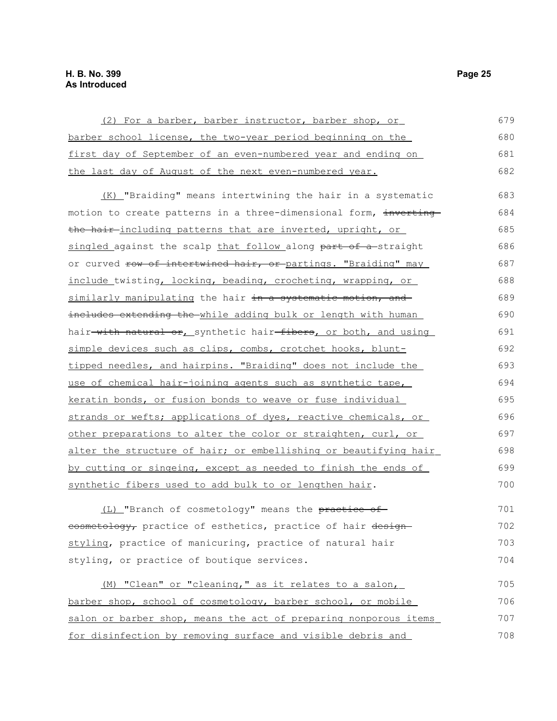| (2) For a barber, barber instructor, barber shop, or          | 679 |
|---------------------------------------------------------------|-----|
| barber school license, the two-year period beginning on the   | 680 |
| first day of September of an even-numbered year and ending on | 681 |
| the last day of August of the next even-numbered year.        | 682 |

(K) "Braiding" means intertwining the hair in a systematic motion to create patterns in a three-dimensional form, invertingthe hair including patterns that are inverted, upright, or singled against the scalp that follow along part of a-straight or curved row of intertwined hair, or partings. "Braiding" may include twisting, locking, beading, crocheting, wrapping, or similarly manipulating the hair in a systematic motion, and includes extending the while adding bulk or length with human hair with natural or, synthetic hair fibers, or both, and using simple devices such as clips, combs, crotchet hooks, blunt tipped needles, and hairpins. "Braiding" does not include the use of chemical hair-joining agents such as synthetic tape, keratin bonds, or fusion bonds to weave or fuse individual strands or wefts; applications of dyes, reactive chemicals, or other preparations to alter the color or straighten, curl, or alter the structure of hair; or embellishing or beautifying hair by cutting or singeing, except as needed to finish the ends of synthetic fibers used to add bulk to or lengthen hair. 683 684 685 686 687 688 689 690 691 692 693 694 695 696 697 698 699 700

(L) "Branch of cosmetology" means the practice of eosmetology, practice of esthetics, practice of hair designstyling, practice of manicuring, practice of natural hair styling, or practice of boutique services.

 (M) "Clean" or "cleaning," as it relates to a salon, barber shop, school of cosmetology, barber school, or mobile salon or barber shop, means the act of preparing nonporous items for disinfection by removing surface and visible debris and 705 706 707 708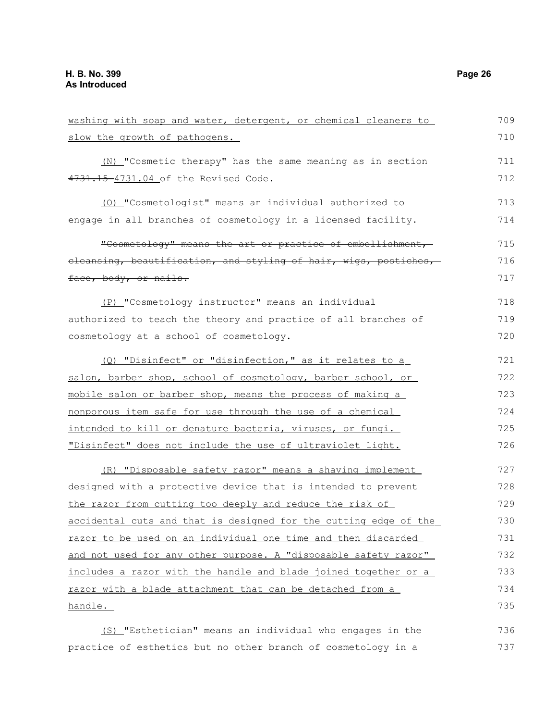washing with soap and water, detergent, or chemical cleaners to slow the growth of pathogens. (N) "Cosmetic therapy" has the same meaning as in section 4731.15 4731.04 of the Revised Code. (O) "Cosmetologist" means an individual authorized to engage in all branches of cosmetology in a licensed facility. "Cosmetology" means the art or practice of embellishment, cleansing, beautification, and styling of hair, wigs, postiches, face, body, or nails. (P) "Cosmetology instructor" means an individual authorized to teach the theory and practice of all branches of cosmetology at a school of cosmetology. (Q) "Disinfect" or "disinfection," as it relates to a salon, barber shop, school of cosmetology, barber school, or mobile salon or barber shop, means the process of making a nonporous item safe for use through the use of a chemical intended to kill or denature bacteria, viruses, or fungi. "Disinfect" does not include the use of ultraviolet light. (R) "Disposable safety razor" means a shaving implement designed with a protective device that is intended to prevent the razor from cutting too deeply and reduce the risk of accidental cuts and that is designed for the cutting edge of the razor to be used on an individual one time and then discarded and not used for any other purpose. A "disposable safety razor" includes a razor with the handle and blade joined together or a razor with a blade attachment that can be detached froma handle. 709 710 711 712 713 714 715 716 717 718 719 720 721 722 723 724 725 726 727 728 729 730 731 732 733 734 735

(S) "Esthetician" means an individual who engages in the practice of esthetics but no other branch of cosmetology in a 736 737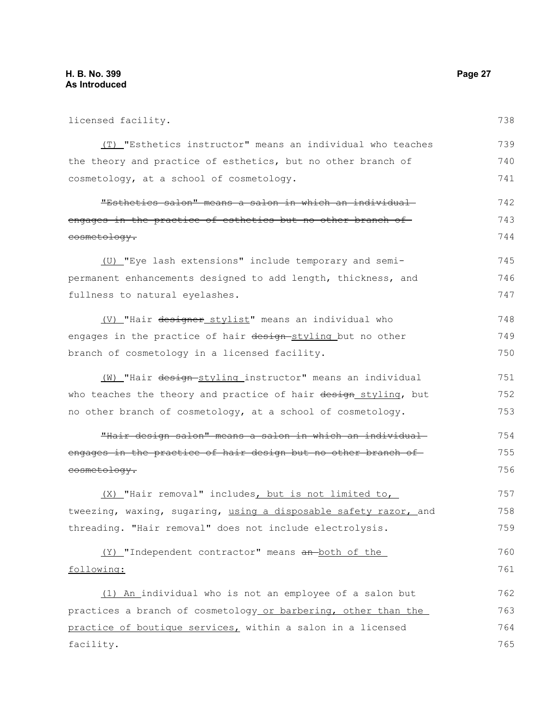### **H. B. No. 399 Page 27 As Introduced**

| licensed facility.                                               | 738 |
|------------------------------------------------------------------|-----|
| (T) "Esthetics instructor" means an individual who teaches       | 739 |
| the theory and practice of esthetics, but no other branch of     | 740 |
| cosmetology, at a school of cosmetology.                         | 741 |
| "Esthetics salon" means a salon in which an individual-          | 742 |
| engages in the practice of esthetics but no other branch of      | 743 |
| cosmetology.                                                     | 744 |
| (U) "Eye lash extensions" include temporary and semi-            | 745 |
| permanent enhancements designed to add length, thickness, and    | 746 |
| fullness to natural eyelashes.                                   | 747 |
| (V) "Hair designer stylist" means an individual who              | 748 |
| engages in the practice of hair design-styling but no other      | 749 |
| branch of cosmetology in a licensed facility.                    | 750 |
| (W) "Hair design-styling instructor" means an individual         | 751 |
| who teaches the theory and practice of hair design_styling, but  | 752 |
| no other branch of cosmetology, at a school of cosmetology.      | 753 |
| "Hair design salon" means a salon in which an individual-        | 754 |
| engages in the practice of hair design but no other branch of    | 755 |
| cosmetology.                                                     | 756 |
| (X) "Hair removal" includes, but is not limited to,              | 757 |
| tweezing, waxing, sugaring, using a disposable safety razor, and | 758 |
| threading. "Hair removal" does not include electrolysis.         | 759 |
| (Y) "Independent contractor" means an-both of the                | 760 |
| following:                                                       | 761 |
| (1) An individual who is not an employee of a salon but          | 762 |
| practices a branch of cosmetology or barbering, other than the   | 763 |
| practice of boutique services, within a salon in a licensed      | 764 |
| facility.                                                        | 765 |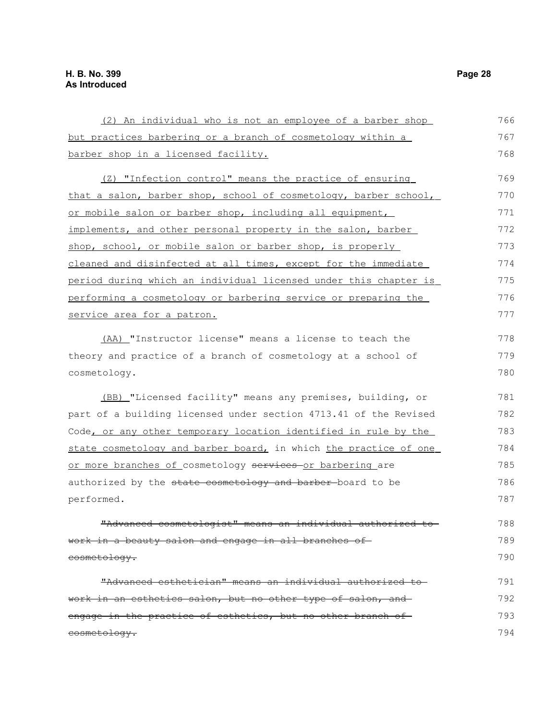| (2) An individual who is not an employee of a barber shop        | 766 |
|------------------------------------------------------------------|-----|
| but practices barbering or a branch of cosmetology within a      | 767 |
| barber shop in a licensed facility.                              | 768 |
| (Z) "Infection control" means the practice of ensuring           | 769 |
| that a salon, barber shop, school of cosmetology, barber school, | 770 |
| or mobile salon or barber shop, including all equipment,         | 771 |
| implements, and other personal property in the salon, barber     | 772 |
| shop, school, or mobile salon or barber shop, is properly        | 773 |
| cleaned and disinfected at all times, except for the immediate   | 774 |
| period during which an individual licensed under this chapter is | 775 |
| performing a cosmetology or barbering service or preparing the   | 776 |
| service area for a patron.                                       | 777 |
| (AA) "Instructor license" means a license to teach the           | 778 |
| theory and practice of a branch of cosmetology at a school of    | 779 |
| cosmetology.                                                     | 780 |
| (BB) "Licensed facility" means any premises, building, or        | 781 |
| part of a building licensed under section 4713.41 of the Revised | 782 |
| Code, or any other temporary location identified in rule by the  | 783 |
| state cosmetology and barber board, in which the practice of one | 784 |
| or more branches of cosmetology services or barbering are        | 785 |
| authorized by the state cosmetology and barber board to be       | 786 |
| performed.                                                       | 787 |
| "Advanced cosmetologist" means an individual authorized to       | 788 |
| work in a beauty salon and engage in all branches of-            | 789 |
| cosmetology.                                                     | 790 |
| "Advanced esthetician" means an individual authorized to         | 791 |
| work in an esthetics salon, but no other type of salon, and      | 792 |
| engage in the practice of esthetics, but no other branch of      | 793 |
| cosmetology.                                                     | 794 |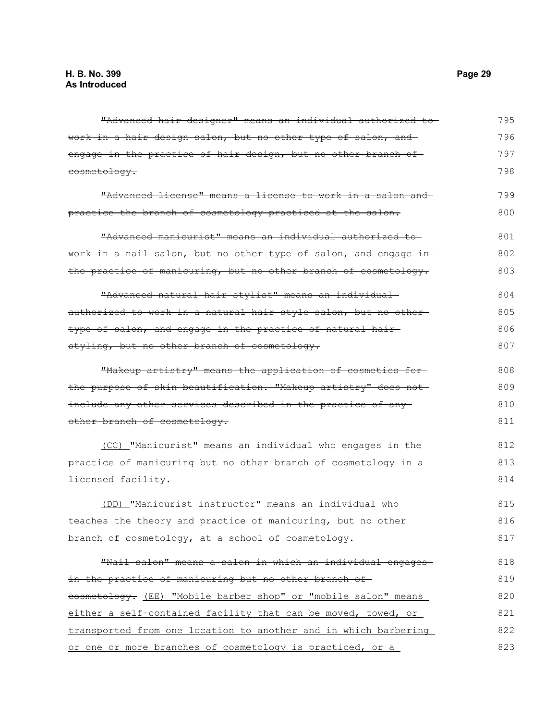| "Advanced hair designer" means an individual authorized to-      | 795 |
|------------------------------------------------------------------|-----|
| work in a hair design salon, but no other type of salon, and     | 796 |
| engage in the practice of hair design, but no other branch of    | 797 |
| eosmetology.                                                     | 798 |
| "Advanced license" means a license to work in a salon and        | 799 |
| practice the branch of cosmetology practiced at the salon.       | 800 |
| "Advanced manicurist" means an individual authorized to          | 801 |
| work in a nail salon, but no other type of salon, and engage in- | 802 |
| the practice of manicuring, but no other branch of cosmetology.  | 803 |
| "Advanced natural hair stylist" means an individual              | 804 |
| authorized to work in a natural hair style salon, but no other-  | 805 |
| type of salon, and engage in the practice of natural hair-       | 806 |
| styling, but no other branch of cosmetology.                     | 807 |
| "Makeup artistry" means the application of cosmetics for-        | 808 |
| the purpose of skin beautification. "Makeup artistry" does not-  | 809 |
| include any other services described in the practice of any      | 810 |
| other branch of cosmetology.                                     | 811 |
| (CC) "Manicurist" means an individual who engages in the         | 812 |
| practice of manicuring but no other branch of cosmetology in a   | 813 |
| licensed facility.                                               | 814 |
| (DD) "Manicurist instructor" means an individual who             | 815 |
| teaches the theory and practice of manicuring, but no other      | 816 |
| branch of cosmetology, at a school of cosmetology.               | 817 |
| "Nail salon" means a salon in which an individual engages        | 818 |
| in the practice of manicuring but no other branch of-            | 819 |
| cosmetology. (EE) "Mobile barber shop" or "mobile salon" means   | 820 |
| either a self-contained facility that can be moved, towed, or    | 821 |
| transported from one location to another and in which barbering  | 822 |
| or one or more branches of cosmetology is practiced, or a        | 823 |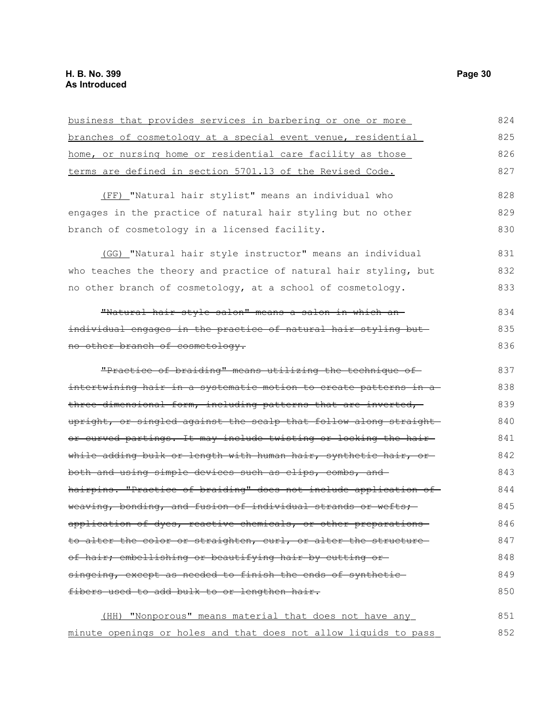| business that provides services in barbering or one or more      | 824 |
|------------------------------------------------------------------|-----|
| branches of cosmetology at a special event venue, residential    | 825 |
| home, or nursing home or residential care facility as those      | 826 |
| terms are defined in section 5701.13 of the Revised Code.        | 827 |
| (FF) "Natural hair stylist" means an individual who              | 828 |
| engages in the practice of natural hair styling but no other     | 829 |
| branch of cosmetology in a licensed facility.                    | 830 |
| (GG) "Natural hair style instructor" means an individual         | 831 |
| who teaches the theory and practice of natural hair styling, but | 832 |
| no other branch of cosmetology, at a school of cosmetology.      | 833 |
| "Natural hair style salon" means a salon in which an-            | 834 |
| individual engages in the practice of natural hair styling but-  | 835 |
| no other branch of cosmetology.                                  | 836 |
| "Practice of braiding" means utilizing the technique of          | 837 |
| intertwining hair in a systematic motion to create patterns in a | 838 |
| three-dimensional form, including patterns that are inverted,    | 839 |
| upright, or singled against the scalp that follow along straight | 840 |
| or curved partings. It may include twisting or locking the hair- | 841 |
| while adding bulk or length with human hair, synthetic hair, or  | 842 |
| both and using simple devices such as clips, combs, and          | 843 |
| hairpins. "Practice of braiding" does not include application of | 844 |
| weaving, bonding, and fusion of individual strands or wefts;     | 845 |
| application of dyes, reactive chemicals, or other preparations-  | 846 |
| to alter the color or straighten, curl, or alter the structure   | 847 |
| of hair; embellishing or beautifying hair by cutting or          | 848 |
| singeing, except as needed to finish the ends of synthetic-      | 849 |
| fibers used to add bulk to or lengthen hair.                     | 850 |
| (HH) "Nonporous" means material that does not have any           | 851 |
| minute openings or holes and that does not allow liquids to pass | 852 |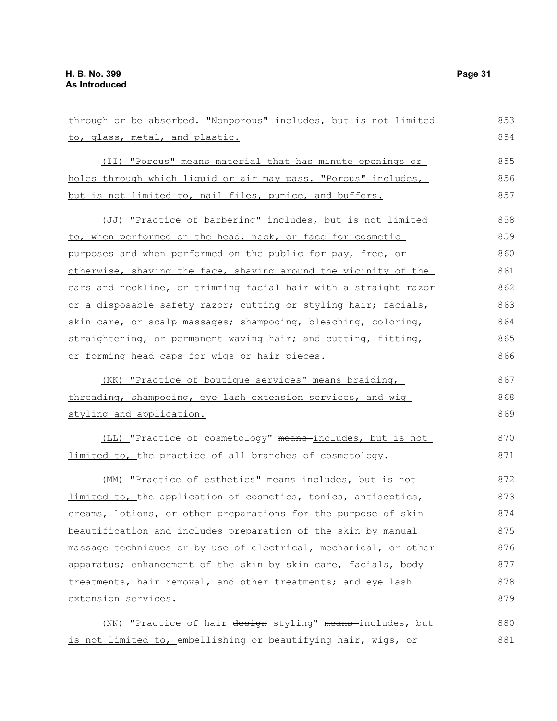| through or be absorbed. "Nonporous" includes, but is not limited       | 853 |
|------------------------------------------------------------------------|-----|
| to, glass, metal, and plastic.                                         | 854 |
| (II) "Porous" means material that has minute openings or               | 855 |
| <u>holes through which liquid or air may pass. "Porous" includes, </u> | 856 |
| <u>but is not limited to, nail files, pumice, and buffers.</u>         | 857 |
| (JJ) "Practice of barbering" includes, but is not limited              | 858 |
| to, when performed on the head, neck, or face for cosmetic             | 859 |
| purposes and when performed on the public for pay, free, or            | 860 |
| otherwise, shaving the face, shaving around the vicinity of the        | 861 |
| ears and neckline, or trimming facial hair with a straight razor       | 862 |
| or a disposable safety razor; cutting or styling hair; facials,        | 863 |
| <u>skin care, or scalp massages; shampooing, bleaching, coloring, </u> | 864 |
| straightening, or permanent waving hair; and cutting, fitting,         | 865 |
| <u>or forming head caps for wigs or hair pieces.</u>                   | 866 |
| (KK) "Practice of boutique services" means braiding,                   | 867 |
| threading, shampooing, eye lash extension services, and wig            | 868 |
| styling and application.                                               | 869 |
| (LL) "Practice of cosmetology" means-includes, but is not              | 870 |
| limited to, the practice of all branches of cosmetology.               | 871 |
| (MM) "Practice of esthetics" means-includes, but is not                | 872 |
| limited to, the application of cosmetics, tonics, antiseptics,         | 873 |
| creams, lotions, or other preparations for the purpose of skin         | 874 |
| beautification and includes preparation of the skin by manual          | 875 |
| massage techniques or by use of electrical, mechanical, or other       | 876 |
| apparatus; enhancement of the skin by skin care, facials, body         | 877 |
| treatments, hair removal, and other treatments; and eye lash           | 878 |
| extension services.                                                    | 879 |
| (NN) "Practice of hair design_styling" means-includes, but             | 880 |

is not limited to, embellishing or beautifying hair, wigs, or 881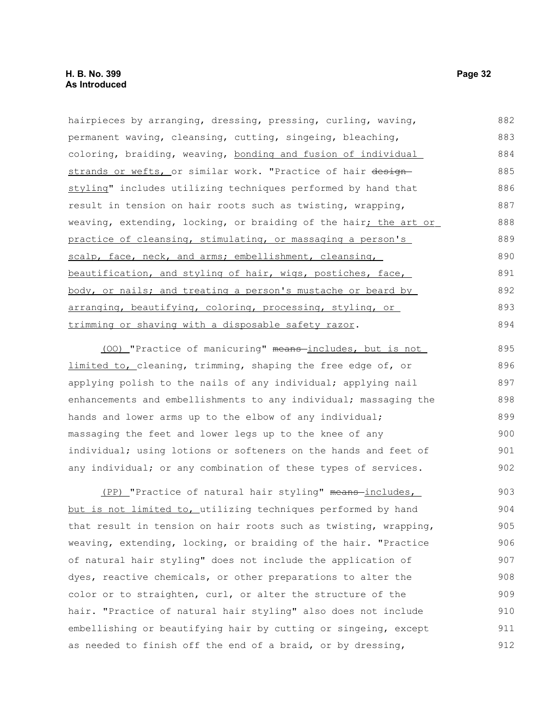hairpieces by arranging, dressing, pressing, curling, waving, permanent waving, cleansing, cutting, singeing, bleaching, coloring, braiding, weaving, bonding and fusion of individual strands or wefts, or similar work. "Practice of hair designstyling" includes utilizing techniques performed by hand that result in tension on hair roots such as twisting, wrapping, weaving, extending, locking, or braiding of the hair; the art or practice of cleansing, stimulating, or massaging a person's scalp, face, neck, and arms; embellishment, cleansing, beautification, and styling of hair, wigs, postiches, face, body, or nails; and treating a person's mustache or beard by arranging, beautifying, coloring, processing, styling, or trimming or shaving with a disposable safety razor. 882 883 884 885 886 887 888 889 890 891 892 893 894

(OO) "Practice of manicuring" means includes, but is not limited to, cleaning, trimming, shaping the free edge of, or applying polish to the nails of any individual; applying nail enhancements and embellishments to any individual; massaging the hands and lower arms up to the elbow of any individual; massaging the feet and lower legs up to the knee of any individual; using lotions or softeners on the hands and feet of any individual; or any combination of these types of services. 895 896 897 898 899 900 901 902

(PP) "Practice of natural hair styling" means-includes, but is not limited to, utilizing techniques performed by hand that result in tension on hair roots such as twisting, wrapping, weaving, extending, locking, or braiding of the hair. "Practice of natural hair styling" does not include the application of dyes, reactive chemicals, or other preparations to alter the color or to straighten, curl, or alter the structure of the hair. "Practice of natural hair styling" also does not include embellishing or beautifying hair by cutting or singeing, except as needed to finish off the end of a braid, or by dressing, 903 904 905 906 907 908 909 910 911 912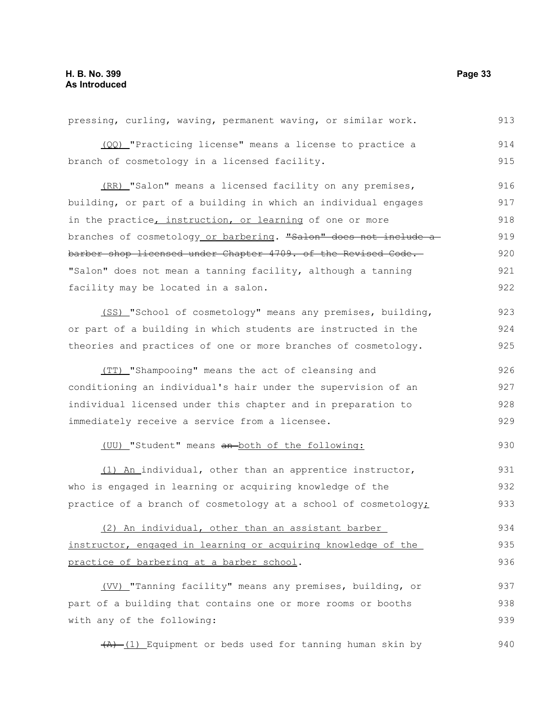| pressing, curling, waving, permanent waving, or similar work.    | 913 |
|------------------------------------------------------------------|-----|
| (QQ) "Practicing license" means a license to practice a          | 914 |
| branch of cosmetology in a licensed facility.                    | 915 |
| (RR) "Salon" means a licensed facility on any premises,          | 916 |
| building, or part of a building in which an individual engages   | 917 |
| in the practice, instruction, or learning of one or more         | 918 |
| branches of cosmetology or barbering. "Salon" does not include a | 919 |
| barber shop licensed under Chapter 4709. of the Revised Code.    | 920 |
| "Salon" does not mean a tanning facility, although a tanning     | 921 |
| facility may be located in a salon.                              | 922 |
| (SS) "School of cosmetology" means any premises, building,       | 923 |
| or part of a building in which students are instructed in the    | 924 |
| theories and practices of one or more branches of cosmetology.   | 925 |
| (TT) "Shampooing" means the act of cleansing and                 | 926 |
| conditioning an individual's hair under the supervision of an    | 927 |
| individual licensed under this chapter and in preparation to     | 928 |
| immediately receive a service from a licensee.                   | 929 |
| (UU) "Student" means an-both of the following:                   | 930 |
| (1) An individual, other than an apprentice instructor,          | 931 |
| who is engaged in learning or acquiring knowledge of the         | 932 |
| practice of a branch of cosmetology at a school of cosmetology;  | 933 |
| (2) An individual, other than an assistant barber                | 934 |
| instructor, engaged in learning or acquiring knowledge of the    | 935 |
| practice of barbering at a barber school.                        | 936 |
| (VV) "Tanning facility" means any premises, building, or         | 937 |
| part of a building that contains one or more rooms or booths     | 938 |
| with any of the following:                                       | 939 |
| $(A)$ (1) Equipment or beds used for tanning human skin by       | 940 |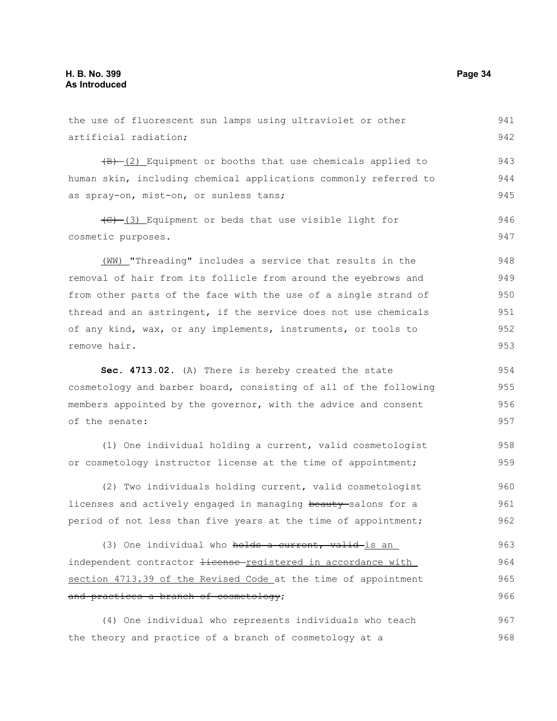cosmetic purposes.

remove hair.

the use of fluorescent sun lamps using ultraviolet or other artificial radiation; (B) (2) Equipment or booths that use chemicals applied to human skin, including chemical applications commonly referred to as spray-on, mist-on, or sunless tans;  $(C)$  (3) Equipment or beds that use visible light for (WW) "Threading" includes a service that results in the removal of hair from its follicle from around the eyebrows and from other parts of the face with the use of a single strand of thread and an astringent, if the service does not use chemicals of any kind, wax, or any implements, instruments, or tools to 941 942 943 944 945 946 947 948 949 950 951 952 953

**Sec. 4713.02.** (A) There is hereby created the state cosmetology and barber board, consisting of all of the following members appointed by the governor, with the advice and consent of the senate: 954 955 956 957

(1) One individual holding a current, valid cosmetologist or cosmetology instructor license at the time of appointment;

(2) Two individuals holding current, valid cosmetologist licenses and actively engaged in managing beauty salons for a period of not less than five years at the time of appointment; 960 961 962

(3) One individual who holds a current, valid-is an independent contractor Hicense-registered in accordance with section 4713.39 of the Revised Code at the time of appointment and practices a branch of cosmetology; 963 964 965 966

(4) One individual who represents individuals who teach the theory and practice of a branch of cosmetology at a 967 968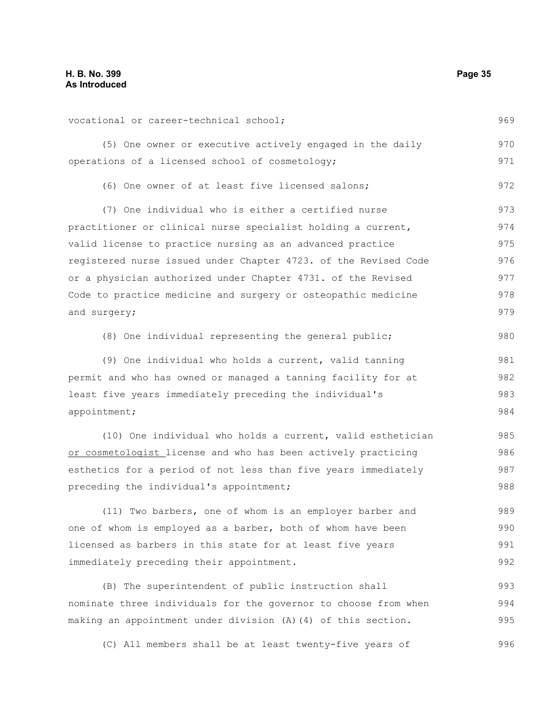vocational or career-technical school; (5) One owner or executive actively engaged in the daily operations of a licensed school of cosmetology; (6) One owner of at least five licensed salons; (7) One individual who is either a certified nurse practitioner or clinical nurse specialist holding a current, valid license to practice nursing as an advanced practice registered nurse issued under Chapter 4723. of the Revised Code or a physician authorized under Chapter 4731. of the Revised Code to practice medicine and surgery or osteopathic medicine and surgery; (8) One individual representing the general public; (9) One individual who holds a current, valid tanning permit and who has owned or managed a tanning facility for at least five years immediately preceding the individual's appointment; (10) One individual who holds a current, valid esthetician or cosmetologist license and who has been actively practicing esthetics for a period of not less than five years immediately preceding the individual's appointment; (11) Two barbers, one of whom is an employer barber and one of whom is employed as a barber, both of whom have been licensed as barbers in this state for at least five years immediately preceding their appointment. 969 970 971 972 973 974 975 976 977 978 979 980 981 982 983 984 985 986 987 988 989 990 991 992

(B) The superintendent of public instruction shall nominate three individuals for the governor to choose from when making an appointment under division (A)(4) of this section. 993 994 995

(C) All members shall be at least twenty-five years of 996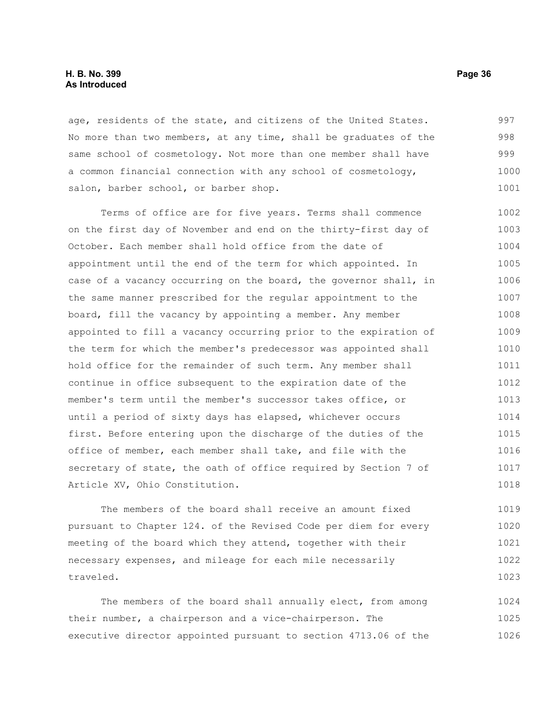#### **H. B. No. 399 Page 36 As Introduced**

age, residents of the state, and citizens of the United States. No more than two members, at any time, shall be graduates of the same school of cosmetology. Not more than one member shall have a common financial connection with any school of cosmetology, salon, barber school, or barber shop. 997 998 999 1000 1001

Terms of office are for five years. Terms shall commence on the first day of November and end on the thirty-first day of October. Each member shall hold office from the date of appointment until the end of the term for which appointed. In case of a vacancy occurring on the board, the governor shall, in the same manner prescribed for the regular appointment to the board, fill the vacancy by appointing a member. Any member appointed to fill a vacancy occurring prior to the expiration of the term for which the member's predecessor was appointed shall hold office for the remainder of such term. Any member shall continue in office subsequent to the expiration date of the member's term until the member's successor takes office, or until a period of sixty days has elapsed, whichever occurs first. Before entering upon the discharge of the duties of the office of member, each member shall take, and file with the secretary of state, the oath of office required by Section 7 of Article XV, Ohio Constitution. 1002 1003 1004 1005 1006 1007 1008 1009 1010 1011 1012 1013 1014 1015 1016 1017 1018

The members of the board shall receive an amount fixed pursuant to Chapter 124. of the Revised Code per diem for every meeting of the board which they attend, together with their necessary expenses, and mileage for each mile necessarily traveled. 1019 1020 1021 1022 1023

The members of the board shall annually elect, from among their number, a chairperson and a vice-chairperson. The executive director appointed pursuant to section 4713.06 of the 1024 1025 1026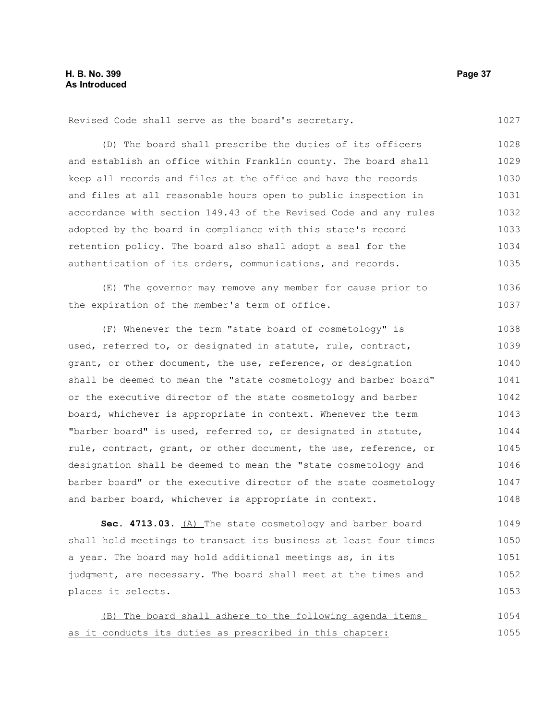Revised Code shall serve as the board's secretary.

(D) The board shall prescribe the duties of its officers and establish an office within Franklin county. The board shall keep all records and files at the office and have the records and files at all reasonable hours open to public inspection in accordance with section 149.43 of the Revised Code and any rules adopted by the board in compliance with this state's record retention policy. The board also shall adopt a seal for the authentication of its orders, communications, and records. 1028 1029 1030 1031 1032 1033 1034 1035

(E) The governor may remove any member for cause prior to the expiration of the member's term of office. 1036 1037

(F) Whenever the term "state board of cosmetology" is used, referred to, or designated in statute, rule, contract, grant, or other document, the use, reference, or designation shall be deemed to mean the "state cosmetology and barber board" or the executive director of the state cosmetology and barber board, whichever is appropriate in context. Whenever the term "barber board" is used, referred to, or designated in statute, rule, contract, grant, or other document, the use, reference, or designation shall be deemed to mean the "state cosmetology and barber board" or the executive director of the state cosmetology and barber board, whichever is appropriate in context. 1038 1039 1040 1041 1042 1043 1044 1045 1046 1047 1048

**Sec. 4713.03.** (A) The state cosmetology and barber board shall hold meetings to transact its business at least four times a year. The board may hold additional meetings as, in its judgment, are necessary. The board shall meet at the times and places it selects. 1049 1050 1051 1052 1053

 (B) The board shall adhere to the following agenda items as it conducts its duties as prescribed in this chapter: 1054 1055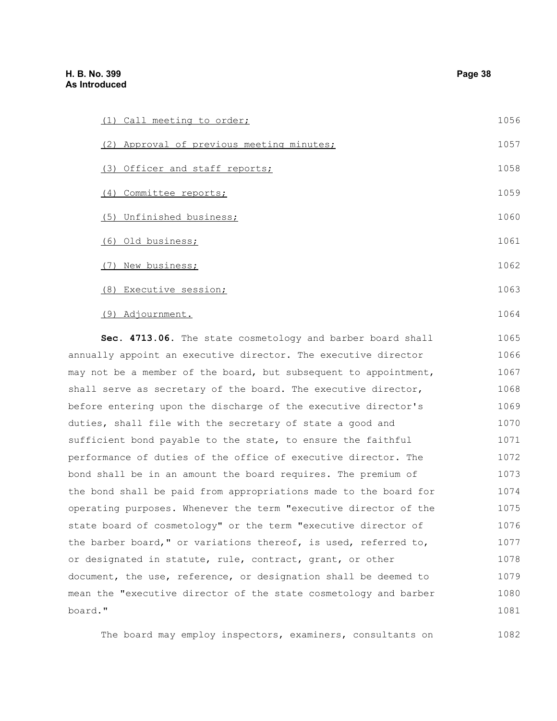|     | (1) Call meeting to order;            | 1056 |
|-----|---------------------------------------|------|
| (2) | Approval of previous meeting minutes; | 1057 |
|     | (3) Officer and staff reports;        | 1058 |
|     | (4) Committee reports;                | 1059 |
| (5) | Unfinished business;                  | 1060 |
|     | (6) Old business;                     | 1061 |
| (7) | New business;                         | 1062 |
| (8) | Executive session;                    | 1063 |
|     |                                       |      |

## (9) Adjournment.

**Sec. 4713.06.** The state cosmetology and barber board shall annually appoint an executive director. The executive director may not be a member of the board, but subsequent to appointment, shall serve as secretary of the board. The executive director, before entering upon the discharge of the executive director's duties, shall file with the secretary of state a good and sufficient bond payable to the state, to ensure the faithful performance of duties of the office of executive director. The bond shall be in an amount the board requires. The premium of the bond shall be paid from appropriations made to the board for operating purposes. Whenever the term "executive director of the state board of cosmetology" or the term "executive director of the barber board," or variations thereof, is used, referred to, or designated in statute, rule, contract, grant, or other document, the use, reference, or designation shall be deemed to mean the "executive director of the state cosmetology and barber board." 1065 1066 1067 1068 1069 1070 1071 1072 1073 1074 1075 1076 1077 1078 1079 1080 1081

The board may employ inspectors, examiners, consultants on 1082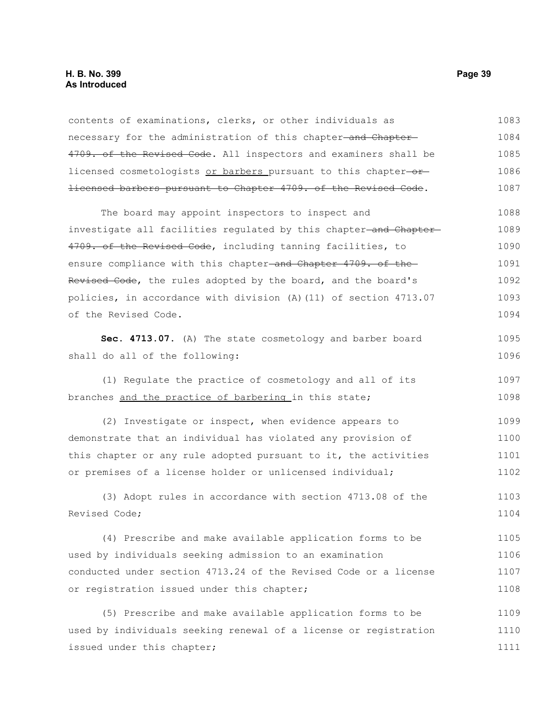contents of examinations, clerks, or other individuals as necessary for the administration of this chapter-and Chapter-4709. of the Revised Code. All inspectors and examiners shall be licensed cosmetologists or barbers pursuant to this chapter-orlicensed barbers pursuant to Chapter 4709. of the Revised Code. 1083 1084 1085 1086 1087

The board may appoint inspectors to inspect and investigate all facilities regulated by this chapter-and Chapter-4709. of the Revised Code, including tanning facilities, to ensure compliance with this chapter and Chapter 4709. of the Revised Code, the rules adopted by the board, and the board's policies, in accordance with division (A)(11) of section 4713.07 of the Revised Code. 1088 1089 1090 1091 1092 1093 1094

**Sec. 4713.07.** (A) The state cosmetology and barber board shall do all of the following: 1095 1096

(1) Regulate the practice of cosmetology and all of its branches and the practice of barbering in this state; 1097 1098

(2) Investigate or inspect, when evidence appears to demonstrate that an individual has violated any provision of this chapter or any rule adopted pursuant to it, the activities or premises of a license holder or unlicensed individual; 1099 1100 1101 1102

(3) Adopt rules in accordance with section 4713.08 of the Revised Code; 1103 1104

(4) Prescribe and make available application forms to be used by individuals seeking admission to an examination conducted under section 4713.24 of the Revised Code or a license or registration issued under this chapter; 1105 1106 1107 1108

(5) Prescribe and make available application forms to be used by individuals seeking renewal of a license or registration issued under this chapter; 1109 1110 1111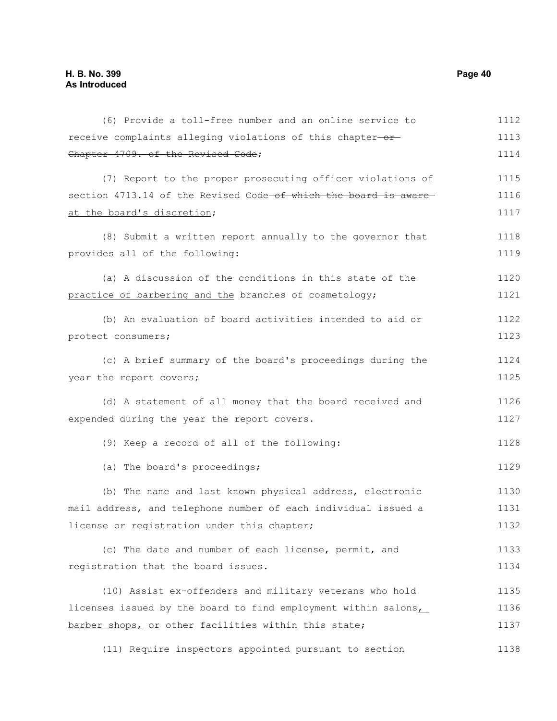(6) Provide a toll-free number and an online service to receive complaints alleging violations of this chapter-or-Chapter 4709. of the Revised Code; (7) Report to the proper prosecuting officer violations of section 4713.14 of the Revised Code-of which the board is aware at the board's discretion; (8) Submit a written report annually to the governor that provides all of the following: (a) A discussion of the conditions in this state of the practice of barbering and the branches of cosmetology; (b) An evaluation of board activities intended to aid or protect consumers; (c) A brief summary of the board's proceedings during the year the report covers; (d) A statement of all money that the board received and expended during the year the report covers. (9) Keep a record of all of the following: (a) The board's proceedings; (b) The name and last known physical address, electronic mail address, and telephone number of each individual issued a license or registration under this chapter; (c) The date and number of each license, permit, and registration that the board issues. (10) Assist ex-offenders and military veterans who hold licenses issued by the board to find employment within salons, barber shops, or other facilities within this state; (11) Require inspectors appointed pursuant to section 1112 1113 1114 1115 1116 1117 1118 1119 1120 1121 1122 1123 1124 1125 1126 1127 1128 1129 1130 1131 1132 1133 1134 1135 1136 1137 1138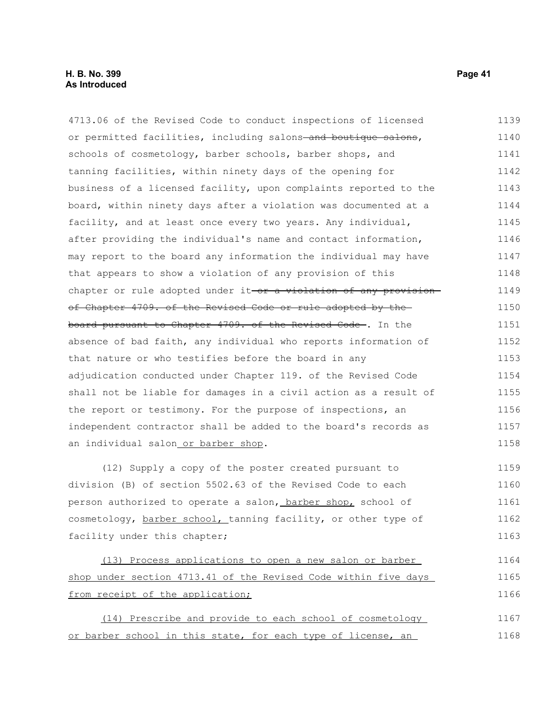facility under this chapter;

4713.06 of the Revised Code to conduct inspections of licensed or permitted facilities, including salons-and boutique salons, schools of cosmetology, barber schools, barber shops, and tanning facilities, within ninety days of the opening for business of a licensed facility, upon complaints reported to the board, within ninety days after a violation was documented at a facility, and at least once every two years. Any individual, after providing the individual's name and contact information, may report to the board any information the individual may have that appears to show a violation of any provision of this chapter or rule adopted under it or a violation of any provision of Chapter 4709. of the Revised Code or rule adopted by the board pursuant to Chapter 4709. of the Revised Code . In the absence of bad faith, any individual who reports information of that nature or who testifies before the board in any adjudication conducted under Chapter 119. of the Revised Code shall not be liable for damages in a civil action as a result of the report or testimony. For the purpose of inspections, an independent contractor shall be added to the board's records as an individual salon or barber shop. (12) Supply a copy of the poster created pursuant to division (B) of section 5502.63 of the Revised Code to each person authorized to operate a salon, barber shop, school of cosmetology, barber school, tanning facility, or other type of 1139 1140 1141 1142 1143 1144 1145 1146 1147 1148 1149 1150 1151 1152 1153 1154 1155 1156 1157 1158 1159 1160 1161 1162

 (13) Process applications to open a new salon or barber shop under section 4713.41 of the Revised Code within five days from receipt of the application; (14) Prescribe and provide to each school of cosmetology 1164 1165 1166 1167

or barber school in this state, for each type of license, an 1168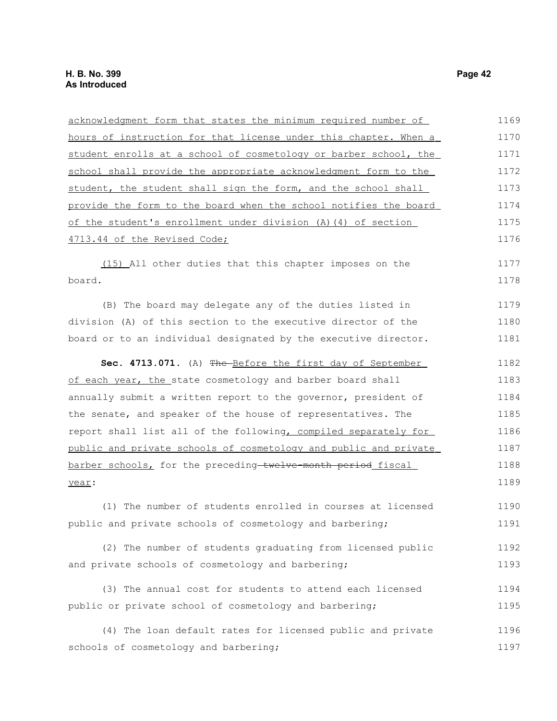| acknowledgment form that states the minimum required number of   | 1169 |
|------------------------------------------------------------------|------|
| hours of instruction for that license under this chapter. When a | 1170 |
| student enrolls at a school of cosmetology or barber school, the | 1171 |
| school shall provide the appropriate acknowledgment form to the  | 1172 |
| student, the student shall sign the form, and the school shall   | 1173 |
| provide the form to the board when the school notifies the board | 1174 |
| of the student's enrollment under division (A) (4) of section    | 1175 |
| 4713.44 of the Revised Code;                                     | 1176 |
| (15) All other duties that this chapter imposes on the           | 1177 |
| board.                                                           | 1178 |
| (B) The board may delegate any of the duties listed in           | 1179 |
| division (A) of this section to the executive director of the    | 1180 |
| board or to an individual designated by the executive director.  | 1181 |
| Sec. 4713.071. (A) The Before the first day of September         | 1182 |
| of each year, the state cosmetology and barber board shall       | 1183 |
| annually submit a written report to the governor, president of   | 1184 |
| the senate, and speaker of the house of representatives. The     | 1185 |
| report shall list all of the following, compiled separately for  | 1186 |
| public and private schools of cosmetology and public and private | 1187 |
| barber schools, for the preceding-twelve-month period fiscal     | 1188 |
| year:                                                            | 1189 |
| (1) The number of students enrolled in courses at licensed       | 1190 |
| public and private schools of cosmetology and barbering;         | 1191 |
| (2) The number of students graduating from licensed public       | 1192 |
| and private schools of cosmetology and barbering;                | 1193 |
| (3) The annual cost for students to attend each licensed         | 1194 |
| public or private school of cosmetology and barbering;           | 1195 |
| (4) The loan default rates for licensed public and private       | 1196 |
| schools of cosmetology and barbering;                            | 1197 |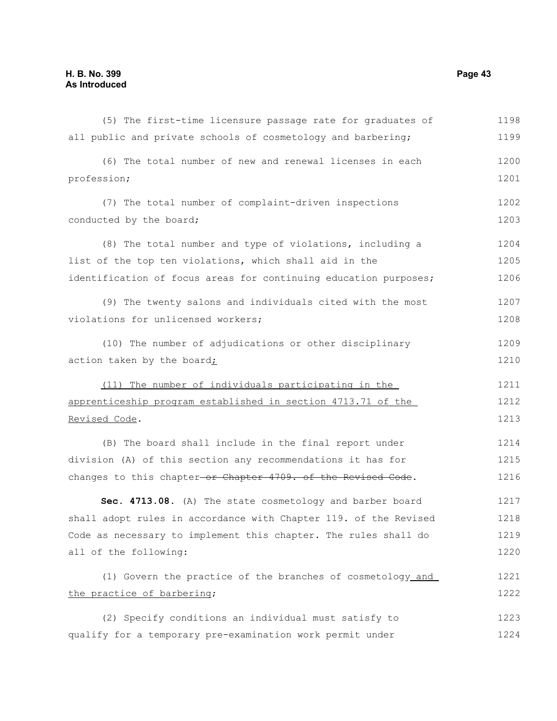| (5) The first-time licensure passage rate for graduates of       | 1198 |
|------------------------------------------------------------------|------|
| all public and private schools of cosmetology and barbering;     | 1199 |
| (6) The total number of new and renewal licenses in each         | 1200 |
| profession;                                                      | 1201 |
| (7) The total number of complaint-driven inspections             | 1202 |
| conducted by the board;                                          | 1203 |
| (8) The total number and type of violations, including a         | 1204 |
| list of the top ten violations, which shall aid in the           | 1205 |
| identification of focus areas for continuing education purposes; | 1206 |
| (9) The twenty salons and individuals cited with the most        | 1207 |
| violations for unlicensed workers;                               | 1208 |
| (10) The number of adjudications or other disciplinary           | 1209 |
| action taken by the board;                                       | 1210 |
| (11) The number of individuals participating in the              | 1211 |
| apprenticeship program established in section 4713.71 of the     | 1212 |
| Revised Code.                                                    | 1213 |
| (B) The board shall include in the final report under            | 1214 |
| division (A) of this section any recommendations it has for      | 1215 |
| changes to this chapter-or Chapter 4709. of the Revised Code.    | 1216 |
| Sec. 4713.08. (A) The state cosmetology and barber board         | 1217 |
| shall adopt rules in accordance with Chapter 119. of the Revised | 1218 |
| Code as necessary to implement this chapter. The rules shall do  | 1219 |
| all of the following:                                            | 1220 |
| (1) Govern the practice of the branches of cosmetology_and_      | 1221 |
| the practice of barbering;                                       | 1222 |
| (2) Specify conditions an individual must satisfy to             | 1223 |
| qualify for a temporary pre-examination work permit under        | 1224 |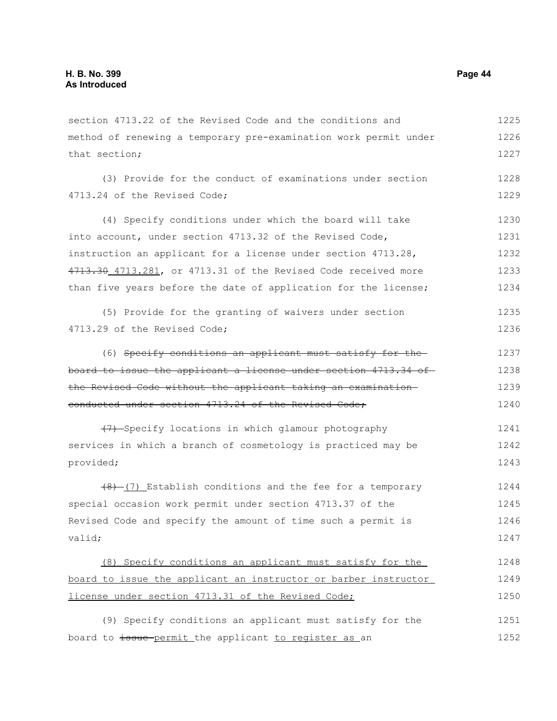section 4713.22 of the Revised Code and the conditions and method of renewing a temporary pre-examination work permit under that section; (3) Provide for the conduct of examinations under section 4713.24 of the Revised Code; (4) Specify conditions under which the board will take into account, under section 4713.32 of the Revised Code, instruction an applicant for a license under section 4713.28, 4713.30 4713.281, or 4713.31 of the Revised Code received more than five years before the date of application for the license; (5) Provide for the granting of waivers under section 4713.29 of the Revised Code; (6) Specify conditions an applicant must satisfy for the board to issue the applicant a license under section 4713.34 of the Revised Code without the applicant taking an examination conducted under section 4713.24 of the Revised Code; (7) Specify locations in which glamour photography services in which a branch of cosmetology is practiced may be provided;  $(8)$   $(7)$  Establish conditions and the fee for a temporary special occasion work permit under section 4713.37 of the Revised Code and specify the amount of time such a permit is valid; 1225 1226 1227 1228 1229 1230 1231 1232 1233 1234 1235 1236 1237 1238 1239 1240 1241 1242 1243 1244 1245 1246 1247

 (8) Specify conditions an applicant must satisfy for the board to issue the applicant an instructor or barber instructor license under section 4713.31 of the Revised Code; 1248 1249 1250

(9) Specify conditions an applicant must satisfy for the board to issue-permit the applicant to register as an 1251 1252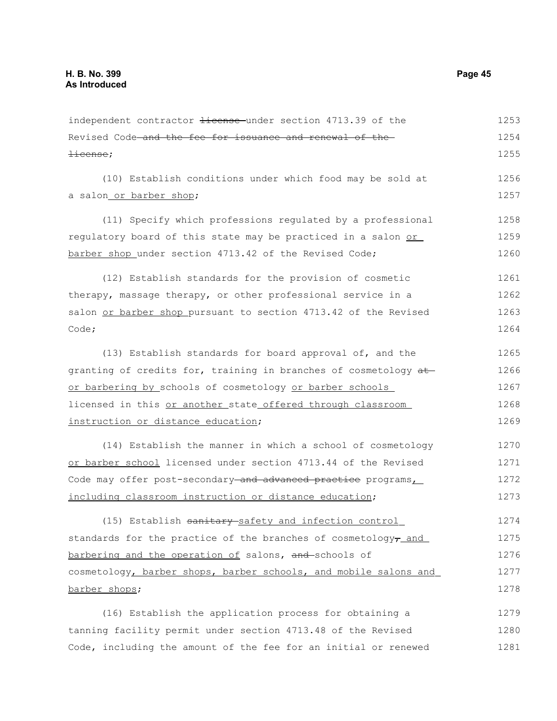independent contractor *license* under section 4713.39 of the Revised Code and the fee for issuance and renewal of the license; (10) Establish conditions under which food may be sold at a salon\_or barber shop; (11) Specify which professions regulated by a professional regulatory board of this state may be practiced in a salon or barber shop under section 4713.42 of the Revised Code; (12) Establish standards for the provision of cosmetic therapy, massage therapy, or other professional service in a salon or barber shop pursuant to section 4713.42 of the Revised Code; (13) Establish standards for board approval of, and the granting of credits for, training in branches of cosmetology at or barbering by schools of cosmetology or barber schools licensed in this or another state offered through classroom instruction or distance education; (14) Establish the manner in which a school of cosmetology or barber school licensed under section 4713.44 of the Revised Code may offer post-secondary and advanced practice programs, including classroom instruction or distance education; (15) Establish sanitary safety and infection control standards for the practice of the branches of cosmetology $_{7}$  and barbering and the operation of salons, and schools of cosmetology, barber shops, barber schools, and mobile salons and barber shops; (16) Establish the application process for obtaining a tanning facility permit under section 4713.48 of the Revised 1253 1254 1255 1256 1257 1258 1259 1260 1261 1262 1263 1264 1265 1266 1267 1268 1269 1270 1271 1272 1273 1274 1275 1276 1277 1278 1279 1280

Code, including the amount of the fee for an initial or renewed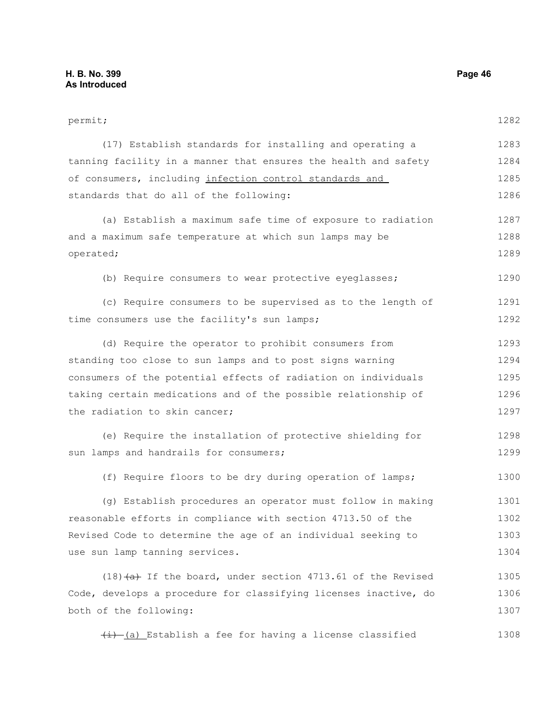permit; (17) Establish standards for installing and operating a tanning facility in a manner that ensures the health and safety of consumers, including infection control standards and standards that do all of the following: (a) Establish a maximum safe time of exposure to radiation and a maximum safe temperature at which sun lamps may be operated; (b) Require consumers to wear protective eyeglasses; (c) Require consumers to be supervised as to the length of time consumers use the facility's sun lamps; (d) Require the operator to prohibit consumers from standing too close to sun lamps and to post signs warning consumers of the potential effects of radiation on individuals taking certain medications and of the possible relationship of the radiation to skin cancer; (e) Require the installation of protective shielding for sun lamps and handrails for consumers; (f) Require floors to be dry during operation of lamps; (g) Establish procedures an operator must follow in making reasonable efforts in compliance with section 4713.50 of the Revised Code to determine the age of an individual seeking to use sun lamp tanning services.  $(18)$   $(a)$  If the board, under section 4713.61 of the Revised Code, develops a procedure for classifying licenses inactive, do both of the following:  $\frac{1}{i}$  (a) Establish a fee for having a license classified 1282 1283 1284 1285 1286 1287 1288 1289 1290 1291 1292 1293 1294 1295 1296 1297 1298 1299 1300 1301 1302 1303 1304 1305 1306 1307 1308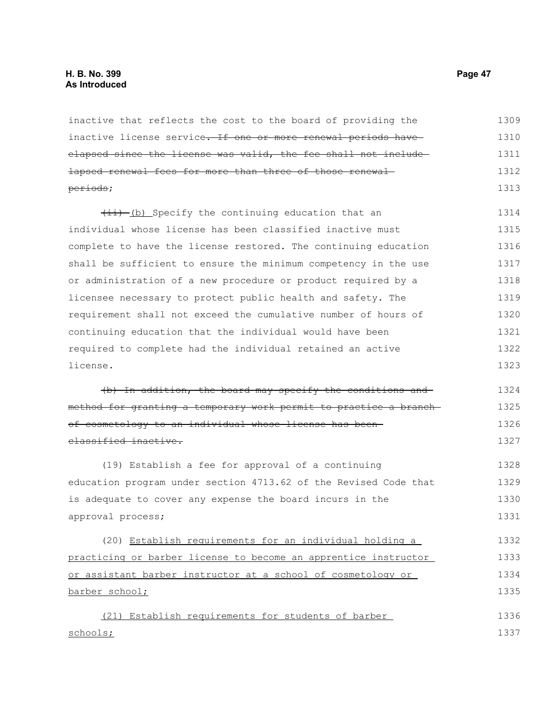inactive that reflects the cost to the board of providing the inactive license service. If one or more renewal periods have elapsed since the license was valid, the fee shall not include lapsed renewal fees for more than three of those renewal periods;  $\overline{t}$  (b) Specify the continuing education that an individual whose license has been classified inactive must complete to have the license restored. The continuing education shall be sufficient to ensure the minimum competency in the use or administration of a new procedure or product required by a licensee necessary to protect public health and safety. The requirement shall not exceed the cumulative number of hours of continuing education that the individual would have been required to complete had the individual retained an active license. 1309 1310 1311 1312 1313 1314 1315 1316 1317 1318 1319 1320 1321 1322 1323

(b) In addition, the board may specify the conditions and method for granting a temporary work permit to practice a branch of cosmetology to an individual whose license has been classified inactive. 1324 1325 1326 1327

(19) Establish a fee for approval of a continuing education program under section 4713.62 of the Revised Code that is adequate to cover any expense the board incurs in the approval process; 1328 1329 1330 1331

(20) Establish requirements for an individual holding a practicing or barber license to become an apprentice instructor or assistant barber instructor at a school of cosmetology or barber school; 1332 1333 1334 1335

 (21) Establish requirements for students of barber schools; 1336 1337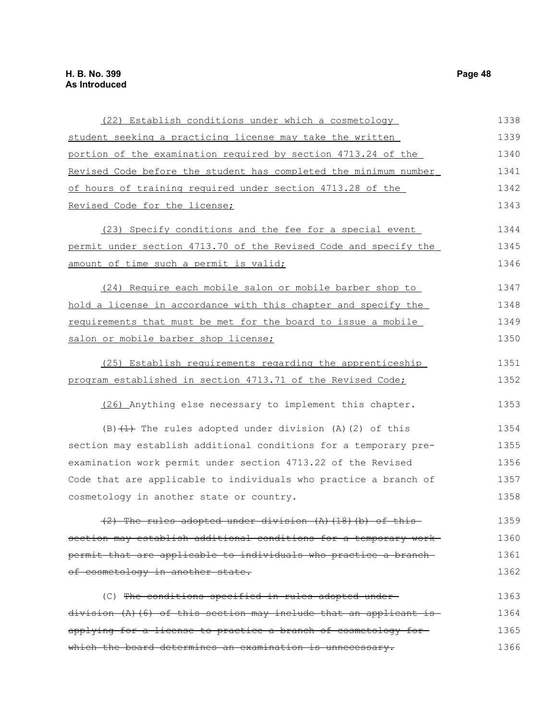| (22) Establish conditions under which a cosmetology               | 1338 |
|-------------------------------------------------------------------|------|
| student seeking a practicing license may take the written         | 1339 |
| portion of the examination required by section 4713.24 of the     | 1340 |
| Revised Code before the student has completed the minimum number  | 1341 |
| of hours of training required under section 4713.28 of the        | 1342 |
| Revised Code for the license;                                     | 1343 |
| (23) Specify conditions and the fee for a special event           | 1344 |
| permit under section 4713.70 of the Revised Code and specify the  | 1345 |
| amount of time such a permit is valid;                            | 1346 |
| (24) Require each mobile salon or mobile barber shop to           | 1347 |
| hold a license in accordance with this chapter and specify the    | 1348 |
| requirements that must be met for the board to issue a mobile     | 1349 |
| salon or mobile barber shop license;                              | 1350 |
| (25) Establish requirements regarding the apprenticeship          | 1351 |
| program established in section 4713.71 of the Revised Code;       | 1352 |
| (26) Anything else necessary to implement this chapter.           | 1353 |
| $(B)$ $(1)$ The rules adopted under division (A) (2) of this      | 1354 |
| section may establish additional conditions for a temporary pre-  | 1355 |
| examination work permit under section 4713.22 of the Revised      | 1356 |
| Code that are applicable to individuals who practice a branch of  | 1357 |
| cosmetology in another state or country.                          | 1358 |
| (2) The rules adopted under division (A) (18) (b) of this         | 1359 |
| section may establish additional conditions for a temporary work- | 1360 |
| permit that are applicable to individuals who practice a branch-  | 1361 |
| of cosmetology in another state.                                  | 1362 |
| (C) The conditions specified in rules adopted under-              | 1363 |
| division (A)(6) of this section may include that an applicant is  | 1364 |
| applying for a license to practice a branch of cosmetology for-   | 1365 |
| which the board determines an examination is unnecessary.         | 1366 |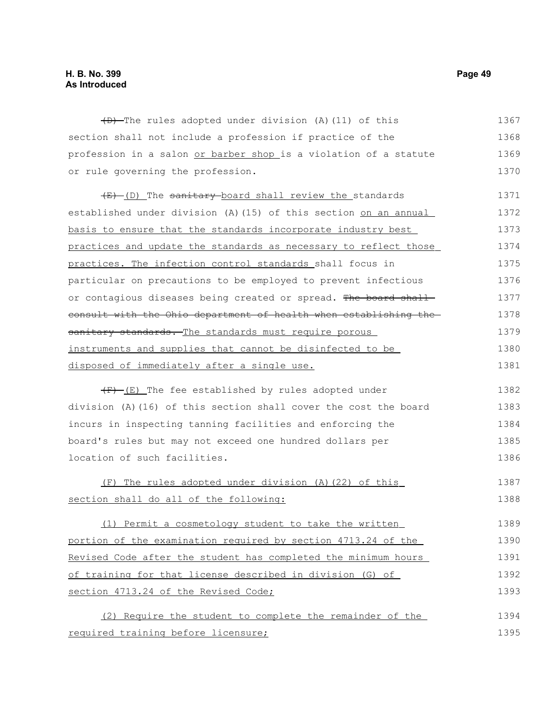$(D)$  The rules adopted under division (A)(11) of this section shall not include a profession if practice of the profession in a salon or barber shop is a violation of a statute or rule governing the profession. 1367 1368 1369 1370

(E) (D) The sanitary board shall review the standards established under division (A)(15) of this section on an annual basis to ensure that the standards incorporate industry best practices and update the standards as necessary to reflect those practices. The infection control standards shall focus in particular on precautions to be employed to prevent infectious or contagious diseases being created or spread. The board shall consult with the Ohio department of health when establishing the sanitary standards. The standards must require porous instruments and supplies that cannot be disinfected to be disposed of immediately after a single use. 1371 1372 1373 1374 1375 1376 1377 1378 1379 1380 1381

 $(F)$  (E) The fee established by rules adopted under division (A)(16) of this section shall cover the cost the board incurs in inspecting tanning facilities and enforcing the board's rules but may not exceed one hundred dollars per location of such facilities. 1382 1383 1384 1385 1386

 (F) The rules adopted under division (A)(22) of this section shall do all of the following: (1) Permit a cosmetology student to take the written 1387 1388 1389

 portion of the examination required by section 4713.24 of the Revised Code after the student has completed the minimum hours of training for that license described in division (G) of section 4713.24 of the Revised Code; 1390 1391 1392 1393

 (2) Require the student to complete the remainder of the required training before licensure; 1394 1395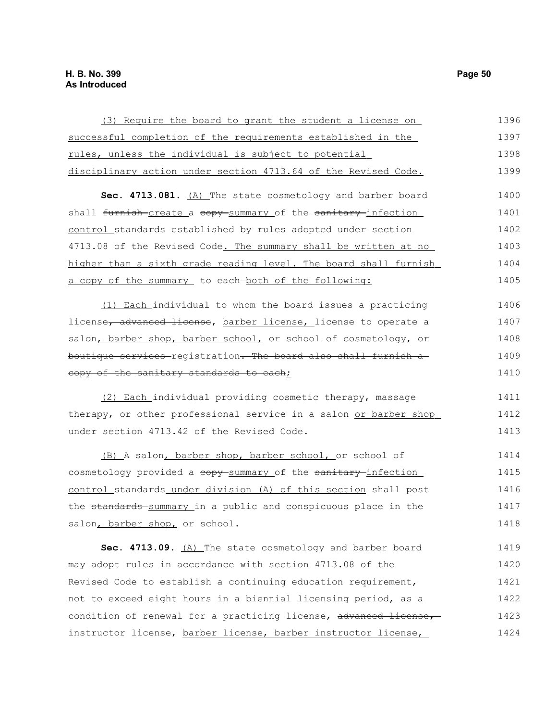| (3) Require the board to grant the student a license on          | 1396 |
|------------------------------------------------------------------|------|
| successful completion of the requirements established in the     | 1397 |
| rules, unless the individual is subject to potential             | 1398 |
| disciplinary action under section 4713.64 of the Revised Code.   | 1399 |
| Sec. 4713.081. (A) The state cosmetology and barber board        | 1400 |
| shall furnish-create a copy-summary of the sanitary-infection    | 1401 |
| control standards established by rules adopted under section     | 1402 |
| 4713.08 of the Revised Code. The summary shall be written at no  | 1403 |
| higher than a sixth grade reading level. The board shall furnish | 1404 |
| a copy of the summary to each-both of the following:             | 1405 |
| (1) Each individual to whom the board issues a practicing        | 1406 |
| license, advanced license, barber license, license to operate a  | 1407 |
| salon, barber shop, barber school, or school of cosmetology, or  | 1408 |
| boutique services-registration. The board also shall furnish a   | 1409 |
| copy of the sanitary standards to each;                          | 1410 |
| (2) Each individual providing cosmetic therapy, massage          | 1411 |
| therapy, or other professional service in a salon or barber shop | 1412 |
| under section 4713.42 of the Revised Code.                       | 1413 |
| (B) A salon, barber shop, barber school, or school of            | 1414 |
| cosmetology provided a copy summary of the sanitary infection    | 1415 |
| control_standards_under_division (A) of this section shall post  | 1416 |
| the standards summary in a public and conspicuous place in the   | 1417 |
| salon, barber shop, or school.                                   | 1418 |
| Sec. 4713.09. (A) The state cosmetology and barber board         | 1419 |
| may adopt rules in accordance with section 4713.08 of the        | 1420 |
| Revised Code to establish a continuing education requirement,    | 1421 |
| not to exceed eight hours in a biennial licensing period, as a   | 1422 |
| condition of renewal for a practicing license, advanced license, | 1423 |
| instructor license, barber license, barber instructor license,   | 1424 |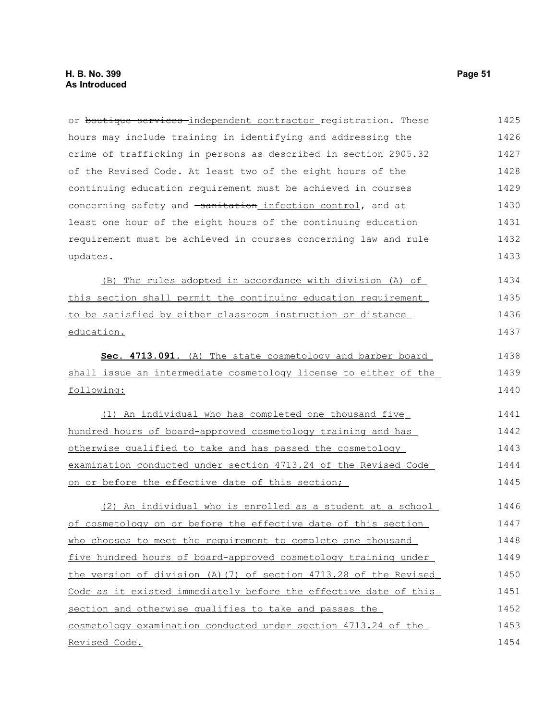| or boutique services-independent contractor registration. These  | 1425 |
|------------------------------------------------------------------|------|
| hours may include training in identifying and addressing the     | 1426 |
| crime of trafficking in persons as described in section 2905.32  | 1427 |
| of the Revised Code. At least two of the eight hours of the      | 1428 |
| continuing education requirement must be achieved in courses     | 1429 |
| concerning safety and -sanitation infection control, and at      | 1430 |
| least one hour of the eight hours of the continuing education    | 1431 |
| requirement must be achieved in courses concerning law and rule  | 1432 |
| updates.                                                         | 1433 |
| (B) The rules adopted in accordance with division (A) of         | 1434 |
| this section shall permit the continuing education requirement   | 1435 |
| to be satisfied by either classroom instruction or distance      | 1436 |
| education.                                                       | 1437 |
| Sec. 4713.091. (A) The state cosmetology and barber board        | 1438 |
| shall issue an intermediate cosmetology license to either of the | 1439 |
| following:                                                       | 1440 |
| (1) An individual who has completed one thousand five            | 1441 |
| hundred hours of board-approved cosmetology training and has     | 1442 |
| otherwise qualified to take and has passed the cosmetology       | 1443 |
| examination conducted under section 4713.24 of the Revised Code  | 1444 |
| on or before the effective date of this section;                 | 1445 |
| (2) An individual who is enrolled as a student at a school       | 1446 |
| of cosmetology on or before the effective date of this section   | 1447 |
| who chooses to meet the requirement to complete one thousand     | 1448 |
| five hundred hours of board-approved cosmetology training under  | 1449 |
| the version of division (A)(7) of section 4713.28 of the Revised | 1450 |
| Code as it existed immediately before the effective date of this | 1451 |
| section and otherwise qualifies to take and passes the           | 1452 |
| cosmetology examination conducted under section 4713.24 of the   | 1453 |
| <u>Revised Code.</u>                                             | 1454 |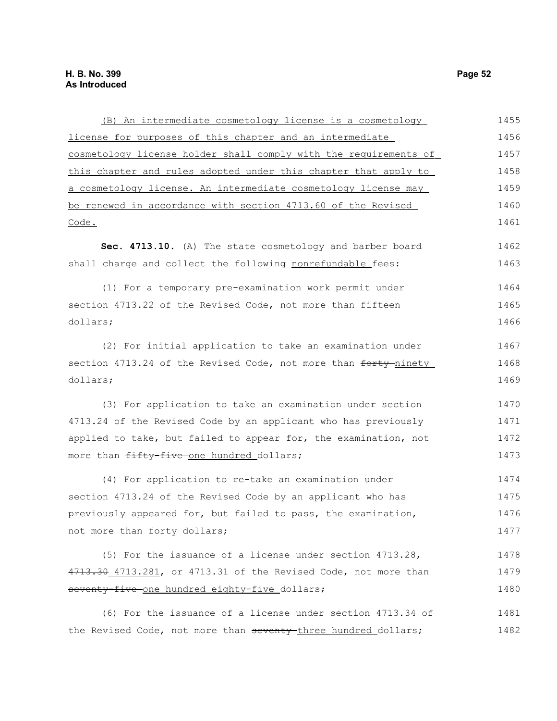| (B) An intermediate cosmetology license is a cosmetology         | 1455 |
|------------------------------------------------------------------|------|
| license for purposes of this chapter and an intermediate         | 1456 |
| cosmetology license holder shall comply with the requirements of | 1457 |
| this chapter and rules adopted under this chapter that apply to  | 1458 |
| a cosmetology license. An intermediate cosmetology license may   | 1459 |
| be renewed in accordance with section 4713.60 of the Revised     | 1460 |
| Code.                                                            | 1461 |
| Sec. 4713.10. (A) The state cosmetology and barber board         | 1462 |
| shall charge and collect the following nonrefundable fees:       | 1463 |
| (1) For a temporary pre-examination work permit under            | 1464 |
| section 4713.22 of the Revised Code, not more than fifteen       | 1465 |
| dollars;                                                         | 1466 |
| (2) For initial application to take an examination under         | 1467 |
| section 4713.24 of the Revised Code, not more than forty-ninety  | 1468 |
| dollars;                                                         | 1469 |
| (3) For application to take an examination under section         | 1470 |
| 4713.24 of the Revised Code by an applicant who has previously   | 1471 |
| applied to take, but failed to appear for, the examination, not  | 1472 |
| more than fifty-five-one hundred dollars;                        | 1473 |
| (4) For application to re-take an examination under              | 1474 |
| section 4713.24 of the Revised Code by an applicant who has      | 1475 |
| previously appeared for, but failed to pass, the examination,    | 1476 |
| not more than forty dollars;                                     | 1477 |
| (5) For the issuance of a license under section 4713.28,         | 1478 |
| 4713.30 4713.281, or 4713.31 of the Revised Code, not more than  | 1479 |
| seventy-five-one hundred eighty-five dollars;                    | 1480 |
| (6) For the issuance of a license under section 4713.34 of       | 1481 |
| the Revised Code, not more than seventy three hundred dollars;   | 1482 |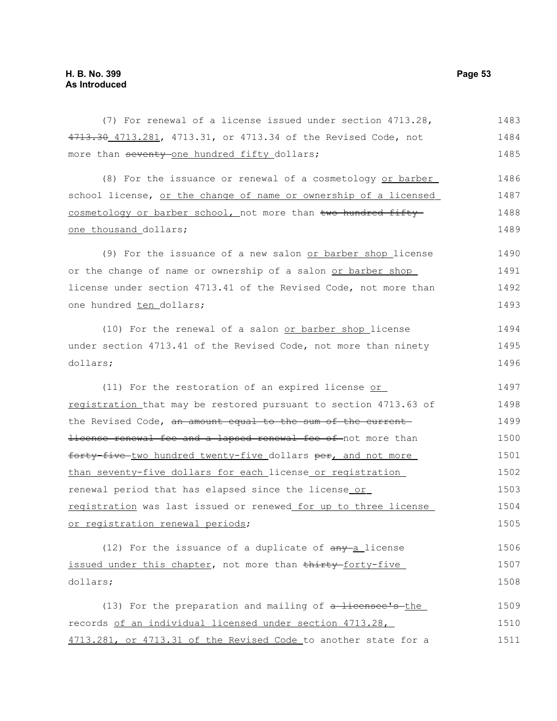| (7) For renewal of a license issued under section 4713.28,           | 1483 |
|----------------------------------------------------------------------|------|
| 4713.30 4713.281, 4713.31, or 4713.34 of the Revised Code, not       | 1484 |
| more than seventy one hundred fifty dollars;                         | 1485 |
| (8) For the issuance or renewal of a cosmetology or barber           | 1486 |
| school license, or the change of name or ownership of a licensed     | 1487 |
| cosmetology or barber school, not more than two hundred fifty        | 1488 |
| one thousand dollars;                                                | 1489 |
| (9) For the issuance of a new salon or barber shop license           | 1490 |
| or the change of name or ownership of a salon or barber shop         | 1491 |
| license under section 4713.41 of the Revised Code, not more than     | 1492 |
| one hundred ten dollars;                                             | 1493 |
| (10) For the renewal of a salon or barber shop license               | 1494 |
| under section 4713.41 of the Revised Code, not more than ninety      | 1495 |
| dollars;                                                             | 1496 |
| (11) For the restoration of an expired license or                    | 1497 |
| registration that may be restored pursuant to section 4713.63 of     | 1498 |
| the Revised Code, an amount equal to the sum of the current          | 1499 |
| <b>license renewal fee and a lapsed renewal fee of not more than</b> | 1500 |
| forty-five-two hundred twenty-five dollars per, and not more         | 1501 |
| than seventy-five dollars for each license or registration           | 1502 |
| renewal period that has elapsed since the license or                 | 1503 |
| registration was last issued or renewed for up to three license      | 1504 |
| or registration renewal periods;                                     | 1505 |
|                                                                      |      |
| (12) For the issuance of a duplicate of $\frac{any-a}{a}$ license    | 1506 |
| issued under this chapter, not more than thirty forty-five           | 1507 |

(13) For the preparation and mailing of a licensee's the records of an individual licensed under section 4713.28, 4713.281, or 4713.31 of the Revised Code to another state for a 1509 1510 1511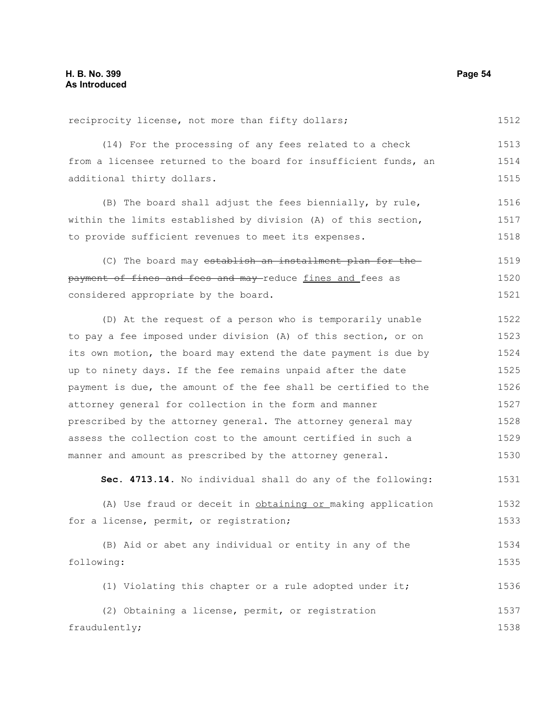| reciprocity license, not more than fifty dollars; |  |  | 1512 |
|---------------------------------------------------|--|--|------|

(14) For the processing of any fees related to a check from a licensee returned to the board for insufficient funds, an additional thirty dollars. 1513 1514 1515

(B) The board shall adjust the fees biennially, by rule, within the limits established by division (A) of this section, to provide sufficient revenues to meet its expenses. 1516 1517 1518

(C) The board may establish an installment plan for the payment of fines and fees and may reduce fines and fees as considered appropriate by the board. 1519 1520 1521

(D) At the request of a person who is temporarily unable to pay a fee imposed under division (A) of this section, or on its own motion, the board may extend the date payment is due by up to ninety days. If the fee remains unpaid after the date payment is due, the amount of the fee shall be certified to the attorney general for collection in the form and manner prescribed by the attorney general. The attorney general may assess the collection cost to the amount certified in such a manner and amount as prescribed by the attorney general. 1522 1523 1524 1525 1526 1527 1528 1529 1530

**Sec. 4713.14.** No individual shall do any of the following: 1531

(A) Use fraud or deceit in obtaining or making application for a license, permit, or registration; 1532 1533

```
(B) Aid or abet any individual or entity in any of the
following: 
                                                                            1534
                                                                            1535
```
(1) Violating this chapter or a rule adopted under it; 1536

|               |  |  | (2) Obtaining a license, permit, or registration | 1537 |
|---------------|--|--|--------------------------------------------------|------|
| fraudulently; |  |  |                                                  | 1538 |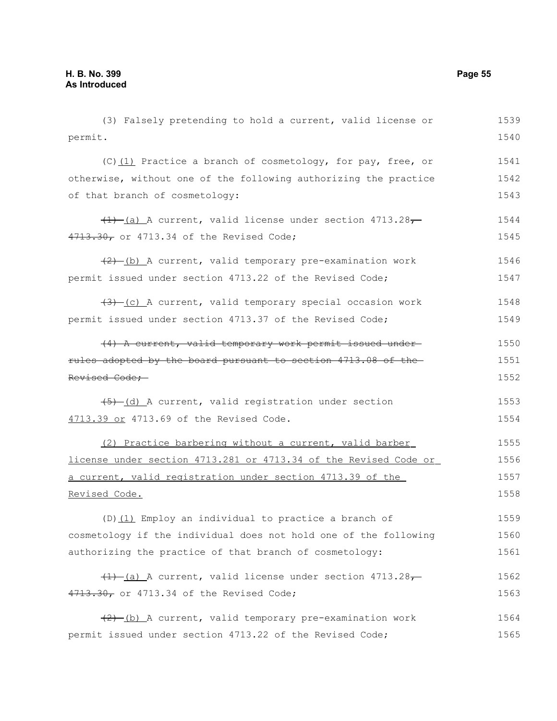(3) Falsely pretending to hold a current, valid license or permit. (C)(1) Practice a branch of cosmetology, for pay, free, or otherwise, without one of the following authorizing the practice of that branch of cosmetology:  $\frac{1}{1}$  (a) A current, valid license under section 4713.28 $\frac{1}{1}$ 4713.30, or 4713.34 of the Revised Code;  $(2)$  (b) A current, valid temporary pre-examination work permit issued under section 4713.22 of the Revised Code;  $(3)$  (c) A current, valid temporary special occasion work permit issued under section 4713.37 of the Revised Code; (4) A current, valid temporary work permit issued under rules adopted by the board pursuant to section 4713.08 of the Revised Code;  $(5)$  (d) A current, valid registration under section 4713.39 or 4713.69 of the Revised Code. (2) Practice barbering without a current, valid barber license under section 4713.281 or 4713.34 of the Revised Code or a current, valid registration under section 4713.39 of the Revised Code. (D)(1) Employ an individual to practice a branch of cosmetology if the individual does not hold one of the following authorizing the practice of that branch of cosmetology:  $\left(1\right)$  (a) A current, valid license under section 4713.28 $\tau$ 4713.30, or 4713.34 of the Revised Code;  $(2)$  (b) A current, valid temporary pre-examination work permit issued under section 4713.22 of the Revised Code; 1539 1540 1541 1542 1543 1544 1545 1546 1547 1548 1549 1550 1551 1552 1553 1554 1555 1556 1557 1558 1559 1560 1561 1562 1563 1564 1565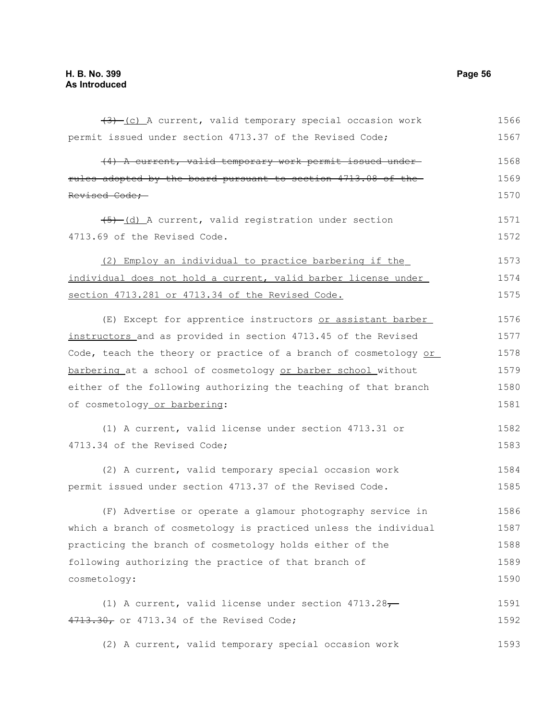| $(3)$ (c) A current, valid temporary special occasion work       | 1566 |
|------------------------------------------------------------------|------|
|                                                                  |      |
| permit issued under section 4713.37 of the Revised Code;         | 1567 |
| (4) A current, valid temporary work permit issued under-         | 1568 |
| rules adopted by the board pursuant to section 4713.08 of the    | 1569 |
| Revised Code;                                                    | 1570 |
| $(5)$ (d) A current, valid registration under section            | 1571 |
| 4713.69 of the Revised Code.                                     | 1572 |
|                                                                  |      |
| (2) Employ an individual to practice barbering if the            | 1573 |
| individual does not hold a current, valid barber license under   | 1574 |
| section 4713.281 or 4713.34 of the Revised Code.                 | 1575 |
| (E) Except for apprentice instructors or assistant barber        | 1576 |
| instructors and as provided in section 4713.45 of the Revised    | 1577 |
| Code, teach the theory or practice of a branch of cosmetology or | 1578 |
| barbering at a school of cosmetology or barber school without    | 1579 |
| either of the following authorizing the teaching of that branch  | 1580 |
| of cosmetology or barbering:                                     | 1581 |
| (1) A current, valid license under section 4713.31 or            | 1582 |
| 4713.34 of the Revised Code;                                     | 1583 |
| (2) A current, valid temporary special occasion work             | 1584 |
| permit issued under section 4713.37 of the Revised Code.         | 1585 |
| (F) Advertise or operate a glamour photography service in        | 1586 |
| which a branch of cosmetology is practiced unless the individual | 1587 |
| practicing the branch of cosmetology holds either of the         | 1588 |
| following authorizing the practice of that branch of             | 1589 |
| cosmetology:                                                     | 1590 |
| (1) A current, valid license under section $4713.28 -$           | 1591 |
|                                                                  |      |
| $4713.30$ , or 4713.34 of the Revised Code;                      | 1592 |
| (2) A current, valid temporary special occasion work             | 1593 |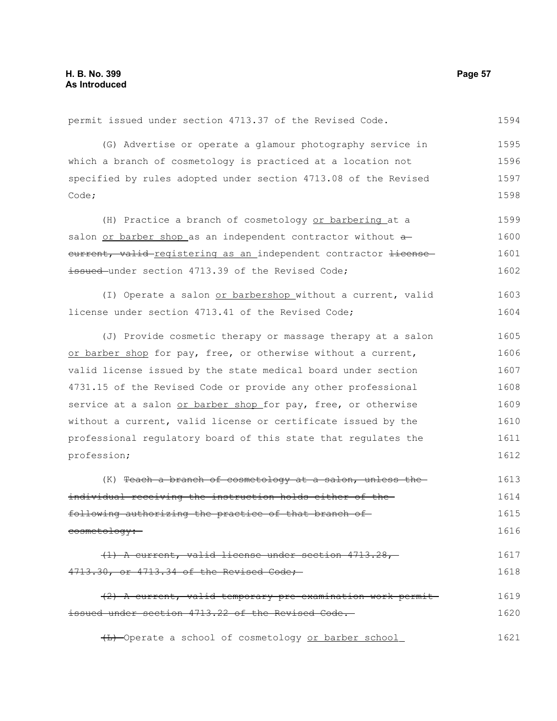permit issued under section 4713.37 of the Revised Code. 1594 1595

(G) Advertise or operate a glamour photography service in which a branch of cosmetology is practiced at a location not specified by rules adopted under section 4713.08 of the Revised Code; 1596 1597 1598

(H) Practice a branch of cosmetology or barbering at a salon or barber shop as an independent contractor without  $a$ eurrent, valid registering as an independent contractor license issued under section 4713.39 of the Revised Code; 1599 1600 1601 1602

(I) Operate a salon or barbershop without a current, valid license under section 4713.41 of the Revised Code; 1603 1604

(J) Provide cosmetic therapy or massage therapy at a salon or barber shop for pay, free, or otherwise without a current, valid license issued by the state medical board under section 4731.15 of the Revised Code or provide any other professional service at a salon or barber shop for pay, free, or otherwise without a current, valid license or certificate issued by the professional regulatory board of this state that regulates the profession; 1605 1606 1607 1608 1609 1610 1611 1612

(K) <del>Teach a branch of cosmetology at a salon, unless the</del> individual receiving the instruction holds either of the following authorizing the practice of that branch of cosmetology: 1613 1614 1615 1616

(1) A current, valid license under section 4713.28, 4713.30, or 4713.34 of the Revised Code; 1617 1618

(2) A current, valid temporary pre-examination work permit issued under section 4713.22 of the Revised Code. 1619 1620

(L) Operate a school of cosmetology or barber school 1621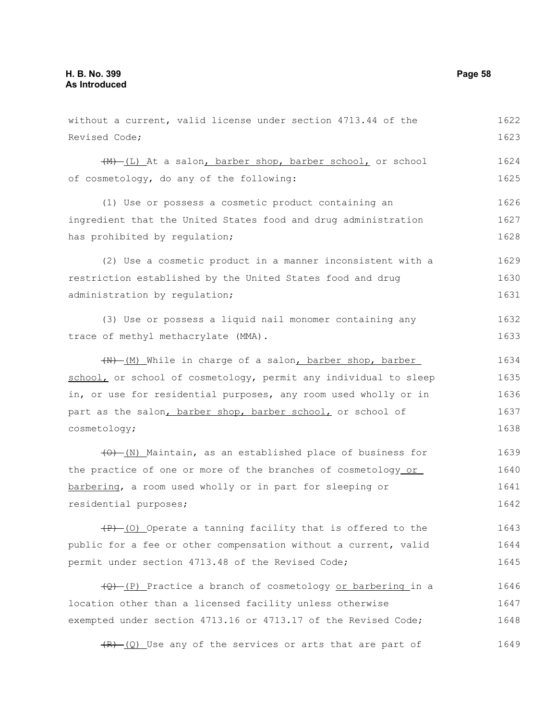without a current, valid license under section 4713.44 of the Revised Code;  $(H)$  (L) At a salon, barber shop, barber school, or school of cosmetology, do any of the following: (1) Use or possess a cosmetic product containing an ingredient that the United States food and drug administration has prohibited by regulation; (2) Use a cosmetic product in a manner inconsistent with a restriction established by the United States food and drug administration by regulation; (3) Use or possess a liquid nail monomer containing any trace of methyl methacrylate (MMA). (M) (M) While in charge of a salon, barber shop, barber school, or school of cosmetology, permit any individual to sleep in, or use for residential purposes, any room used wholly or in part as the salon, barber shop, barber school, or school of cosmetology;  $(0)$  (N) Maintain, as an established place of business for the practice of one or more of the branches of cosmetology or barbering, a room used wholly or in part for sleeping or residential purposes; (P) (O) Operate a tanning facility that is offered to the public for a fee or other compensation without a current, valid permit under section 4713.48 of the Revised Code; (Q) (P) Practice a branch of cosmetology or barbering in a location other than a licensed facility unless otherwise exempted under section 4713.16 or 4713.17 of the Revised Code; 1622 1623 1624 1625 1626 1627 1628 1629 1630 1631 1632 1633 1634 1635 1636 1637 1638 1639 1640 1641 1642 1643 1644 1645 1646 1647 1648

 $(R)$  (Q) Use any of the services or arts that are part of 1649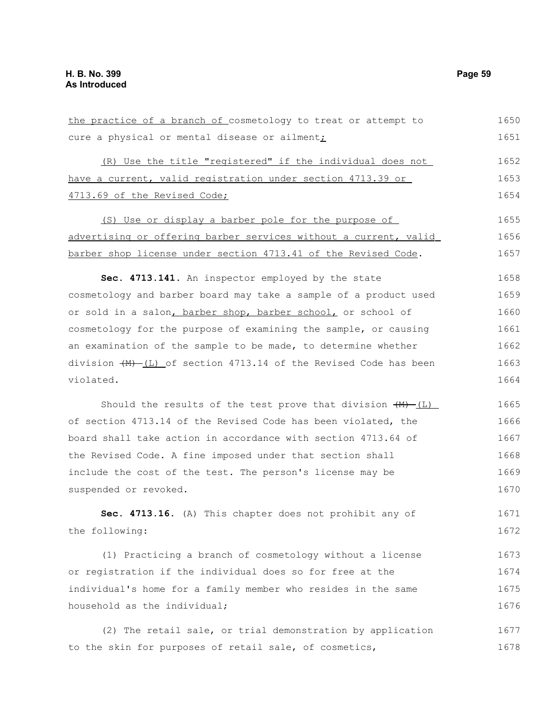| the practice of a branch of cosmetology to treat or attempt to     | 1650 |
|--------------------------------------------------------------------|------|
| cure a physical or mental disease or ailment;                      | 1651 |
| (R) Use the title "registered" if the individual does not          | 1652 |
| have a current, valid registration under section 4713.39 or        | 1653 |
| 4713.69 of the Revised Code;                                       | 1654 |
| (S) Use or display a barber pole for the purpose of                | 1655 |
| advertising or offering barber services without a current, valid   | 1656 |
| barber shop license under section 4713.41 of the Revised Code.     | 1657 |
| Sec. 4713.141. An inspector employed by the state                  | 1658 |
| cosmetology and barber board may take a sample of a product used   | 1659 |
| or sold in a salon, barber shop, barber school, or school of       | 1660 |
| cosmetology for the purpose of examining the sample, or causing    | 1661 |
| an examination of the sample to be made, to determine whether      | 1662 |
| division $(H)$ (L) of section 4713.14 of the Revised Code has been | 1663 |
| violated.                                                          | 1664 |
| Should the results of the test prove that division $(H)$ $(L)$     | 1665 |
| of section 4713.14 of the Revised Code has been violated, the      | 1666 |
| board shall take action in accordance with section 4713.64 of      | 1667 |
| the Revised Code. A fine imposed under that section shall          | 1668 |
| include the cost of the test. The person's license may be          | 1669 |
| suspended or revoked.                                              | 1670 |
| Sec. 4713.16. (A) This chapter does not prohibit any of            | 1671 |
| the following:                                                     | 1672 |
| (1) Practicing a branch of cosmetology without a license           | 1673 |
| or registration if the individual does so for free at the          | 1674 |
| individual's home for a family member who resides in the same      | 1675 |
| household as the individual;                                       | 1676 |
| (2) The retail sale, or trial demonstration by application         | 1677 |
| to the skin for purposes of retail sale, of cosmetics,             | 1678 |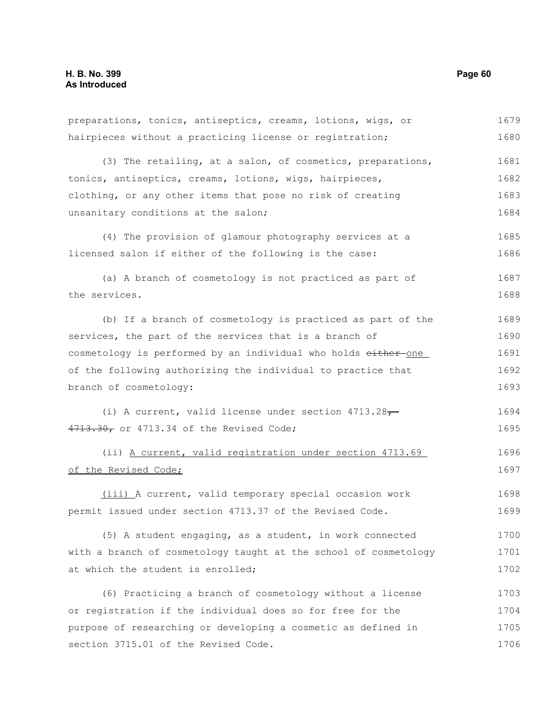| preparations, tonics, antiseptics, creams, lotions, wigs, or     | 1679 |
|------------------------------------------------------------------|------|
| hairpieces without a practicing license or registration;         | 1680 |
| (3) The retailing, at a salon, of cosmetics, preparations,       | 1681 |
| tonics, antiseptics, creams, lotions, wigs, hairpieces,          | 1682 |
| clothing, or any other items that pose no risk of creating       | 1683 |
| unsanitary conditions at the salon;                              | 1684 |
| (4) The provision of glamour photography services at a           | 1685 |
| licensed salon if either of the following is the case:           | 1686 |
| (a) A branch of cosmetology is not practiced as part of          | 1687 |
| the services.                                                    | 1688 |
| (b) If a branch of cosmetology is practiced as part of the       | 1689 |
| services, the part of the services that is a branch of           | 1690 |
| cosmetology is performed by an individual who holds either one   | 1691 |
| of the following authorizing the individual to practice that     | 1692 |
| branch of cosmetology:                                           | 1693 |
| (i) A current, valid license under section $4713.28 -$           | 1694 |
| $4713.30$ , or 4713.34 of the Revised Code;                      | 1695 |
| (ii) A current, valid registration under section 4713.69         | 1696 |
| of the Revised Code;                                             | 1697 |
| (iii) A current, valid temporary special occasion work           | 1698 |
| permit issued under section 4713.37 of the Revised Code.         | 1699 |
| (5) A student engaging, as a student, in work connected          | 1700 |
| with a branch of cosmetology taught at the school of cosmetology | 1701 |
| at which the student is enrolled;                                | 1702 |
| (6) Practicing a branch of cosmetology without a license         | 1703 |
| or registration if the individual does so for free for the       | 1704 |
| purpose of researching or developing a cosmetic as defined in    | 1705 |
| section 3715.01 of the Revised Code.                             | 1706 |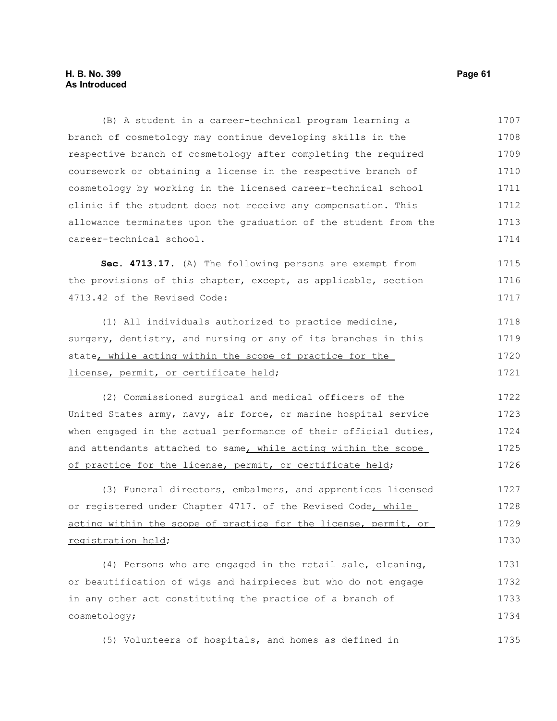(B) A student in a career-technical program learning a branch of cosmetology may continue developing skills in the respective branch of cosmetology after completing the required coursework or obtaining a license in the respective branch of cosmetology by working in the licensed career-technical school clinic if the student does not receive any compensation. This allowance terminates upon the graduation of the student from the career-technical school. 1707 1708 1709 1710 1711 1712 1713 1714

**Sec. 4713.17.** (A) The following persons are exempt from the provisions of this chapter, except, as applicable, section 4713.42 of the Revised Code: 1715 1716 1717

(1) All individuals authorized to practice medicine, surgery, dentistry, and nursing or any of its branches in this state, while acting within the scope of practice for the license, permit, or certificate held; 1718 1719 1720 1721

(2) Commissioned surgical and medical officers of the United States army, navy, air force, or marine hospital service when engaged in the actual performance of their official duties, and attendants attached to same, while acting within the scope of practice for the license, permit, or certificate held; 1722 1723 1724 1725 1726

(3) Funeral directors, embalmers, and apprentices licensed or registered under Chapter 4717. of the Revised Code, while acting within the scope of practice for the license, permit, or registration held; 1727 1728 1729 1730

(4) Persons who are engaged in the retail sale, cleaning, or beautification of wigs and hairpieces but who do not engage in any other act constituting the practice of a branch of cosmetology; 1731 1732 1733 1734

(5) Volunteers of hospitals, and homes as defined in 1735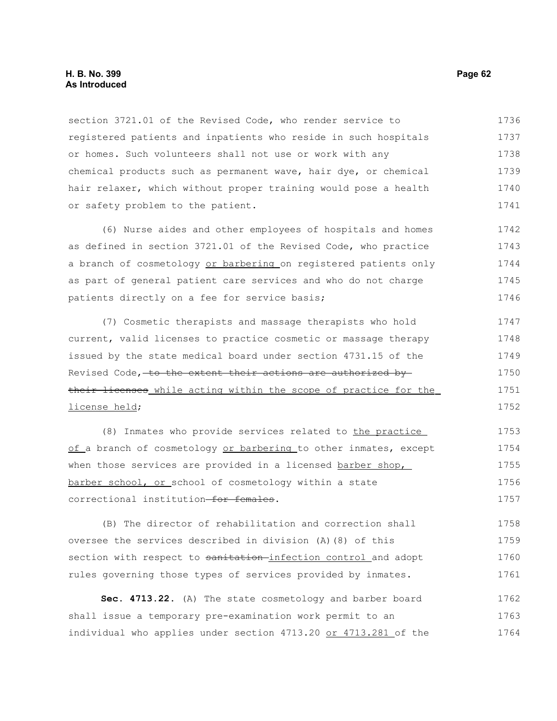section 3721.01 of the Revised Code, who render service to registered patients and inpatients who reside in such hospitals or homes. Such volunteers shall not use or work with any chemical products such as permanent wave, hair dye, or chemical hair relaxer, which without proper training would pose a health or safety problem to the patient. 1736 1737 1738 1739 1740 1741

(6) Nurse aides and other employees of hospitals and homes as defined in section 3721.01 of the Revised Code, who practice a branch of cosmetology or barbering on registered patients only as part of general patient care services and who do not charge patients directly on a fee for service basis; 1742 1743 1744 1745 1746

(7) Cosmetic therapists and massage therapists who hold current, valid licenses to practice cosmetic or massage therapy issued by the state medical board under section 4731.15 of the Revised Code, to the extent their actions are authorized by their licenses while acting within the scope of practice for the license held; 1747 1748 1749 1750 1751 1752

(8) Inmates who provide services related to the practice of a branch of cosmetology or barbering to other inmates, except when those services are provided in a licensed barber shop, barber school, or school of cosmetology within a state correctional institution<del>for females</del>. 1753 1754 1755 1756 1757

(B) The director of rehabilitation and correction shall oversee the services described in division (A)(8) of this section with respect to sanitation infection control and adopt rules governing those types of services provided by inmates. 1758 1759 1760 1761

**Sec. 4713.22.** (A) The state cosmetology and barber board shall issue a temporary pre-examination work permit to an individual who applies under section 4713.20 or 4713.281 of the 1762 1763 1764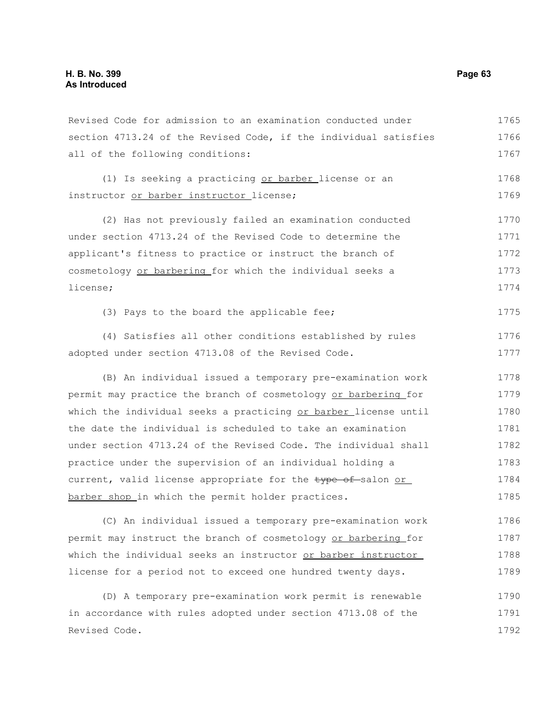Revised Code for admission to an examination conducted under section 4713.24 of the Revised Code, if the individual satisfies all of the following conditions: (1) Is seeking a practicing or barber license or an instructor or barber instructor license; (2) Has not previously failed an examination conducted under section 4713.24 of the Revised Code to determine the applicant's fitness to practice or instruct the branch of cosmetology or barbering for which the individual seeks a license; (3) Pays to the board the applicable fee; (4) Satisfies all other conditions established by rules adopted under section 4713.08 of the Revised Code. (B) An individual issued a temporary pre-examination work permit may practice the branch of cosmetology or barbering for which the individual seeks a practicing or barber license until the date the individual is scheduled to take an examination under section 4713.24 of the Revised Code. The individual shall practice under the supervision of an individual holding a current, valid license appropriate for the type of salon or barber shop in which the permit holder practices. (C) An individual issued a temporary pre-examination work permit may instruct the branch of cosmetology or barbering for which the individual seeks an instructor or barber instructor 1765 1766 1767 1768 1769 1770 1771 1772 1773 1774 1775 1776 1777 1778 1779 1780 1781 1782 1783 1784 1785 1786 1787 1788

(D) A temporary pre-examination work permit is renewable in accordance with rules adopted under section 4713.08 of the Revised Code. 1790 1791 1792

license for a period not to exceed one hundred twenty days.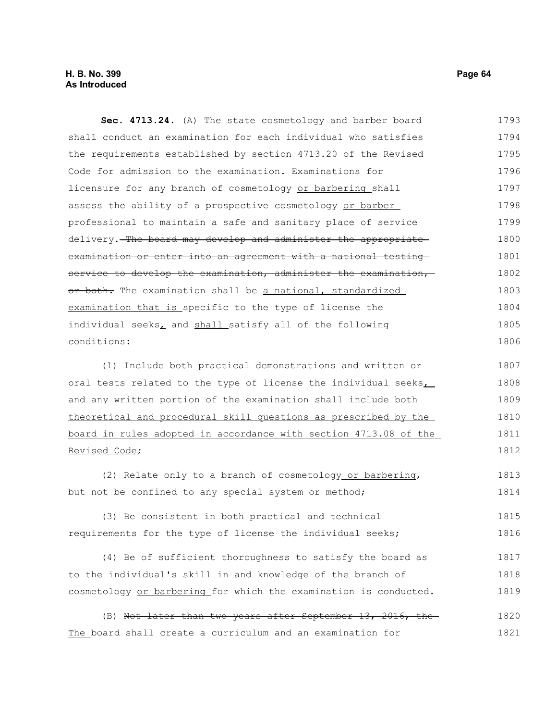## **H. B. No. 399 Page 64 As Introduced**

**Sec. 4713.24.** (A) The state cosmetology and barber board shall conduct an examination for each individual who satisfies the requirements established by section 4713.20 of the Revised Code for admission to the examination. Examinations for licensure for any branch of cosmetology or barbering shall assess the ability of a prospective cosmetology or barber professional to maintain a safe and sanitary place of service delivery. The board may develop and administer the appropriate examination or enter into an agreement with a national testing service to develop the examination, administer the examination, or both. The examination shall be a national, standardized examination that is specific to the type of license the individual seeks, and shall satisfy all of the following conditions: 1793 1794 1795 1796 1797 1798 1799 1800 1801 1802 1803 1804 1805 1806

(1) Include both practical demonstrations and written or oral tests related to the type of license the individual seeks, and any written portion of the examination shall include both theoretical and procedural skill questions as prescribed by the board in rules adopted in accordance with section 4713.08 of the Revised Code; 1807 1808 1809 1810 1811 1812

(2) Relate only to a branch of cosmetology or barbering, but not be confined to any special system or method; 1813 1814

(3) Be consistent in both practical and technical requirements for the type of license the individual seeks; 1815 1816

(4) Be of sufficient thoroughness to satisfy the board as to the individual's skill in and knowledge of the branch of cosmetology or barbering for which the examination is conducted. 1817 1818 1819

(B) Not later than two years after September 13, 2016, the The board shall create a curriculum and an examination for 1820 1821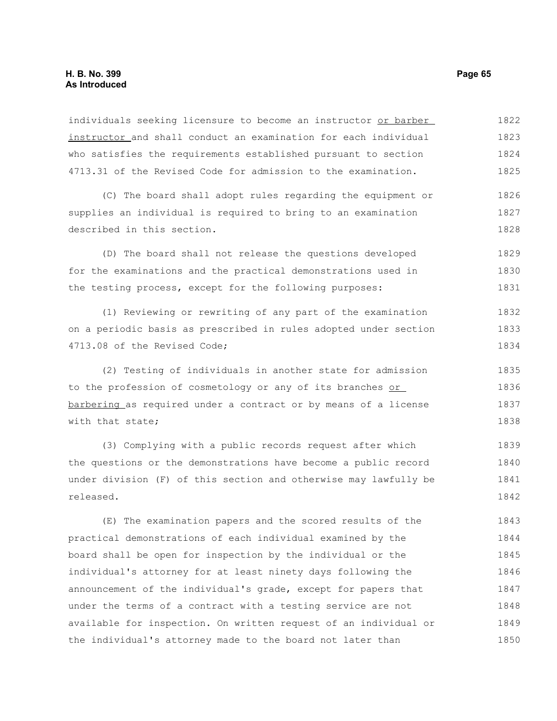individuals seeking licensure to become an instructor or barber instructor and shall conduct an examination for each individual who satisfies the requirements established pursuant to section 4713.31 of the Revised Code for admission to the examination. 1822 1823 1824 1825

(C) The board shall adopt rules regarding the equipment or supplies an individual is required to bring to an examination described in this section. 1826 1827 1828

(D) The board shall not release the questions developed for the examinations and the practical demonstrations used in the testing process, except for the following purposes: 1829 1830 1831

(1) Reviewing or rewriting of any part of the examination on a periodic basis as prescribed in rules adopted under section 4713.08 of the Revised Code; 1832 1833 1834

(2) Testing of individuals in another state for admission to the profession of cosmetology or any of its branches or barbering as required under a contract or by means of a license with that state; 1835 1836 1837 1838

(3) Complying with a public records request after which the questions or the demonstrations have become a public record under division (F) of this section and otherwise may lawfully be released. 1839 1840 1841 1842

(E) The examination papers and the scored results of the practical demonstrations of each individual examined by the board shall be open for inspection by the individual or the individual's attorney for at least ninety days following the announcement of the individual's grade, except for papers that under the terms of a contract with a testing service are not available for inspection. On written request of an individual or the individual's attorney made to the board not later than 1843 1844 1845 1846 1847 1848 1849 1850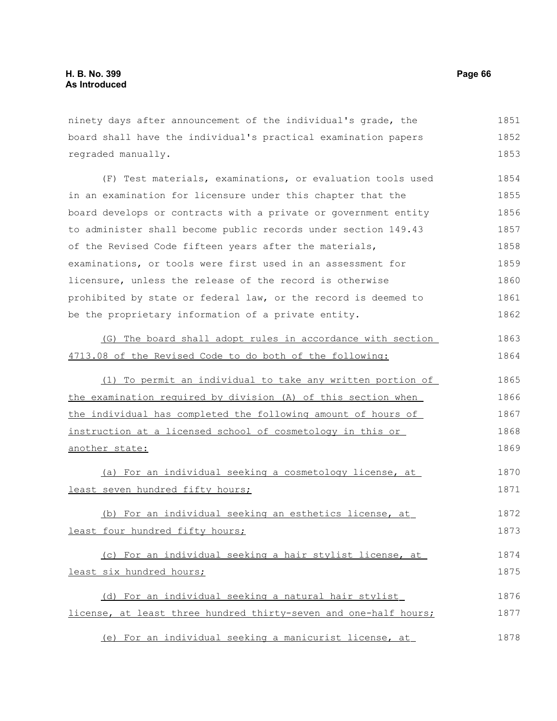ninety days after announcement of the individual's grade, the board shall have the individual's practical examination papers regraded manually. 1851 1852 1853

(F) Test materials, examinations, or evaluation tools used in an examination for licensure under this chapter that the board develops or contracts with a private or government entity to administer shall become public records under section 149.43 of the Revised Code fifteen years after the materials, examinations, or tools were first used in an assessment for licensure, unless the release of the record is otherwise prohibited by state or federal law, or the record is deemed to be the proprietary information of a private entity. 1854 1855 1856 1857 1858 1859 1860 1861 1862

 (G) The board shall adopt rules in accordance with section 4713.08 of the Revised Code to do both of the following: 1863 1864

 (1) To permit an individual to take any written portion of the examination required by division (A) of this section when the individual has completed the following amount of hours of instruction at a licensed school of cosmetology in this or another state: 1865 1866 1867 1868 1869

(a) For an individual seeking a cosmetology license, at least seven hundred fifty hours; 1870 1871

 (b) For an individual seeking an esthetics license, at least four hundred fifty hours;

 (c) For an individual seeking a hair stylist license, at least six hundred hours; 1874 1875

 (d) For an individual seeking a natural hair stylist license, at least three hundred thirty-seven and one-half hours; 1876 1877

 (e) For an individual seeking a manicurist license, at 1878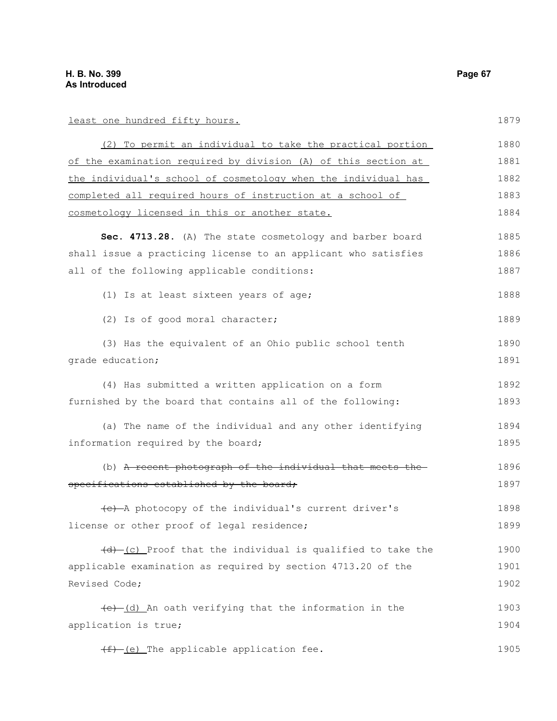| least one hundred fifty hours.                                       | 1879 |
|----------------------------------------------------------------------|------|
| (2) To permit an individual to take the practical portion            | 1880 |
| of the examination required by division (A) of this section at       | 1881 |
| the individual's school of cosmetology when the individual has       | 1882 |
| completed all required hours of instruction at a school of           | 1883 |
| cosmetology licensed in this or another state.                       | 1884 |
| Sec. 4713.28. (A) The state cosmetology and barber board             | 1885 |
| shall issue a practicing license to an applicant who satisfies       | 1886 |
| all of the following applicable conditions:                          | 1887 |
| (1) Is at least sixteen years of age;                                | 1888 |
| (2) Is of good moral character;                                      | 1889 |
| (3) Has the equivalent of an Ohio public school tenth                | 1890 |
| grade education;                                                     | 1891 |
| (4) Has submitted a written application on a form                    | 1892 |
| furnished by the board that contains all of the following:           | 1893 |
| (a) The name of the individual and any other identifying             | 1894 |
| information required by the board;                                   | 1895 |
| (b) A recent photograph of the individual that meets the             | 1896 |
| specifications established by the board;                             | 1897 |
| (e) A photocopy of the individual's current driver's                 | 1898 |
| license or other proof of legal residence;                           | 1899 |
| $\frac{d}{d}$ (c) Proof that the individual is qualified to take the | 1900 |
| applicable examination as required by section 4713.20 of the         | 1901 |
| Revised Code;                                                        | 1902 |
| (e) (d) An oath verifying that the information in the                | 1903 |
| application is true;                                                 | 1904 |
| (f) (e) The applicable application fee.                              | 1905 |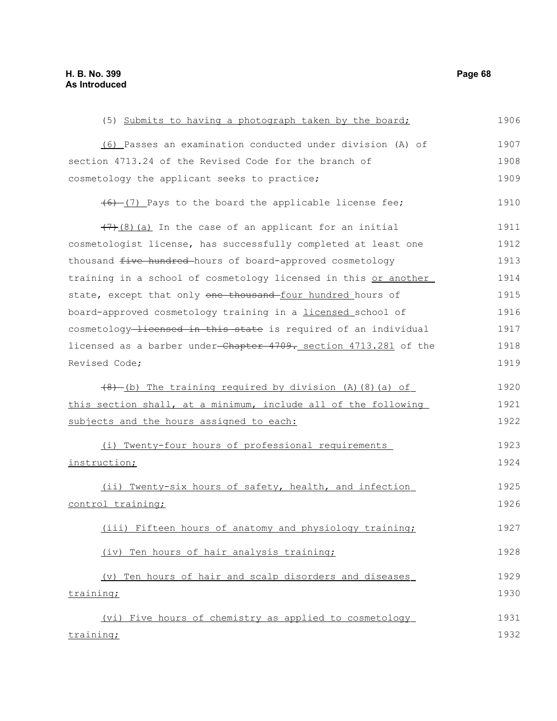(5) Submits to having a photograph taken by the board; (6) Passes an examination conducted under division (A) of section 4713.24 of the Revised Code for the branch of cosmetology the applicant seeks to practice;  $(6)$  (7) Pays to the board the applicable license fee;  $(7)$ (8)(a) In the case of an applicant for an initial cosmetologist license, has successfully completed at least one thousand five hundred-hours of board-approved cosmetology training in a school of cosmetology licensed in this or another state, except that only one thousand four hundred hours of board-approved cosmetology training in a licensed school of cosmetology-**licensed in this state** is required of an individual licensed as a barber under Chapter 4709. section 4713.281 of the Revised Code;  $(8)$  (b) The training required by division (A)(8)(a) of this section shall, at a minimum, include all of the following subjects and the hours assigned to each: (i) Twenty-four hours of professional requirements instruction; (ii) Twenty-six hours of safety, health, and infection control training; (iii) Fifteen hours of anatomy and physiology training; (iv) Ten hours of hair analysis training; (v) Ten hours of hair and scalp disorders and diseases training; (vi) Five hours of chemistry as applied to cosmetology training; 1906 1907 1908 1909 1910 1911 1912 1913 1914 1915 1916 1917 1918 1919 1920 1921 1922 1923 1924 1925 1926 1927 1928 1929 1930 1931 1932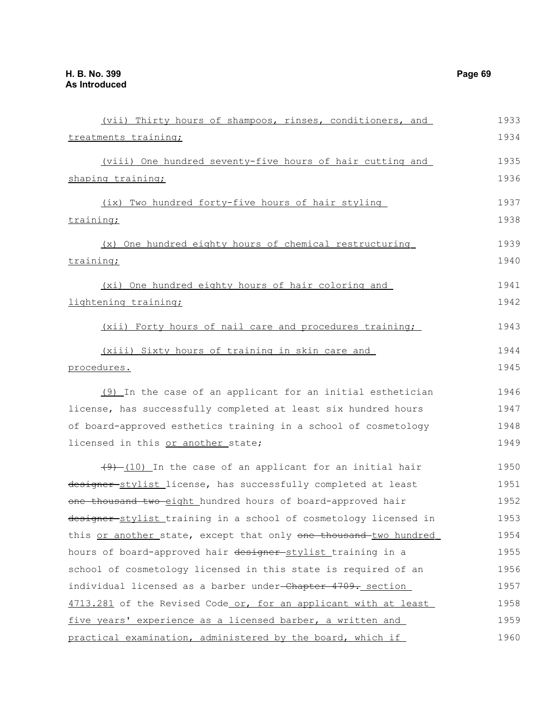| (vii) Thirty hours of shampoos, rinses, conditioners, and        | 1933 |
|------------------------------------------------------------------|------|
| treatments training;                                             | 1934 |
| (viii) One hundred seventy-five hours of hair cutting and        | 1935 |
| shaping training;                                                | 1936 |
| (ix) Two hundred forty-five hours of hair styling                | 1937 |
| training;                                                        | 1938 |
| (x) One hundred eighty hours of chemical restructuring           | 1939 |
| training;                                                        | 1940 |
| (xi) One hundred eighty hours of hair coloring and               | 1941 |
| lightening training;                                             | 1942 |
| (xii) Forty hours of nail care and procedures training;          | 1943 |
| (xiii) Sixty hours of training in skin care and                  | 1944 |
| procedures.                                                      | 1945 |
| (9) In the case of an applicant for an initial esthetician       | 1946 |
| license, has successfully completed at least six hundred hours   | 1947 |
| of board-approved esthetics training in a school of cosmetology  | 1948 |
| licensed in this or another state;                               | 1949 |
| $(9)$ $(10)$ In the case of an applicant for an initial hair     | 1950 |
| designer-stylist_license, has successfully completed at least    | 1951 |
| one thousand two eight hundred hours of board-approved hair      | 1952 |
| designer-stylist training in a school of cosmetology licensed in | 1953 |
| this or another state, except that only one thousand-two hundred | 1954 |
| hours of board-approved hair designer-stylist training in a      | 1955 |
| school of cosmetology licensed in this state is required of an   | 1956 |
| individual licensed as a barber under-Chapter 4709. section      | 1957 |
| 4713.281 of the Revised Code or, for an applicant with at least  | 1958 |
| five years' experience as a licensed barber, a written and       | 1959 |
| practical examination, administered by the board, which if       | 1960 |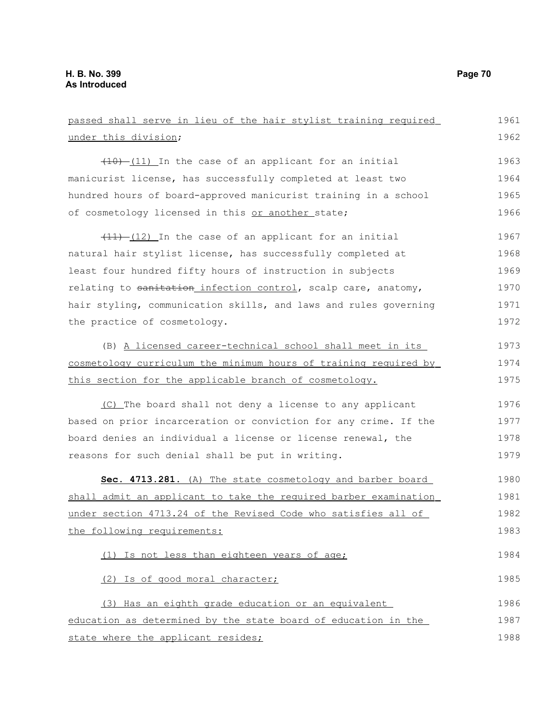passed shall serve in lieu of the hair stylist training required under this division; (10) (11) In the case of an applicant for an initial manicurist license, has successfully completed at least two hundred hours of board-approved manicurist training in a school of cosmetology licensed in this or another state;  $(11)$   $(12)$  In the case of an applicant for an initial natural hair stylist license, has successfully completed at least four hundred fifty hours of instruction in subjects relating to sanitation infection control, scalp care, anatomy, hair styling, communication skills, and laws and rules governing the practice of cosmetology. (B) A licensed career-technical school shall meet in its cosmetology curriculum the minimum hours of training required by this section for the applicable branch of cosmetology. (C) The board shall not deny a license to any applicant based on prior incarceration or conviction for any crime. If the board denies an individual a license or license renewal, the reasons for such denial shall be put in writing. Sec. 4713.281. (A) The state cosmetology and barber board shall admit an applicant to take the required barber examination under section 4713.24 of the Revised Code who satisfies all of the following requirements: (1) Is not less than eighteen years of age; (2) Is of good moral character; (3) Has an eighth grade education or an equivalent education as determined by the state board of education in the state where the applicant resides; 1961 1962 1963 1964 1965 1966 1967 1968 1969 1970 1971 1972 1973 1974 1975 1976 1977 1978 1979 1980 1981 1982 1983 1984 1985 1986 1987 1988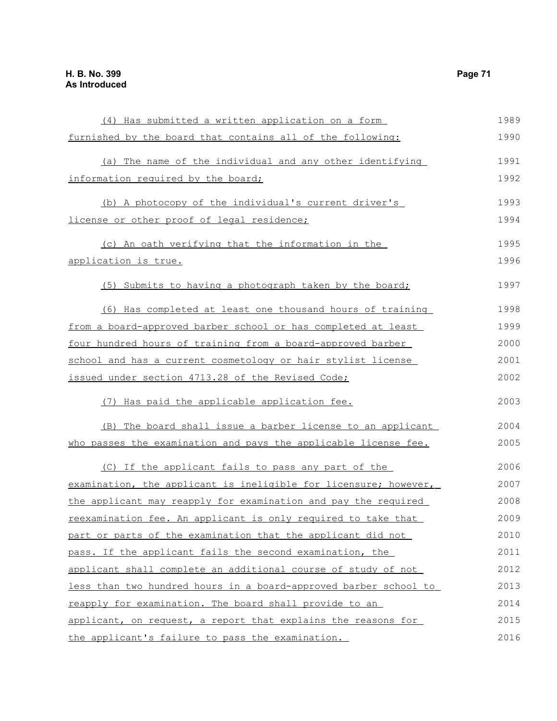| (4) Has submitted a written application on a form                | 1989 |
|------------------------------------------------------------------|------|
| furnished by the board that contains all of the following:       | 1990 |
| (a) The name of the individual and any other identifying         | 1991 |
| information required by the board;                               | 1992 |
| (b) A photocopy of the individual's current driver's             | 1993 |
| license or other proof of legal residence;                       | 1994 |
| (c) An oath verifying that the information in the                | 1995 |
| application is true.                                             | 1996 |
| (5) Submits to having a photograph taken by the board;           | 1997 |
| (6) Has completed at least one thousand hours of training        | 1998 |
| from a board-approved barber school or has completed at least    | 1999 |
| four hundred hours of training from a board-approved barber      | 2000 |
| school and has a current cosmetology or hair stylist license     | 2001 |
| issued under section 4713.28 of the Revised Code;                | 2002 |
| (7) Has paid the applicable application fee.                     | 2003 |
| (B) The board shall issue a barber license to an applicant       | 2004 |
| who passes the examination and pays the applicable license fee.  | 2005 |
| (C) If the applicant fails to pass any part of the               | 2006 |
| examination, the applicant is ineligible for licensure; however, | 2007 |
| the applicant may reapply for examination and pay the required   | 2008 |
| reexamination fee. An applicant is only required to take that    | 2009 |
| part or parts of the examination that the applicant did not      | 2010 |
| pass. If the applicant fails the second examination, the         | 2011 |
| applicant shall complete an additional course of study of not    | 2012 |
| less than two hundred hours in a board-approved barber school to | 2013 |
| reapply for examination. The board shall provide to an           | 2014 |
| applicant, on request, a report that explains the reasons for    | 2015 |
| the applicant's failure to pass the examination.                 | 2016 |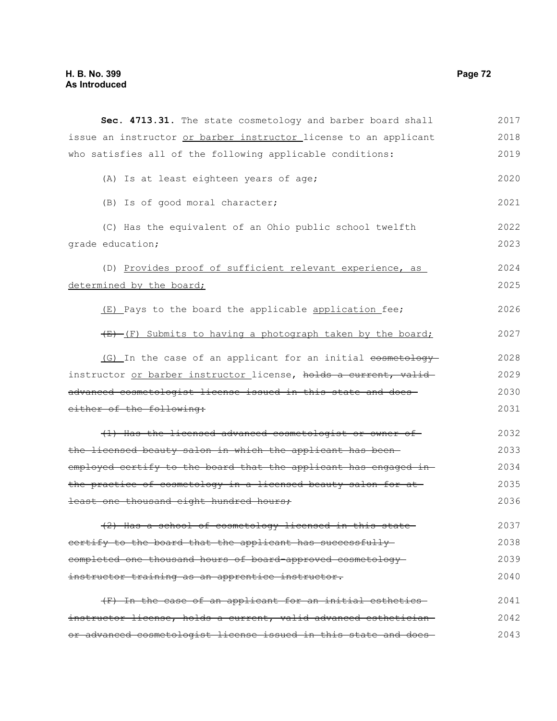| Sec. 4713.31. The state cosmetology and barber board shall                           | 2017         |
|--------------------------------------------------------------------------------------|--------------|
| issue an instructor or barber instructor license to an applicant                     | 2018         |
| who satisfies all of the following applicable conditions:                            | 2019         |
| (A) Is at least eighteen years of age;                                               | 2020         |
| (B) Is of good moral character;                                                      | 2021         |
| (C) Has the equivalent of an Ohio public school twelfth<br>grade education;          | 2022<br>2023 |
| (D) Provides proof of sufficient relevant experience, as<br>determined by the board; | 2024<br>2025 |
| (E) Pays to the board the applicable application fee;                                | 2026         |
| (E) Submits to having a photograph taken by the board;                               | 2027         |
| (G) In the case of an applicant for an initial cosmetology                           | 2028         |
| instructor or barber instructor license, holds a current, valid-                     | 2029         |
| advanced cosmetologist license issued in this state and does-                        | 2030         |
| either of the following:                                                             | 2031         |
| (1) Has the licensed advanced cosmetologist or owner of                              | 2032         |
| the licensed beauty salon in which the applicant has been-                           | 2033         |
| employed certify to the board that the applicant has engaged in-                     | 2034         |
| the practice of cosmetology in a licensed beauty salon for at-                       | 2035         |
| least one thousand eight hundred hours;                                              | 2036         |
| (2) Has a school of cosmetology licensed in this state-                              | 2037         |
| certify to the board that the applicant has successfully                             | 2038         |
| completed one thousand hours of board-approved cosmetology-                          | 2039         |
| instructor training as an apprentice instructor.                                     | 2040         |
| (F) In the case of an applicant for an initial esthetics                             | 2041         |
| instructor license, holds a current, valid advanced esthetician                      | 2042         |
| or advanced cosmetologist license issued in this state and does-                     | 2043         |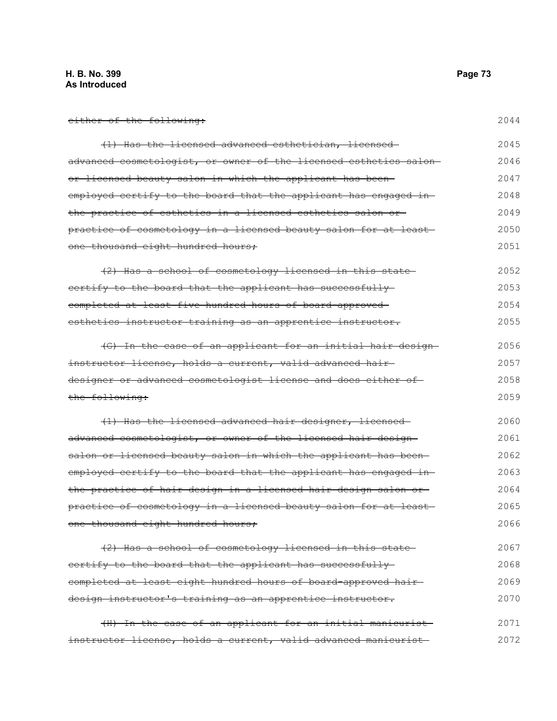|  | either of the following: |
|--|--------------------------|
|  |                          |

| (1) Has the licensed advanced esthetician, licensed               | 2045 |
|-------------------------------------------------------------------|------|
| advanced cosmetologist, or owner of the licensed esthetics salon- | 2046 |
| or licensed beauty salon in which the applicant has been-         | 2047 |
| employed certify to the board that the applicant has engaged in-  | 2048 |
| the practice of esthetics in a licensed esthetics salon or-       | 2049 |
| practice of cosmetology in a licensed beauty salon for at least   | 2050 |
| one thousand eight hundred hours;                                 | 2051 |
| (2) Has a school of cosmetology licensed in this state-           | 2052 |
| eertify to the board that the applicant has successfully          | 2053 |
| completed at least five hundred hours of board-approved-          | 2054 |
| esthetics instructor training as an apprentice instructor.        | 2055 |
| (G) In the case of an applicant for an initial hair design-       | 2056 |
| instructor license, holds a current, valid advanced hair-         | 2057 |
| designer or advanced cosmetologist license and does either of     | 2058 |
| the following:                                                    | 2059 |
| (1) Has the licensed advanced hair designer, licensed             | 2060 |
| advanced cosmetologist, or owner of the licensed hair design-     | 2061 |
| salon or licensed beauty salon in which the applicant has been-   | 2062 |
| employed certify to the board that the applicant has engaged in-  | 2063 |
| the practice of hair design in a licensed hair design salon or-   | 2064 |
| practice of cosmetology in a licensed beauty salon for at least-  | 2065 |
| one thousand eight hundred hours;                                 | 2066 |
| (2) Has a school of cosmetology licensed in this state            | 2067 |
| certify to the board that the applicant has successfully          | 2068 |
| completed at least eight hundred hours of board approved hair-    | 2069 |
| design instructor's training as an apprentice instructor.         | 2070 |
| (H) In the case of an applicant for an initial manicurist         | 2071 |
| instructor license, holds a current, valid advanced manicurist-   | 2072 |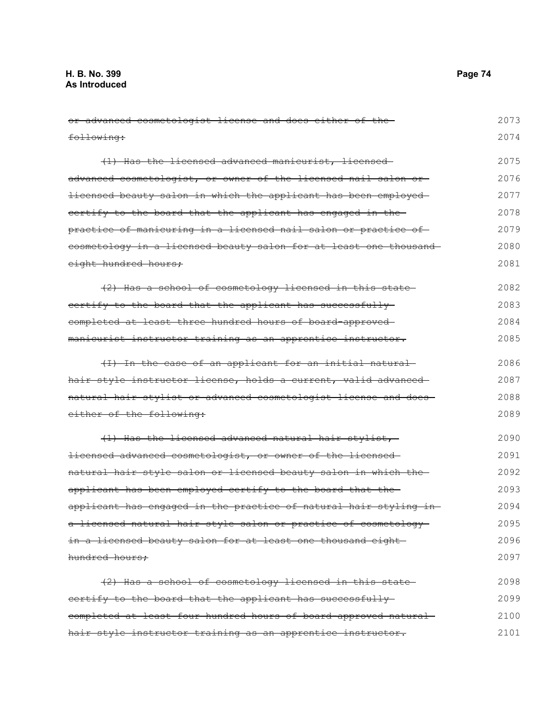# **H. B. No. 399 Page 74 As Introduced**

| or advanced cosmetologist license and does either of the-         | 2073 |
|-------------------------------------------------------------------|------|
| following:                                                        | 2074 |
| (1) Has the licensed advanced manicurist, licensed-               | 2075 |
| advanced cosmetologist, or owner of the licensed nail salon or    | 2076 |
| licensed beauty salon in which the applicant has been employed-   | 2077 |
| eertify to the board that the applicant has engaged in the        | 2078 |
| practice of manicuring in a licensed nail salon or practice of    | 2079 |
| cosmetology in a licensed beauty salon for at least one thousand- | 2080 |
| eight hundred hours;                                              | 2081 |
| (2) Has a school of cosmetology licensed in this state            | 2082 |
| eertify to the board that the applicant has successfully          | 2083 |
| completed at least three hundred hours of board-approved-         | 2084 |
| manicurist instructor training as an apprentice instructor.       | 2085 |
| (I) In the case of an applicant for an initial natural            | 2086 |
| hair style instructor license, holds a current, valid advanced-   | 2087 |
| natural hair stylist or advanced cosmetologist license and does-  | 2088 |
| either of the following:                                          | 2089 |
| (1) Has the licensed advanced natural hair stylist,               | 2090 |
| licensed advanced cosmetologist, or owner of the licensed-        | 2091 |
| natural hair style salon or licensed beauty salon in which the    | 2092 |
| applicant has been employed certify to the board that the-        | 2093 |
| applicant has engaged in the practice of natural hair styling in  | 2094 |
| a licensed natural hair style salon or practice of cosmetology    | 2095 |
| in a licensed beauty salon for at least one thousand eight-       | 2096 |
| hundred hours;                                                    | 2097 |
| (2) Has a school of cosmetology licensed in this state            | 2098 |
| eertify to the board that the applicant has successfully          | 2099 |
| completed at least four hundred hours of board-approved natural-  | 2100 |
| hair style instructor training as an apprentice instructor.       | 2101 |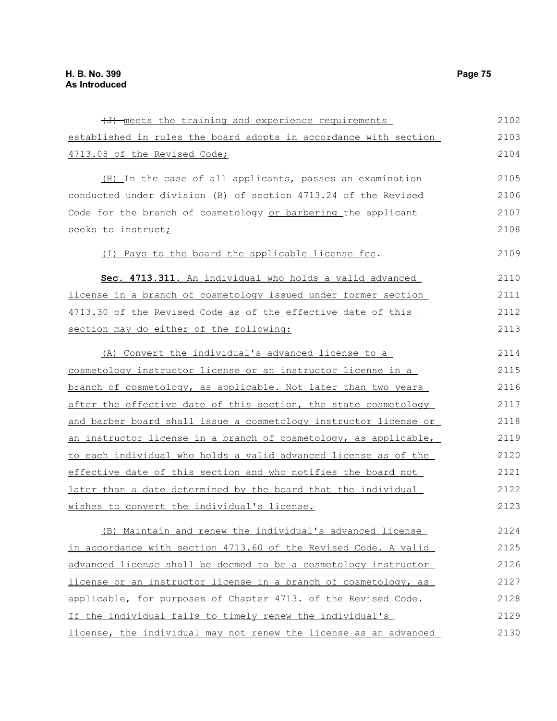| (J) meets the training and experience requirements               | 2102 |
|------------------------------------------------------------------|------|
| established in rules the board adopts in accordance with section | 2103 |
| 4713.08 of the Revised Code;                                     | 2104 |
| (H) In the case of all applicants, passes an examination         | 2105 |
| conducted under division (B) of section 4713.24 of the Revised   | 2106 |
| Code for the branch of cosmetology or barbering the applicant    | 2107 |
| seeks to instruct;                                               | 2108 |
| (I) Pays to the board the applicable license fee.                | 2109 |
| Sec. 4713.311. An individual who holds a valid advanced          | 2110 |
| license in a branch of cosmetology issued under former section   | 2111 |
| 4713.30 of the Revised Code as of the effective date of this     | 2112 |
| section may do either of the following:                          | 2113 |
| (A) Convert the individual's advanced license to a               | 2114 |
| cosmetology instructor license or an instructor license in a     | 2115 |
| branch of cosmetology, as applicable. Not later than two years   | 2116 |
| after the effective date of this section, the state cosmetology  | 2117 |
| and barber board shall issue a cosmetology instructor license or | 2118 |
| an instructor license in a branch of cosmetology, as applicable, | 2119 |
| to each individual who holds a valid advanced license as of the  | 2120 |
| effective date of this section and who notifies the board not    | 2121 |
| later than a date determined by the board that the individual    | 2122 |
| wishes to convert the individual's license.                      | 2123 |
| (B) Maintain and renew the individual's advanced license         | 2124 |
| in accordance with section 4713.60 of the Revised Code. A valid  | 2125 |
| advanced license shall be deemed to be a cosmetology instructor  | 2126 |
| license or an instructor license in a branch of cosmetology, as  | 2127 |
| applicable, for purposes of Chapter 4713. of the Revised Code.   | 2128 |
| If the individual fails to timely renew the individual's         | 2129 |
| license, the individual may not renew the license as an advanced | 2130 |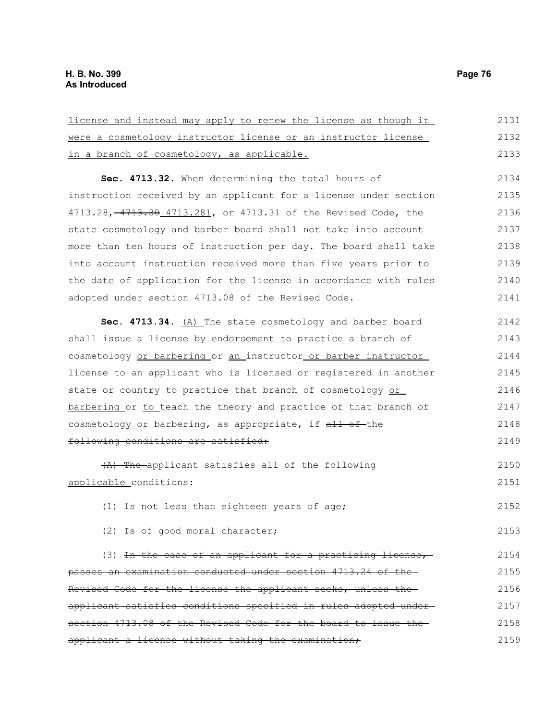| license and instead may apply to renew the license as though it  | 2131 |
|------------------------------------------------------------------|------|
| were a cosmetology instructor license or an instructor license   | 2132 |
| in a branch of cosmetology, as applicable.                       | 2133 |
|                                                                  |      |
| Sec. 4713.32. When determining the total hours of                | 2134 |
| instruction received by an applicant for a license under section | 2135 |
| 4713.28, 4713.30 4713.281, or 4713.31 of the Revised Code, the   | 2136 |
| state cosmetology and barber board shall not take into account   | 2137 |
| more than ten hours of instruction per day. The board shall take | 2138 |
| into account instruction received more than five years prior to  | 2139 |
| the date of application for the license in accordance with rules | 2140 |
| adopted under section 4713.08 of the Revised Code.               | 2141 |
| Sec. 4713.34. (A) The state cosmetology and barber board         | 2142 |
|                                                                  |      |
| shall issue a license by endorsement to practice a branch of     | 2143 |
| cosmetology or barbering or an instructor or barber instructor   | 2144 |
| license to an applicant who is licensed or registered in another | 2145 |
| state or country to practice that branch of cosmetology or       | 2146 |
| barbering or to teach the theory and practice of that branch of  | 2147 |
| cosmetology_or_barbering, as appropriate, if all of the          | 2148 |
| following conditions are satisfied:                              | 2149 |
| (A) The applicant satisfies all of the following                 | 2150 |
| applicable conditions:                                           | 2151 |
|                                                                  |      |
| (1) Is not less than eighteen years of age;                      | 2152 |
| (2) Is of good moral character;                                  | 2153 |
| (3) In the case of an applicant for a practicing license,        | 2154 |
| passes an examination conducted under section 4713.24 of the-    | 2155 |
| Revised Code for the license the applicant seeks, unless the     | 2156 |
| applicant satisfies conditions specified in rules adopted under- | 2157 |
| section 4713.08 of the Revised Code for the board to issue the   | 2158 |
| applicant a license without taking the examination;              | 2159 |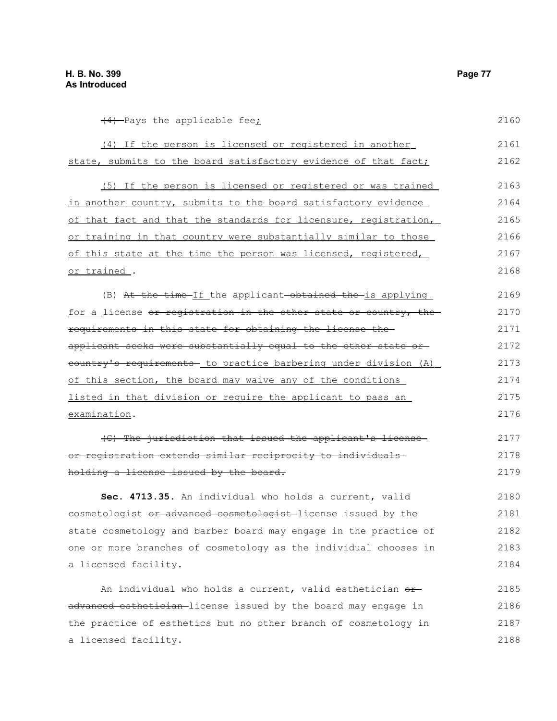2179

(4) Pays the applicable fee; (4) If the person is licensed or registered in another state, submits to the board satisfactory evidence of that fact; (5) If the person is licensed or registered or was trained in another country, submits to the board satisfactory evidence of that fact and that the standards for licensure, registration, or training in that country were substantially similar to those of this state at the time the person was licensed, registered, or trained . (B) At the time If the applicant obtained the is applying for a license or registration in the other state or country, the requirements in this state for obtaining the license the applicant seeks were substantially equal to the other state or country's requirements to practice barbering under division (A) of this section, the board may waive any of the conditions listed in that division or require the applicant to pass an examination. (C) The jurisdiction that issued the applicant's license or registration extends similar reciprocity to individuals 2160 2161 2162 2163 2164 2165 2166 2167 2168 2169 2170 2171 2172 2173 2174 2175 2176 2177 2178

**Sec. 4713.35.** An individual who holds a current, valid cosmetologist or advanced cosmetologist license issued by the state cosmetology and barber board may engage in the practice of one or more branches of cosmetology as the individual chooses in a licensed facility. 2180 2181 2182 2183 2184

holding a license issued by the board.

An individual who holds a current, valid esthetician or advanced esthetician-license issued by the board may engage in the practice of esthetics but no other branch of cosmetology in a licensed facility. 2185 2186 2187 2188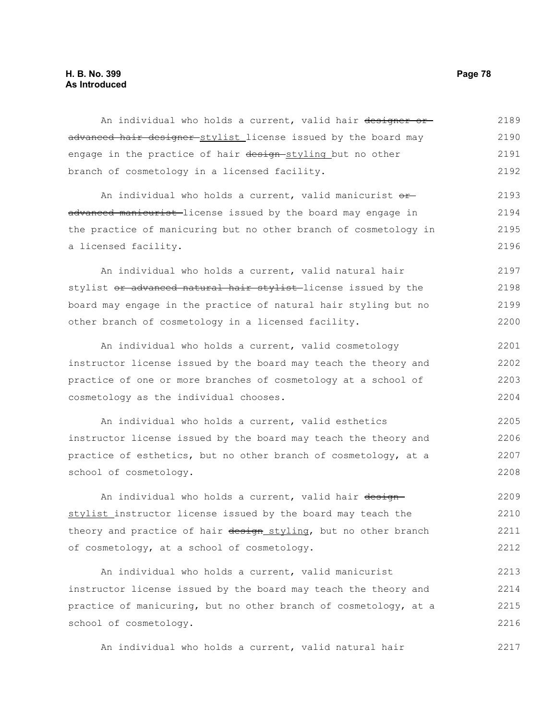# **H. B. No. 399 Page 78 As Introduced**

| An individual who holds a current, valid hair designer or        | 2189 |
|------------------------------------------------------------------|------|
| advanced hair designer stylist license issued by the board may   | 2190 |
| engage in the practice of hair design-styling but no other       | 2191 |
| branch of cosmetology in a licensed facility.                    | 2192 |
| An individual who holds a current, valid manicurist or           | 2193 |
| advanced manicurist license issued by the board may engage in    | 2194 |
| the practice of manicuring but no other branch of cosmetology in | 2195 |
| a licensed facility.                                             | 2196 |
| An individual who holds a current, valid natural hair            | 2197 |
| stylist or advanced natural hair stylist license issued by the   | 2198 |
| board may engage in the practice of natural hair styling but no  | 2199 |
| other branch of cosmetology in a licensed facility.              | 2200 |
| An individual who holds a current, valid cosmetology             | 2201 |
| instructor license issued by the board may teach the theory and  | 2202 |
| practice of one or more branches of cosmetology at a school of   | 2203 |
| cosmetology as the individual chooses.                           | 2204 |
| An individual who holds a current, valid esthetics               | 2205 |
| instructor license issued by the board may teach the theory and  | 2206 |
| practice of esthetics, but no other branch of cosmetology, at a  | 2207 |
| school of cosmetology.                                           | 2208 |
| An individual who holds a current, valid hair design-            | 2209 |
| stylist instructor license issued by the board may teach the     | 2210 |
| theory and practice of hair design_styling, but no other branch  | 2211 |
| of cosmetology, at a school of cosmetology.                      | 2212 |
| An individual who holds a current, valid manicurist              | 2213 |
| instructor license issued by the board may teach the theory and  | 2214 |
| practice of manicuring, but no other branch of cosmetology, at a | 2215 |
| school of cosmetology.                                           | 2216 |

An individual who holds a current, valid natural hair 2217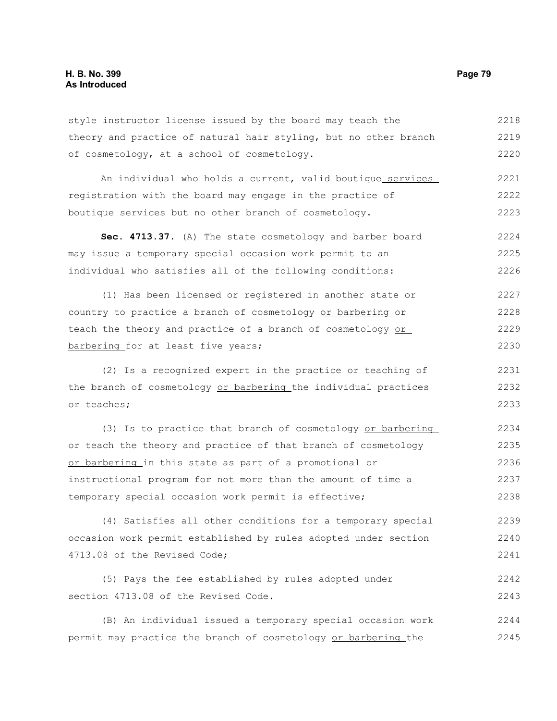style instructor license issued by the board may teach the theory and practice of natural hair styling, but no other branch of cosmetology, at a school of cosmetology. 2218 2219 2220

An individual who holds a current, valid boutique services registration with the board may engage in the practice of boutique services but no other branch of cosmetology. 2221 2222 2223

**Sec. 4713.37.** (A) The state cosmetology and barber board may issue a temporary special occasion work permit to an individual who satisfies all of the following conditions: 2224 2225 2226

(1) Has been licensed or registered in another state or country to practice a branch of cosmetology or barbering or teach the theory and practice of a branch of cosmetology or barbering for at least five years; 2227 2228 2229 2230

(2) Is a recognized expert in the practice or teaching of the branch of cosmetology or barbering the individual practices or teaches; 2231 2232 2233

(3) Is to practice that branch of cosmetology or barbering or teach the theory and practice of that branch of cosmetology or barbering in this state as part of a promotional or instructional program for not more than the amount of time a temporary special occasion work permit is effective; 2234 2235 2236 2237 2238

(4) Satisfies all other conditions for a temporary special occasion work permit established by rules adopted under section 4713.08 of the Revised Code; 2239 2240 2241

(5) Pays the fee established by rules adopted under section 4713.08 of the Revised Code. 2242 2243

(B) An individual issued a temporary special occasion work permit may practice the branch of cosmetology or barbering the 2244 2245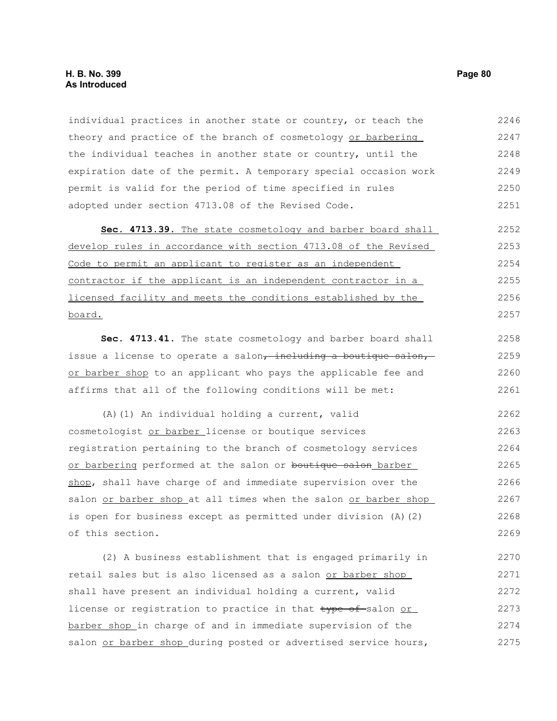individual practices in another state or country, or teach the theory and practice of the branch of cosmetology or barbering the individual teaches in another state or country, until the expiration date of the permit. A temporary special occasion work permit is valid for the period of time specified in rules adopted under section 4713.08 of the Revised Code. 2246 2247 2248 2249 2250 2251

 **Sec. 4713.39.** The state cosmetology and barber board shall develop rules in accordance with section 4713.08 of the Revised Code to permit an applicant to register as an independent contractor if the applicant is an independent contractor in a licensed facility and meets the conditions established by the board. 2252 2253 2254 2255 2256 2257

**Sec. 4713.41.** The state cosmetology and barber board shall issue a license to operate a salon, including a boutique salon, or barber shop to an applicant who pays the applicable fee and affirms that all of the following conditions will be met:

(A)(1) An individual holding a current, valid cosmetologist or barber license or boutique services registration pertaining to the branch of cosmetology services or barbering performed at the salon or boutique salon barber shop, shall have charge of and immediate supervision over the salon or barber shop at all times when the salon or barber shop is open for business except as permitted under division (A)(2) of this section. 2262 2263 2264 2265 2266 2267 2268 2269

(2) A business establishment that is engaged primarily in retail sales but is also licensed as a salon or barber shop shall have present an individual holding a current, valid license or registration to practice in that  $\frac{1}{2}$  +  $\frac{1}{2}$  +  $\frac{1}{2}$  +  $\frac{1}{2}$  barber shopin charge of and in immediate supervision of the salon or barber shop during posted or advertised service hours, 2270 2271 2272 2273 2274 2275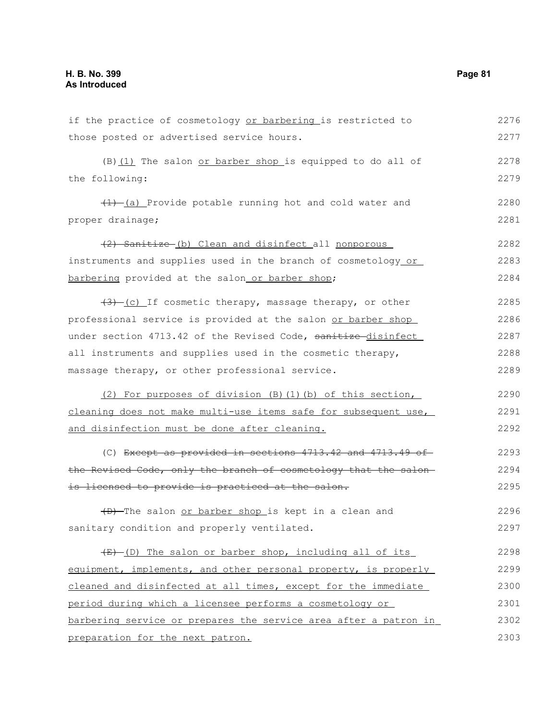| if the practice of cosmetology or barbering is restricted to     | 2276 |
|------------------------------------------------------------------|------|
| those posted or advertised service hours.                        | 2277 |
| (B) (1) The salon or barber shop is equipped to do all of        | 2278 |
| the following:                                                   | 2279 |
| $(1)$ (a) Provide potable running hot and cold water and         | 2280 |
| proper drainage;                                                 | 2281 |
| (2) Sanitize (b) Clean and disinfect all nonporous               | 2282 |
| instruments and supplies used in the branch of cosmetology or    | 2283 |
| barbering provided at the salon or barber shop;                  | 2284 |
| $(3)$ (c) If cosmetic therapy, massage therapy, or other         | 2285 |
| professional service is provided at the salon or barber shop     | 2286 |
| under section 4713.42 of the Revised Code, sanitize-disinfect    | 2287 |
| all instruments and supplies used in the cosmetic therapy,       | 2288 |
| massage therapy, or other professional service.                  | 2289 |
| (2) For purposes of division (B) (1) (b) of this section,        | 2290 |
| cleaning does not make multi-use items safe for subsequent use,  | 2291 |
| and disinfection must be done after cleaning.                    | 2292 |
| (C) Except as provided in sections 4713.42 and 4713.49 of        | 2293 |
| the Revised Code, only the branch of cosmetology that the salon- | 2294 |
| is licensed to provide is practiced at the salon.                | 2295 |
| (D) The salon or barber shop is kept in a clean and              | 2296 |
| sanitary condition and properly ventilated.                      | 2297 |
| (E) (D) The salon or barber shop, including all of its           | 2298 |
| equipment, implements, and other personal property, is properly  | 2299 |
| cleaned and disinfected at all times, except for the immediate   | 2300 |
| period during which a licensee performs a cosmetology or         | 2301 |
| barbering service or prepares the service area after a patron in | 2302 |
| preparation for the next patron.                                 | 2303 |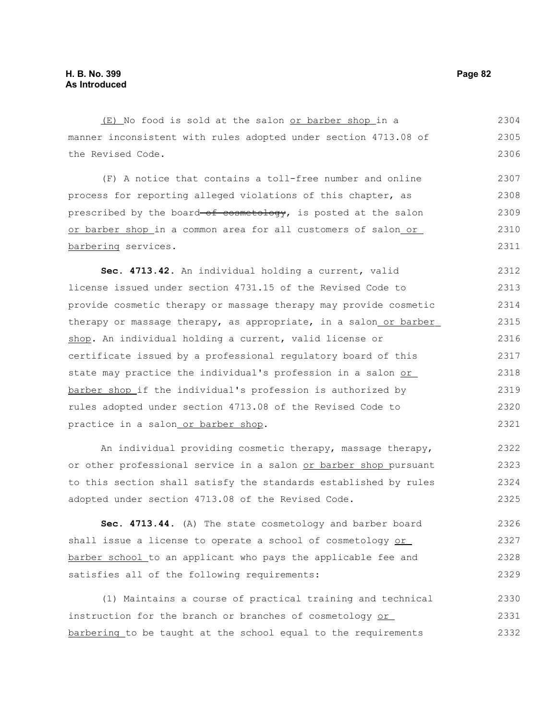(E) No food is sold at the salon or barber shop in a manner inconsistent with rules adopted under section 4713.08 of the Revised Code. 2304 2305 2306

(F) A notice that contains a toll-free number and online process for reporting alleged violations of this chapter, as prescribed by the board-of cosmetology, is posted at the salon or barber shopin a common area for all customers of salon or barbering services. 2307 2308 2309 2310 2311

**Sec. 4713.42.** An individual holding a current, valid license issued under section 4731.15 of the Revised Code to provide cosmetic therapy or massage therapy may provide cosmetic therapy or massage therapy, as appropriate, in a salon or barber shop. An individual holding a current, valid license or certificate issued by a professional regulatory board of this state may practice the individual's profession in a salon or barber shopif the individual's profession is authorized by rules adopted under section 4713.08 of the Revised Code to practice in a salon or barber shop. 2312 2313 2314 2315 2316 2317 2318 2319 2320 2321

An individual providing cosmetic therapy, massage therapy, or other professional service in a salon or barber shop pursuant to this section shall satisfy the standards established by rules adopted under section 4713.08 of the Revised Code. 2322 2323 2324 2325

**Sec. 4713.44.** (A) The state cosmetology and barber board shall issue a license to operate a school of cosmetology or barber school to an applicant who pays the applicable fee and satisfies all of the following requirements: 2326 2327 2328 2329

(1) Maintains a course of practical training and technical instruction for the branch or branches of cosmetology or barbering to be taught at the school equal to the requirements 2330 2331 2332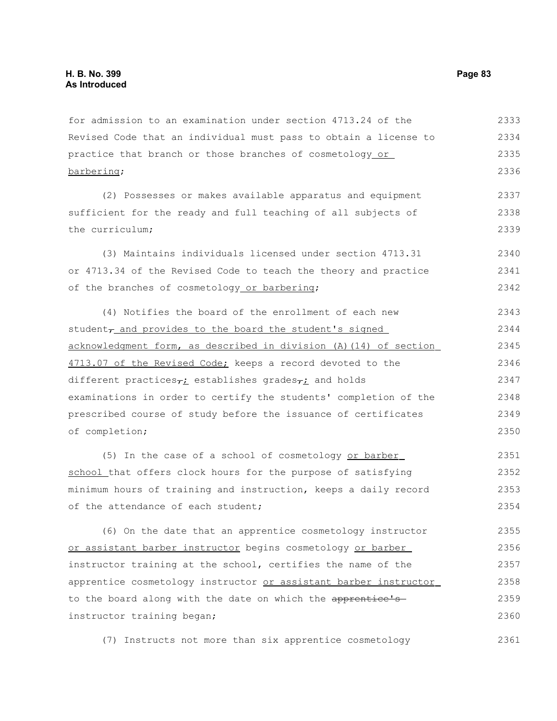for admission to an examination under section 4713.24 of the Revised Code that an individual must pass to obtain a license to practice that branch or those branches of cosmetology or barbering; 2333 2334 2335 2336

(2) Possesses or makes available apparatus and equipment sufficient for the ready and full teaching of all subjects of the curriculum; 2337 2338 2339

(3) Maintains individuals licensed under section 4713.31 or 4713.34 of the Revised Code to teach the theory and practice of the branches of cosmetology or barbering; 2340 2341 2342

(4) Notifies the board of the enrollment of each new student $_{\mathcal{T}}$  and provides to the board the student's signed acknowledgment form, as described in division (A)(14) of section 4713.07 of the Revised Code; keeps a record devoted to the different practices<sub> $7L$ </sub> establishes grades $_{7L}$  and holds examinations in order to certify the students' completion of the prescribed course of study before the issuance of certificates of completion; 2343 2344 2345 2346 2347 2348 2349 2350

(5) In the case of a school of cosmetology or barber school that offers clock hours for the purpose of satisfying minimum hours of training and instruction, keeps a daily record of the attendance of each student; 2351 2352 2353 2354

(6) On the date that an apprentice cosmetology instructor or assistant barber instructor begins cosmetology or barber instructor training at the school, certifies the name of the apprentice cosmetology instructor or assistant barber instructor to the board along with the date on which the apprentice'sinstructor training began; 2355 2356 2357 2358 2359 2360

(7) Instructs not more than six apprentice cosmetology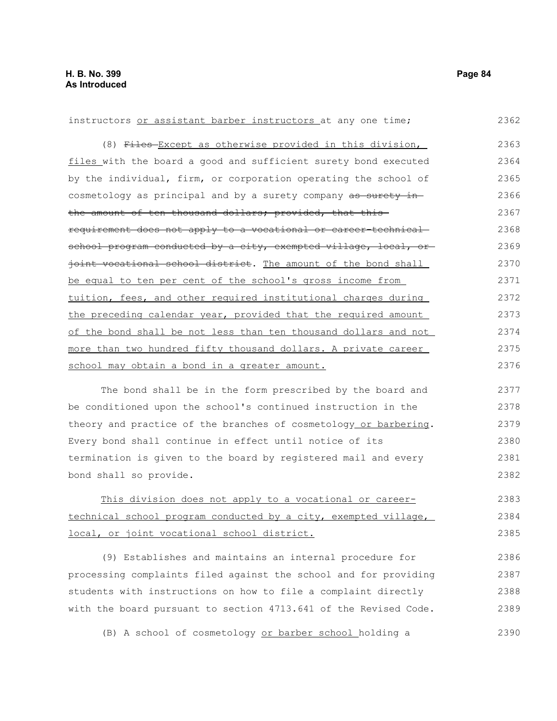instructors or assistant barber instructors at any one time; (8) Files Except as otherwise provided in this division, files with the board a good and sufficient surety bond executed by the individual, firm, or corporation operating the school of cosmetology as principal and by a surety company as surety inthe amount of ten thousand dollars; provided, that this requirement does not apply to a vocational or career-technical school program conducted by a city, exempted village, local, orjoint vocational school district. The amount of the bond shall be equal to ten per cent of the school's gross income from tuition, fees, and other required institutional charges during the preceding calendar year, provided that the required amount of the bond shall be not less than ten thousand dollars and not more than two hundred fifty thousand dollars. A private career school may obtain a bond in a greater amount. The bond shall be in the form prescribed by the board and be conditioned upon the school's continued instruction in the 2362 2363 2364 2365 2366 2367 2368 2369 2370 2371 2372 2373 2374 2375 2376 2377 2378

theory and practice of the branches of cosmetology or barbering. Every bond shall continue in effect until notice of its termination is given to the board by registered mail and every bond shall so provide. 2379 2380 2381 2382

 This division does not apply to a vocational or career technical school program conducted by a city, exempted village, local, or joint vocational school district. 2383 2384 2385

(9) Establishes and maintains an internal procedure for processing complaints filed against the school and for providing students with instructions on how to file a complaint directly with the board pursuant to section 4713.641 of the Revised Code. 2386 2387 2388 2389

(B) A school of cosmetology or barber school holding a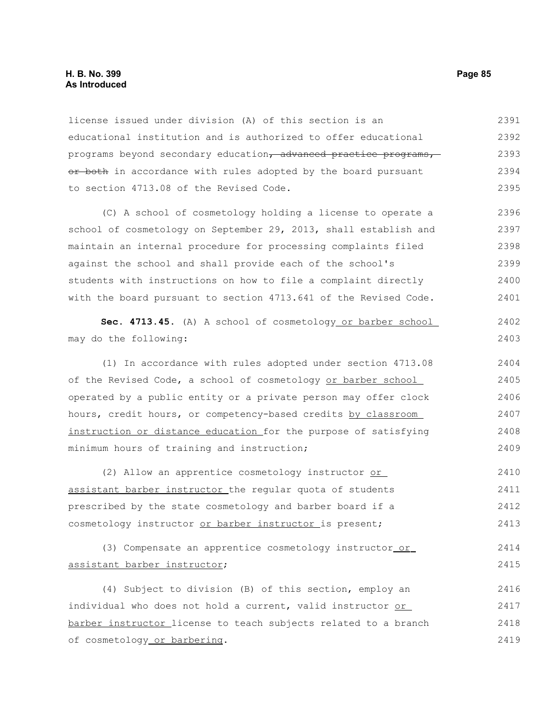### **H. B. No. 399 Page 85 As Introduced**

license issued under division (A) of this section is an educational institution and is authorized to offer educational programs beyond secondary education, advanced practice programs, or both in accordance with rules adopted by the board pursuant to section 4713.08 of the Revised Code. 2391 2392 2393 2394 2395

(C) A school of cosmetology holding a license to operate a school of cosmetology on September 29, 2013, shall establish and maintain an internal procedure for processing complaints filed against the school and shall provide each of the school's students with instructions on how to file a complaint directly with the board pursuant to section 4713.641 of the Revised Code. 2396 2397 2398 2399 2400 2401

Sec. 4713.45. (A) A school of cosmetology or barber school may do the following: 2402 2403

(1) In accordance with rules adopted under section 4713.08 of the Revised Code, a school of cosmetology or barber school operated by a public entity or a private person may offer clock hours, credit hours, or competency-based credits by classroom instruction or distance education for the purpose of satisfying minimum hours of training and instruction; 2404 2405 2406 2407 2408 2409

(2) Allow an apprentice cosmetology instructor or assistant barber instructor the regular quota of students prescribed by the state cosmetology and barber board if a cosmetology instructor or barber instructor is present; 2410 2411 2412 2413

(3) Compensate an apprentice cosmetology instructor or assistant barber instructor; 2414 2415

(4) Subject to division (B) of this section, employ an individual who does not hold a current, valid instructor or barber instructor license to teach subjects related to a branch of cosmetology or barbering. 2416 2417 2418 2419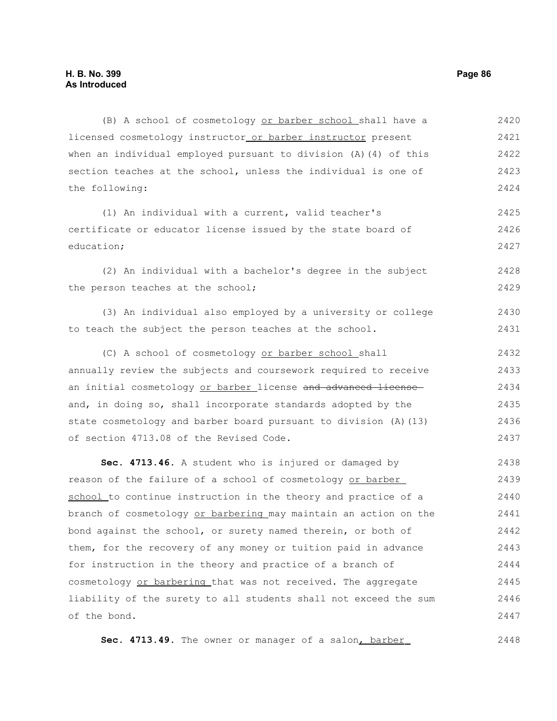(B) A school of cosmetology or barber school shall have a licensed cosmetology instructor or barber instructor present when an individual employed pursuant to division (A)(4) of this section teaches at the school, unless the individual is one of the following: (1) An individual with a current, valid teacher's certificate or educator license issued by the state board of education; (2) An individual with a bachelor's degree in the subject the person teaches at the school; (3) An individual also employed by a university or college to teach the subject the person teaches at the school. (C) A school of cosmetology or barber school shall annually review the subjects and coursework required to receive an initial cosmetology or barber license and advanced licenseand, in doing so, shall incorporate standards adopted by the state cosmetology and barber board pursuant to division (A)(13) of section 4713.08 of the Revised Code. **Sec. 4713.46.** A student who is injured or damaged by reason of the failure of a school of cosmetology or barber school to continue instruction in the theory and practice of a branch of cosmetology or barbering may maintain an action on the bond against the school, or surety named therein, or both of them, for the recovery of any money or tuition paid in advance for instruction in the theory and practice of a branch of cosmetology or barbering that was not received. The aggregate liability of the surety to all students shall not exceed the sum of the bond. 2420 2421 2422 2423 2424 2425 2426 2427 2428 2429 2430 2431 2432 2433 2434 2435 2436 2437 2438 2439 2440 2441 2442 2443 2444 2445 2446 2447

Sec. 4713.49. The owner or manager of a salon, barber 2448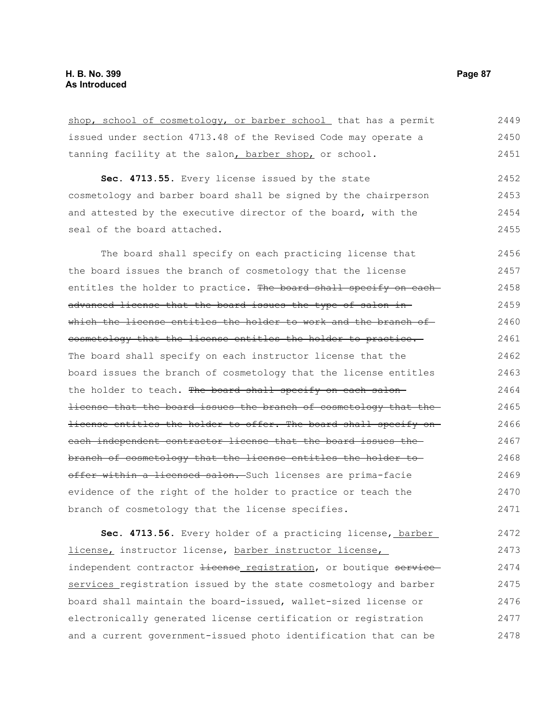| shop, school of cosmetology, or barber school that has a permit         | 2449 |
|-------------------------------------------------------------------------|------|
| issued under section 4713.48 of the Revised Code may operate a          | 2450 |
| tanning facility at the salon, barber shop, or school.                  | 2451 |
| Sec. 4713.55. Every license issued by the state                         | 2452 |
| cosmetology and barber board shall be signed by the chairperson         | 2453 |
| and attested by the executive director of the board, with the           | 2454 |
| seal of the board attached.                                             | 2455 |
| The board shall specify on each practicing license that                 | 2456 |
| the board issues the branch of cosmetology that the license             | 2457 |
| entitles the holder to practice. The board shall specify on each-       | 2458 |
| advanced license that the board issues the type of salon in-            | 2459 |
| which the license entitles the holder to work and the branch of-        | 2460 |
| eosmetology that the license entitles the holder to practice.           | 2461 |
| The board shall specify on each instructor license that the             | 2462 |
| board issues the branch of cosmetology that the license entitles        | 2463 |
| the holder to teach. The board shall specify on each salon-             | 2464 |
| license that the board issues the branch of cosmetology that the        | 2465 |
| license entitles the holder to offer. The board shall specify on        | 2466 |
| each independent contractor license that the board issues the           | 2467 |
| branch of cosmetology that the license entitles the holder to           | 2468 |
| offer within a licensed salon. Such licenses are prima-facie            | 2469 |
| evidence of the right of the holder to practice or teach the            | 2470 |
| branch of cosmetology that the license specifies.                       | 2471 |
| Sec. 4713.56. Every holder of a practicing license, barber              | 2472 |
| license, instructor license, barber instructor license,                 | 2473 |
| independent contractor <i>lieense</i> registration, or boutique service | 2474 |

services registration issued by the state cosmetology and barber board shall maintain the board-issued, wallet-sized license or electronically generated license certification or registration and a current government-issued photo identification that can be 2475 2476 2477 2478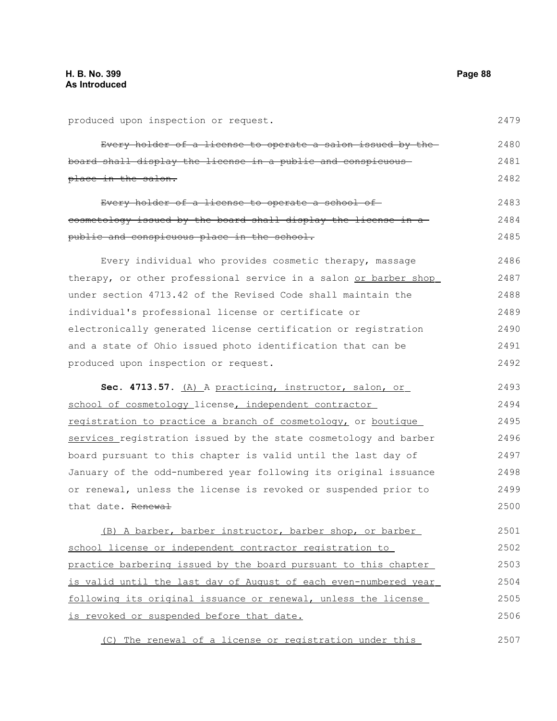| produced upon inspection or request.                             | 2479 |
|------------------------------------------------------------------|------|
| Every holder of a license to operate a salon issued by the-      | 2480 |
| board shall display the license in a public and conspicuous      | 2481 |
| place in the salon.                                              | 2482 |
| Every holder of a license to operate a school of                 | 2483 |
| eosmetology issued by the board shall display the license in a-  | 2484 |
| public and conspicuous place in the school.                      | 2485 |
| Every individual who provides cosmetic therapy, massage          | 2486 |
| therapy, or other professional service in a salon or barber shop | 2487 |
| under section 4713.42 of the Revised Code shall maintain the     | 2488 |
| individual's professional license or certificate or              | 2489 |
| electronically generated license certification or registration   | 2490 |
| and a state of Ohio issued photo identification that can be      | 2491 |
| produced upon inspection or request.                             | 2492 |
| Sec. 4713.57. (A) A practicing, instructor, salon, or            | 2493 |
| school of cosmetology license, independent contractor            | 2494 |
| registration to practice a branch of cosmetology, or boutique    | 2495 |
| services registration issued by the state cosmetology and barber | 2496 |
| board pursuant to this chapter is valid until the last day of    | 2497 |
| January of the odd-numbered year following its original issuance | 2498 |
| or renewal, unless the license is revoked or suspended prior to  | 2499 |
| that date. Renewal                                               | 2500 |
| (B) A barber, barber instructor, barber shop, or barber          | 2501 |
| school license or independent contractor registration to         | 2502 |
| practice barbering issued by the board pursuant to this chapter  | 2503 |
| is valid until the last day of August of each even-numbered year | 2504 |
| following its original issuance or renewal, unless the license   | 2505 |
| is revoked or suspended before that date.                        | 2506 |

 (C) The renewal of a license or registration under this 2507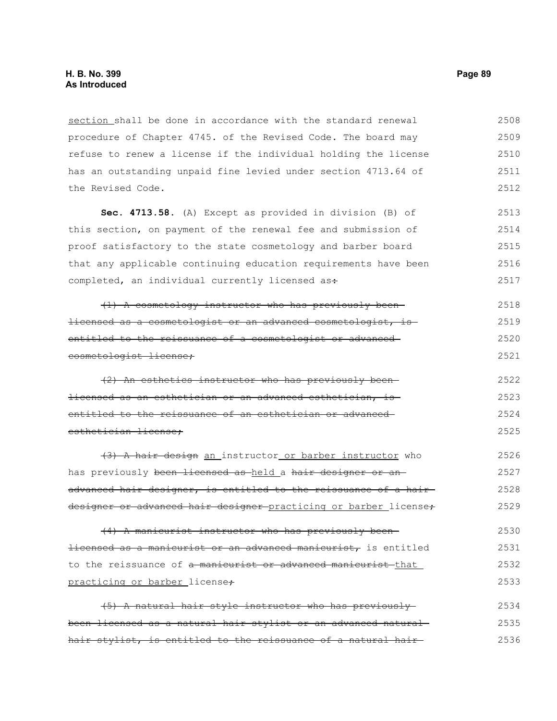section shall be done in accordance with the standard renewal procedure of Chapter 4745. of the Revised Code. The board may refuse to renew a license if the individual holding the license has an outstanding unpaid fine levied under section 4713.64 of the Revised Code. 2508 2509 2510 2511 2512

**Sec. 4713.58.** (A) Except as provided in division (B) of this section, on payment of the renewal fee and submission of proof satisfactory to the state cosmetology and barber board that any applicable continuing education requirements have been completed, an individual currently licensed as: 2513 2514 2515 2516 2517

(1) A cosmetology instructor who has previously been licensed as a cosmetologist or an advanced cosmetologist, is entitled to the reissuance of a cosmetologist or advanced cosmetologist license; 2518 2519 2520 2521

(2) An esthetics instructor who has previously been licensed as an esthetician or an advanced esthetician, is entitled to the reissuance of an esthetician or advanced esthetician license; 2522 2523 2524 2525

(3) A hair design an instructor or barber instructor who has previously been licensed as held a hair designer or anadvanced hair designer, is entitled to the reissuance of a hairdesigner or advanced hair designer practicing or barber license, 2526 2527 2528 2529

(4) A manicurist instructor who has previously been licensed as a manicurist or an advanced manicurist, is entitled to the reissuance of a manicurist or advanced manicurist-that practicing or barber license<del>;</del> 2530 2531 2532 2533

(5) A natural hair style instructor who has previously been licensed as a natural hair stylist or an advanced natural hair stylist, is entitled to the reissuance of a natural hair-2534 2535 2536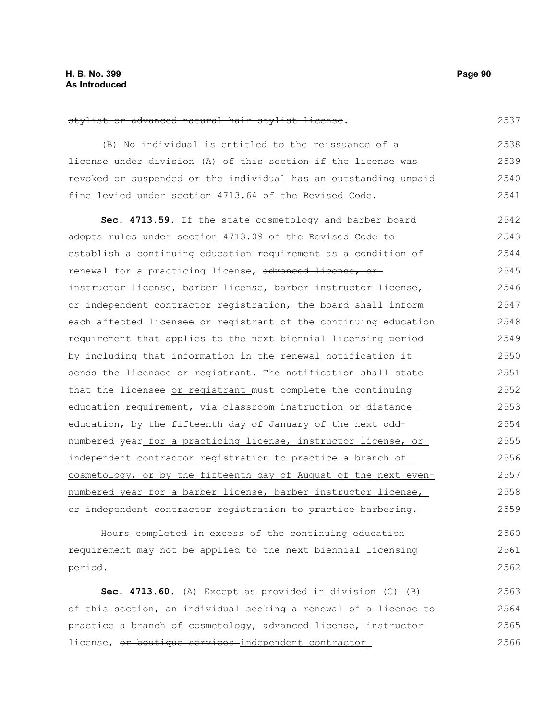stylist or advanced natural hair stylist license.

(B) No individual is entitled to the reissuance of a license under division (A) of this section if the license was revoked or suspended or the individual has an outstanding unpaid fine levied under section 4713.64 of the Revised Code. 2538 2539 2540 2541

**Sec. 4713.59.** If the state cosmetology and barber board adopts rules under section 4713.09 of the Revised Code to establish a continuing education requirement as a condition of renewal for a practicing license, advanced license, orinstructor license, barber license, barber instructor license, or independent contractor registration, the board shall inform each affected licensee or registrant of the continuing education requirement that applies to the next biennial licensing period by including that information in the renewal notification it sends the licensee or registrant. The notification shall state that the licensee or registrant must complete the continuing education requirement, via classroom instruction or distance education, by the fifteenth day of January of the next oddnumbered year for a practicing license, instructor license, or independent contractor registration to practice a branch of cosmetology, or by the fifteenth day of August of the next even numbered year for a barber license, barber instructor license, or independent contractor registration to practice barbering. 2542 2543 2544 2545 2546 2547 2548 2549 2550 2551 2552 2553 2554 2555 2556 2557 2558 2559

Hours completed in excess of the continuing education requirement may not be applied to the next biennial licensing period. 2560 2561 2562

**Sec. 4713.60.** (A) Except as provided in division  $\overline{(C) - (B)}$ of this section, an individual seeking a renewal of a license to practice a branch of cosmetology, advanced license, instructor license, or boutique services independent contractor 2563 2564 2565 2566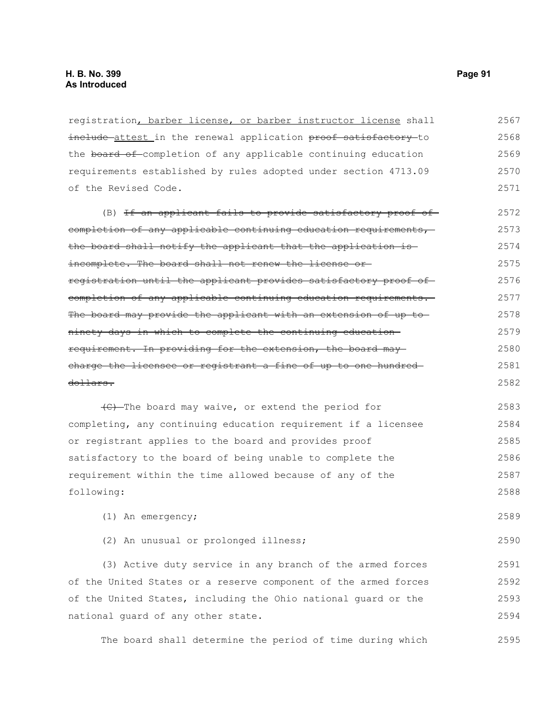registration, barber license, or barber instructor license shall include attest in the renewal application proof satisfactory to the board of completion of any applicable continuing education requirements established by rules adopted under section 4713.09 of the Revised Code. (B) If an applicant fails to provide satisfactory proof ofcompletion of any applicable continuing education requirements, the board shall notify the applicant that the application is incomplete. The board shall not renew the license orregistration until the applicant provides satisfactory proof of completion of any applicable continuing education requirements. The board may provide the applicant with an extension of up toninety days in which to complete the continuing education requirement. In providing for the extension, the board may charge the licensee or registrant a fine of up to one hundred dollars. (C) The board may waive, or extend the period for completing, any continuing education requirement if a licensee or registrant applies to the board and provides proof 2567 2568 2569 2570 2571 2572 2573 2574 2575 2576 2577 2578 2579 2580 2581 2582 2583 2584 2585

satisfactory to the board of being unable to complete the requirement within the time allowed because of any of the following: 2586 2587 2588

(1) An emergency; 2589

(2) An unusual or prolonged illness;

(3) Active duty service in any branch of the armed forces of the United States or a reserve component of the armed forces of the United States, including the Ohio national guard or the national guard of any other state. 2591 2592 2593 2594

The board shall determine the period of time during which 2595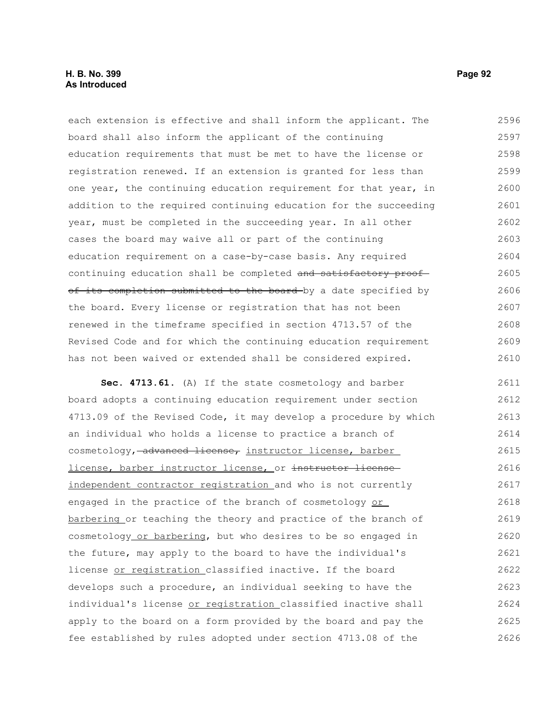each extension is effective and shall inform the applicant. The board shall also inform the applicant of the continuing education requirements that must be met to have the license or registration renewed. If an extension is granted for less than one year, the continuing education requirement for that year, in addition to the required continuing education for the succeeding year, must be completed in the succeeding year. In all other cases the board may waive all or part of the continuing education requirement on a case-by-case basis. Any required continuing education shall be completed and satisfactory proofof its completion submitted to the board by a date specified by the board. Every license or registration that has not been renewed in the timeframe specified in section 4713.57 of the Revised Code and for which the continuing education requirement has not been waived or extended shall be considered expired. 2596 2597 2598 2599 2600 2601 2602 2603 2604 2605 2606 2607 2608 2609 2610

**Sec. 4713.61.** (A) If the state cosmetology and barber board adopts a continuing education requirement under section 4713.09 of the Revised Code, it may develop a procedure by which an individual who holds a license to practice a branch of cosmetology, advanced license, instructor license, barber license, barber instructor license, or instructor license independent contractor registration and who is not currently engaged in the practice of the branch of cosmetology or barbering or teaching the theory and practice of the branch of cosmetology or barbering, but who desires to be so engaged in the future, may apply to the board to have the individual's license or registration classified inactive. If the board develops such a procedure, an individual seeking to have the individual's license or registration classified inactive shall apply to the board on a form provided by the board and pay the fee established by rules adopted under section 4713.08 of the 2611 2612 2613 2614 2615 2616 2617 2618 2619 2620 2621 2622 2623 2624 2625 2626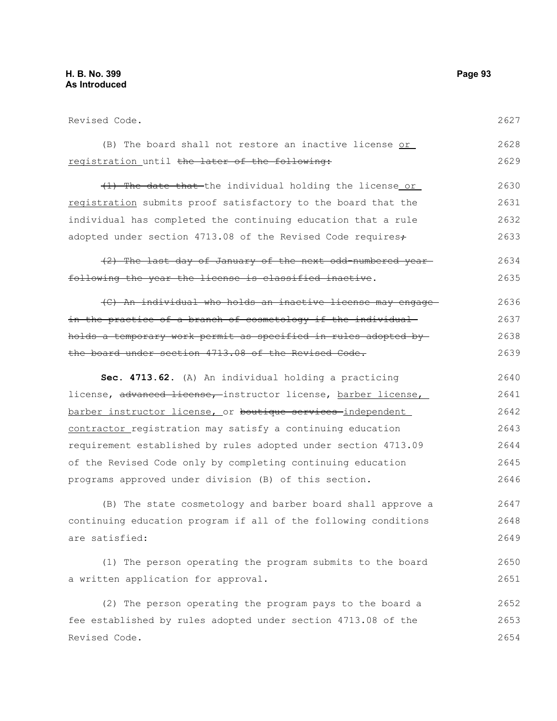## **H. B. No. 399 Page 93 As Introduced**

Revised Code.

Revised Code. (B) The board shall not restore an inactive license or registration until the later of the following: (1) The date that the individual holding the license or registration submits proof satisfactory to the board that the individual has completed the continuing education that a rule adopted under section 4713.08 of the Revised Code requires $\div$ (2) The last day of January of the next odd-numbered year following the year the license is classified inactive. (C) An individual who holds an inactive license may engage in the practice of a branch of cosmetology if the individual holds a temporary work permit as specified in rules adopted by the board under section 4713.08 of the Revised Code. **Sec. 4713.62.** (A) An individual holding a practicing license, advanced license, instructor license, barber license, barber instructor license, or boutique services independent contractor registration may satisfy a continuing education requirement established by rules adopted under section 4713.09 of the Revised Code only by completing continuing education programs approved under division (B) of this section. (B) The state cosmetology and barber board shall approve a continuing education program if all of the following conditions are satisfied: (1) The person operating the program submits to the board a written application for approval. (2) The person operating the program pays to the board a fee established by rules adopted under section 4713.08 of the 2627 2628 2629 2630 2631 2632 2633 2634 2635 2636 2637 2638 2639 2640 2641 2642 2643 2644 2645 2646 2647 2648 2649 2650 2651 2652 2653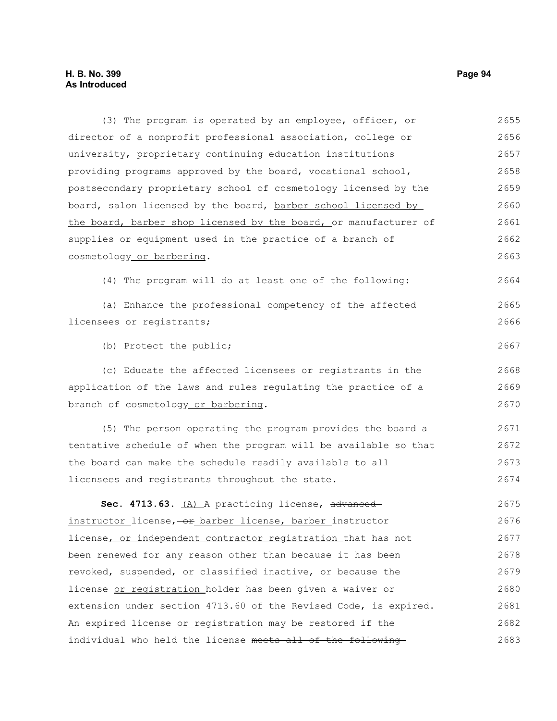# **H. B. No. 399 Page 94 As Introduced**

| (3) The program is operated by an employee, officer, or          | 2655 |
|------------------------------------------------------------------|------|
| director of a nonprofit professional association, college or     | 2656 |
| university, proprietary continuing education institutions        | 2657 |
| providing programs approved by the board, vocational school,     | 2658 |
| postsecondary proprietary school of cosmetology licensed by the  | 2659 |
| board, salon licensed by the board, barber school licensed by    | 2660 |
| the board, barber shop licensed by the board, or manufacturer of | 2661 |
| supplies or equipment used in the practice of a branch of        | 2662 |
| cosmetology or barbering.                                        | 2663 |
| (4) The program will do at least one of the following:           | 2664 |
| (a) Enhance the professional competency of the affected          | 2665 |
| licensees or registrants;                                        | 2666 |
| (b) Protect the public;                                          | 2667 |
| (c) Educate the affected licensees or registrants in the         | 2668 |
| application of the laws and rules regulating the practice of a   | 2669 |
| branch of cosmetology or barbering.                              | 2670 |
| (5) The person operating the program provides the board a        | 2671 |
| tentative schedule of when the program will be available so that | 2672 |
| the board can make the schedule readily available to all         | 2673 |
| licensees and registrants throughout the state.                  | 2674 |
| Sec. 4713.63. (A) A practicing license, advanced-                | 2675 |
| instructor_license, or barber_license, barber_instructor         | 2676 |
| license, or independent contractor registration that has not     | 2677 |
| been renewed for any reason other than because it has been       | 2678 |
| revoked, suspended, or classified inactive, or because the       | 2679 |
| license or registration holder has been given a waiver or        | 2680 |
| extension under section 4713.60 of the Revised Code, is expired. | 2681 |
| An expired license or registration may be restored if the        | 2682 |
| individual who held the license meets all of the following-      | 2683 |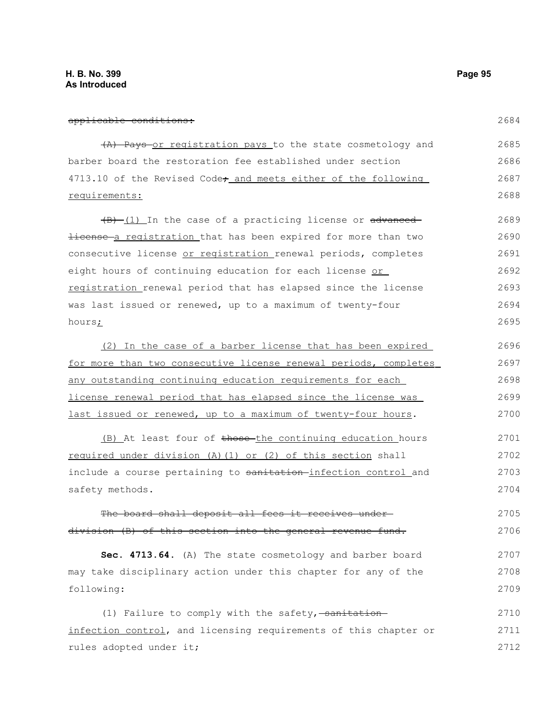| applicable conditions:                                                | 2684 |
|-----------------------------------------------------------------------|------|
| (A) Pays or registration pays to the state cosmetology and            | 2685 |
| barber board the restoration fee established under section            | 2686 |
| 4713.10 of the Revised Code+ and meets either of the following        | 2687 |
| requirements:                                                         | 2688 |
| (B) (1) In the case of a practicing license or advanced               | 2689 |
| <b>license</b> a registration that has been expired for more than two | 2690 |
| consecutive license or registration renewal periods, completes        | 2691 |
| eight hours of continuing education for each license or               | 2692 |
| registration renewal period that has elapsed since the license        | 2693 |
| was last issued or renewed, up to a maximum of twenty-four            | 2694 |
| hours;                                                                | 2695 |
| (2) In the case of a barber license that has been expired             | 2696 |
| for more than two consecutive license renewal periods, completes      | 2697 |
| any outstanding continuing education requirements for each            | 2698 |
| license renewal period that has elapsed since the license was         | 2699 |
| last issued or renewed, up to a maximum of twenty-four hours.         | 2700 |
| (B) At least four of those-the continuing education hours             | 2701 |
| required under division $(A) (1)$ or $(2)$ of this section shall      | 2702 |
| include a course pertaining to sanitation-infection control and       | 2703 |
| safety methods.                                                       | 2704 |
| The board shall deposit all fees it receives under-                   | 2705 |
| division (B) of this section into the general revenue fund.           | 2706 |
| Sec. 4713.64. (A) The state cosmetology and barber board              | 2707 |
| may take disciplinary action under this chapter for any of the        | 2708 |
| following:                                                            | 2709 |

(1) Failure to comply with the safety,  $-s$ anitation infection control, and licensing requirements of this chapter or rules adopted under it; 2710 2711 2712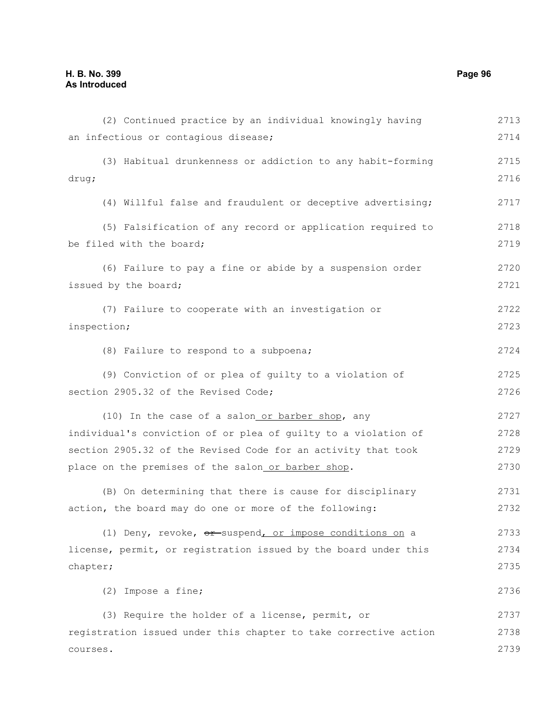(2) Continued practice by an individual knowingly having an infectious or contagious disease; (3) Habitual drunkenness or addiction to any habit-forming drug; (4) Willful false and fraudulent or deceptive advertising; (5) Falsification of any record or application required to be filed with the board; (6) Failure to pay a fine or abide by a suspension order issued by the board; (7) Failure to cooperate with an investigation or inspection; (8) Failure to respond to a subpoena; (9) Conviction of or plea of guilty to a violation of section 2905.32 of the Revised Code; (10) In the case of a salon or barber shop, any individual's conviction of or plea of guilty to a violation of section 2905.32 of the Revised Code for an activity that took place on the premises of the salon or barber shop. (B) On determining that there is cause for disciplinary action, the board may do one or more of the following: (1) Deny, revoke,  $\sigma$ r-suspend, or impose conditions on a license, permit, or registration issued by the board under this chapter; (2) Impose a fine; (3) Require the holder of a license, permit, or 2713 2714 2715 2716 2717 2718 2719 2720 2721 2722 2723 2724 2725 2726 2727 2728 2729 2730 2731 2732 2733 2734 2735 2736 2737

registration issued under this chapter to take corrective action courses. 2738 2739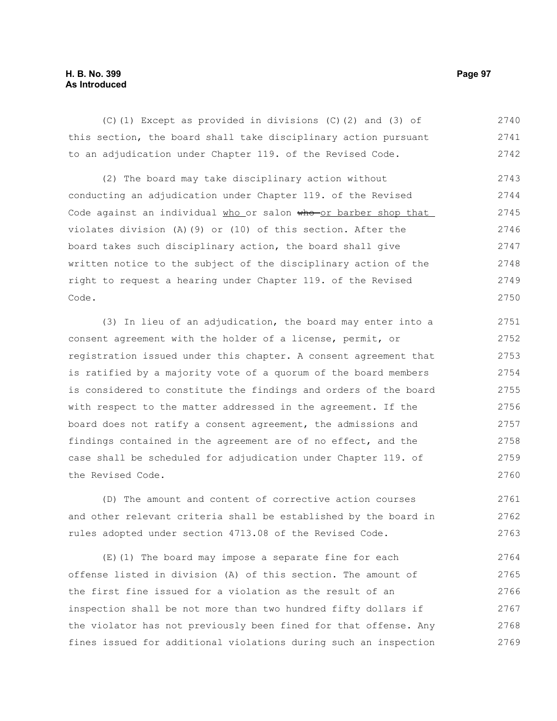## **H. B. No. 399 Page 97 As Introduced**

(C)(1) Except as provided in divisions (C)(2) and (3) of this section, the board shall take disciplinary action pursuant to an adjudication under Chapter 119. of the Revised Code. 2740 2741 2742

(2) The board may take disciplinary action without conducting an adjudication under Chapter 119. of the Revised Code against an individual who or salon who or barber shop that violates division (A)(9) or (10) of this section. After the board takes such disciplinary action, the board shall give written notice to the subject of the disciplinary action of the right to request a hearing under Chapter 119. of the Revised Code. 2743 2744 2745 2746 2747 2748 2749 2750

(3) In lieu of an adjudication, the board may enter into a consent agreement with the holder of a license, permit, or registration issued under this chapter. A consent agreement that is ratified by a majority vote of a quorum of the board members is considered to constitute the findings and orders of the board with respect to the matter addressed in the agreement. If the board does not ratify a consent agreement, the admissions and findings contained in the agreement are of no effect, and the case shall be scheduled for adjudication under Chapter 119. of the Revised Code. 2751 2752 2753 2754 2755 2756 2757 2758 2759 2760

(D) The amount and content of corrective action courses and other relevant criteria shall be established by the board in rules adopted under section 4713.08 of the Revised Code. 2761 2762 2763

(E)(1) The board may impose a separate fine for each offense listed in division (A) of this section. The amount of the first fine issued for a violation as the result of an inspection shall be not more than two hundred fifty dollars if the violator has not previously been fined for that offense. Any fines issued for additional violations during such an inspection 2764 2765 2766 2767 2768 2769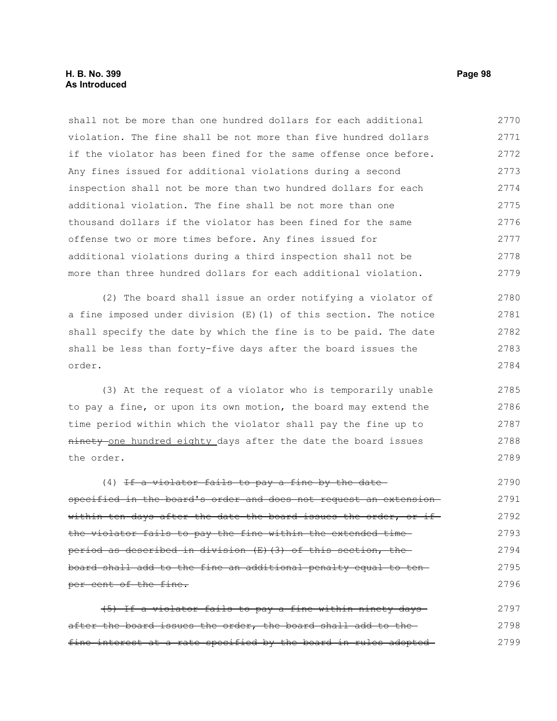shall not be more than one hundred dollars for each additional violation. The fine shall be not more than five hundred dollars if the violator has been fined for the same offense once before. Any fines issued for additional violations during a second inspection shall not be more than two hundred dollars for each additional violation. The fine shall be not more than one thousand dollars if the violator has been fined for the same offense two or more times before. Any fines issued for additional violations during a third inspection shall not be more than three hundred dollars for each additional violation. 2770 2771 2772 2773 2774 2775 2776 2777 2778 2779

(2) The board shall issue an order notifying a violator of a fine imposed under division (E)(1) of this section. The notice shall specify the date by which the fine is to be paid. The date shall be less than forty-five days after the board issues the order. 2780 2781 2782 2783 2784

(3) At the request of a violator who is temporarily unable to pay a fine, or upon its own motion, the board may extend the time period within which the violator shall pay the fine up to ninety-one hundred eighty days after the date the board issues the order. 2785 2786 2787 2788 2789

(4) If a violator fails to pay a fine by the datespecified in the board's order and does not request an extension within ten days after the date the board issues the order, or ifthe violator fails to pay the fine within the extended time period as described in division (E)(3) of this section, the board shall add to the fine an additional penalty equal to ten per cent of the fine. 2790 2791 2792 2793 2794 2795 2796

(5) If a violator fails to pay a fine within ninety days after the board issues the order, the board shall add to the fine interest at a rate specified by the board in rules adopted 2797 2798 2799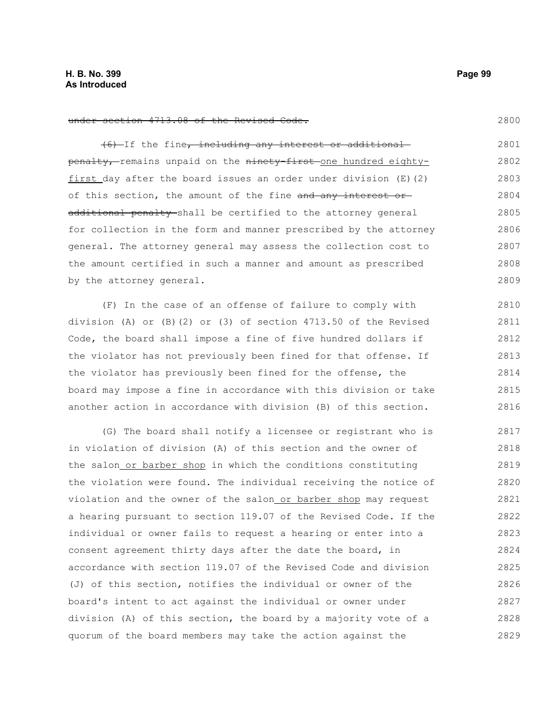under section 4713.08 of the Revised Code.

(6) If the fine, including any interest or additional penalty, remains unpaid on the ninety-first one hundred eightyfirst day after the board issues an order under division  $(E)$  (2) of this section, the amount of the fine and any interest or additional penalty-shall be certified to the attorney general for collection in the form and manner prescribed by the attorney general. The attorney general may assess the collection cost to the amount certified in such a manner and amount as prescribed by the attorney general. 2801 2802 2803 2804 2805 2806 2807 2808 2809

(F) In the case of an offense of failure to comply with division (A) or (B)(2) or (3) of section 4713.50 of the Revised Code, the board shall impose a fine of five hundred dollars if the violator has not previously been fined for that offense. If the violator has previously been fined for the offense, the board may impose a fine in accordance with this division or take another action in accordance with division (B) of this section. 2810 2811 2812 2813 2814 2815 2816

(G) The board shall notify a licensee or registrant who is in violation of division (A) of this section and the owner of the salon or barber shop in which the conditions constituting the violation were found. The individual receiving the notice of violation and the owner of the salon or barber shop may request a hearing pursuant to section 119.07 of the Revised Code. If the individual or owner fails to request a hearing or enter into a consent agreement thirty days after the date the board, in accordance with section 119.07 of the Revised Code and division (J) of this section, notifies the individual or owner of the board's intent to act against the individual or owner under division (A) of this section, the board by a majority vote of a quorum of the board members may take the action against the 2817 2818 2819 2820 2821 2822 2823 2824 2825 2826 2827 2828 2829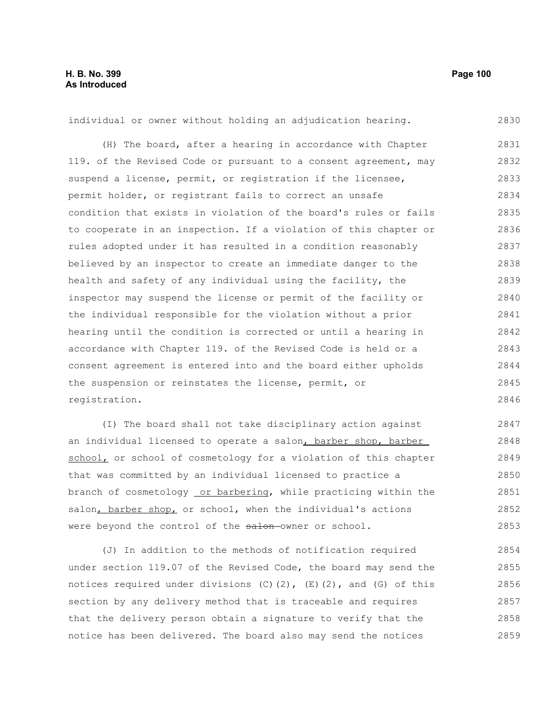2830

individual or owner without holding an adjudication hearing.

(H) The board, after a hearing in accordance with Chapter 119. of the Revised Code or pursuant to a consent agreement, may suspend a license, permit, or registration if the licensee, permit holder, or registrant fails to correct an unsafe condition that exists in violation of the board's rules or fails to cooperate in an inspection. If a violation of this chapter or rules adopted under it has resulted in a condition reasonably believed by an inspector to create an immediate danger to the health and safety of any individual using the facility, the inspector may suspend the license or permit of the facility or the individual responsible for the violation without a prior hearing until the condition is corrected or until a hearing in accordance with Chapter 119. of the Revised Code is held or a consent agreement is entered into and the board either upholds the suspension or reinstates the license, permit, or registration. 2831 2832 2833 2834 2835 2836 2837 2838 2839 2840 2841 2842 2843 2844 2845 2846

(I) The board shall not take disciplinary action against an individual licensed to operate a salon, barber shop, barber school, or school of cosmetology for a violation of this chapter that was committed by an individual licensed to practice a branch of cosmetology or barbering, while practicing within the salon, barber shop, or school, when the individual's actions were beyond the control of the salon-owner or school. 2847 2848 2849 2850 2851 2852 2853

(J) In addition to the methods of notification required under section 119.07 of the Revised Code, the board may send the notices required under divisions  $(C)(2)$ ,  $(E)(2)$ , and  $(G)$  of this section by any delivery method that is traceable and requires that the delivery person obtain a signature to verify that the notice has been delivered. The board also may send the notices 2854 2855 2856 2857 2858 2859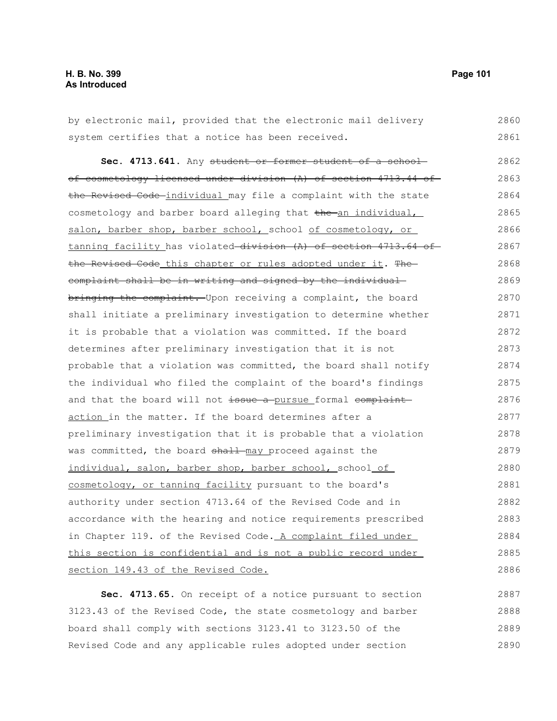## **H. B. No. 399 Page 101 As Introduced**

| by electronic mail, provided that the electronic mail delivery   | 2860 |
|------------------------------------------------------------------|------|
| system certifies that a notice has been received.                | 2861 |
| Sec. 4713.641. Any student or former student of a school-        | 2862 |
| of cosmetology licensed under division (A) of section 4713.44 of | 2863 |
| the Revised Code-individual may file a complaint with the state  | 2864 |
| cosmetology and barber board alleging that the an individual,    | 2865 |
| salon, barber shop, barber school, school of cosmetology, or     | 2866 |
| tanning facility has violated division (A) of section 4713.64 of | 2867 |
| the Revised Code this chapter or rules adopted under it. The     | 2868 |
| complaint shall be in writing and signed by the individual       | 2869 |
| bringing the complaint. Upon receiving a complaint, the board    | 2870 |
| shall initiate a preliminary investigation to determine whether  | 2871 |
| it is probable that a violation was committed. If the board      | 2872 |
| determines after preliminary investigation that it is not        | 2873 |
| probable that a violation was committed, the board shall notify  | 2874 |
| the individual who filed the complaint of the board's findings   | 2875 |
| and that the board will not issue a pursue formal complaint      | 2876 |
| action in the matter. If the board determines after a            | 2877 |
| preliminary investigation that it is probable that a violation   | 2878 |
| was committed, the board shall may proceed against the           | 2879 |
| individual, salon, barber shop, barber school, school of         | 2880 |
| cosmetology, or tanning facility pursuant to the board's         | 2881 |
| authority under section 4713.64 of the Revised Code and in       | 2882 |
| accordance with the hearing and notice requirements prescribed   | 2883 |
| in Chapter 119. of the Revised Code. A complaint filed under     | 2884 |
| this section is confidential and is not a public record under    | 2885 |
| section 149.43 of the Revised Code.                              | 2886 |

**Sec. 4713.65.** On receipt of a notice pursuant to section 3123.43 of the Revised Code, the state cosmetology and barber board shall comply with sections 3123.41 to 3123.50 of the Revised Code and any applicable rules adopted under section 2887 2888 2889 2890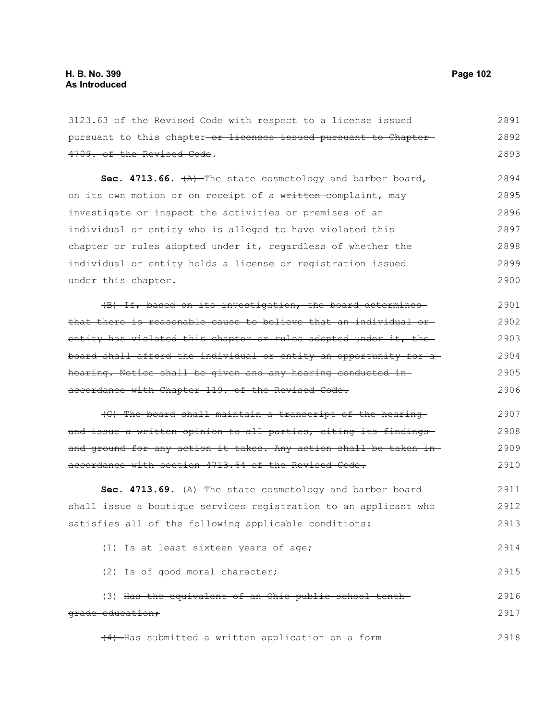| 3123.63 of the Revised Code with respect to a license issued      | 2891 |
|-------------------------------------------------------------------|------|
| pursuant to this chapter-or-licenses issued pursuant to Chapter-  | 2892 |
| 4709. of the Revised Code.                                        | 2893 |
| Sec. 4713.66. $(A)$ The state cosmetology and barber board,       | 2894 |
| on its own motion or on receipt of a written-complaint, may       | 2895 |
| investigate or inspect the activities or premises of an           | 2896 |
| individual or entity who is alleged to have violated this         | 2897 |
| chapter or rules adopted under it, regardless of whether the      | 2898 |
| individual or entity holds a license or registration issued       | 2899 |
| under this chapter.                                               | 2900 |
| (B) If, based on its investigation, the board determines          | 2901 |
| that there is reasonable cause to believe that an individual or-  | 2902 |
| entity has violated this chapter or rules adopted under it, the   | 2903 |
| board shall afford the individual or entity an opportunity for a  | 2904 |
| hearing. Notice shall be given and any hearing conducted in-      | 2905 |
| accordance with Chapter 119. of the Revised Code.                 | 2906 |
| (C) The board shall maintain a transcript of the hearing          | 2907 |
| and issue a written opinion to all parties, citing its findings-  | 2908 |
| and ground for any action it takes. Any action shall be taken in- | 2909 |
| accordance with section 4713.64 of the Revised Code.              | 2910 |
| Sec. 4713.69. (A) The state cosmetology and barber board          | 2911 |
| shall issue a boutique services registration to an applicant who  | 2912 |
| satisfies all of the following applicable conditions:             | 2913 |
| (1) Is at least sixteen years of age;                             | 2914 |
| (2) Is of good moral character;                                   | 2915 |
| (3) Has the equivalent of an Ohio public school tenth-            | 2916 |
| grade education;                                                  |      |
|                                                                   | 2917 |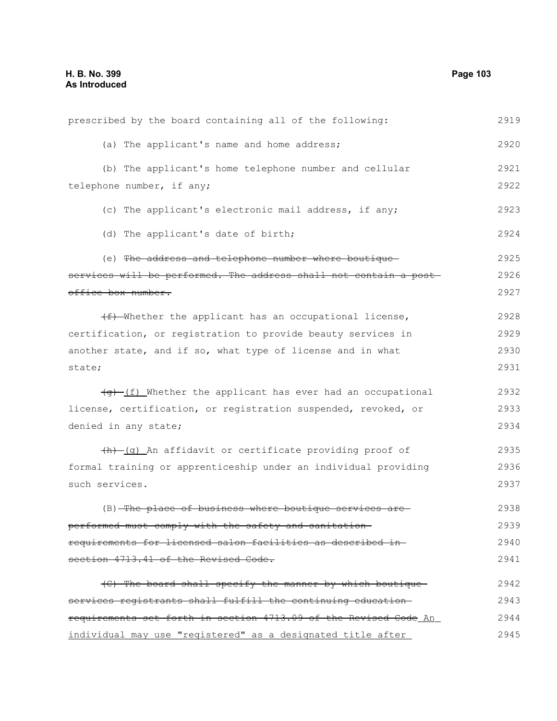prescribed by the board containing all of the following: (a) The applicant's name and home address; (b) The applicant's home telephone number and cellular telephone number, if any; (c) The applicant's electronic mail address, if any; (d) The applicant's date of birth; (e) The address and telephone number where boutique services will be performed. The address shall not contain a postoffice box number.  $(f)$  Whether the applicant has an occupational license, certification, or registration to provide beauty services in another state, and if so, what type of license and in what state;  $\frac{f(g) - f(f)}{g}$  Whether the applicant has ever had an occupational license, certification, or registration suspended, revoked, or denied in any state;  $(h)$  (q) An affidavit or certificate providing proof of formal training or apprenticeship under an individual providing such services.  $(B)$ -The place of business where boutique services areperformed must comply with the safety and sanitation requirements for licensed salon facilities as described in section 4713.41 of the Revised Code. (C) The board shall specify the manner by which boutique services registrants shall fulfill the continuing education requirements set forth in section 4713.09 of the Revised Code An individual may use "registered" as a designated title after 2919 2920 2921 2922 2923 2924 2925 2926 2927 2928 2929 2930 2931 2932 2933 2934 2935 2936 2937 2938 2939 2940 2941 2942 2943 2944 2945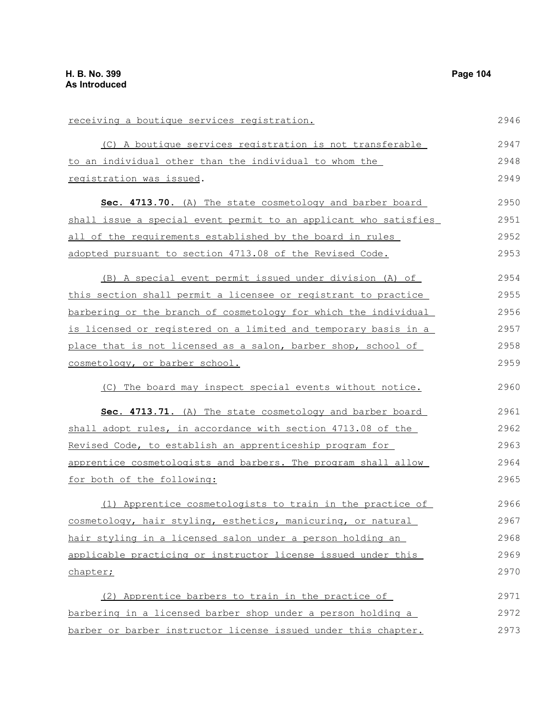receiving a boutique services registration. (C) A boutique services registration is not transferable to an individual other than the individual to whom the registration was issued. **Sec. 4713.70.** (A) The state cosmetology and barber board shall issue a special event permit to an applicant who satisfies all of the requirements established by the board in rules adopted pursuant to section 4713.08 of the Revised Code. (B) A special event permit issued under division (A) of this section shall permit a licensee or registrant to practice barbering or the branch of cosmetology for which the individual is licensed or registered on a limited and temporary basis in a place that is not licensed as a salon, barber shop, school of cosmetology, or barber school. (C) The board may inspect special events without notice. **Sec. 4713.71.** (A) The state cosmetology and barber board shall adopt rules, in accordance with section 4713.08 of the Revised Code, to establish an apprenticeship program for apprentice cosmetologists and barbers. The program shall allow for both of the following: (1) Apprentice cosmetologists to train in the practice of cosmetology, hair styling, esthetics, manicuring, or natural hair styling in a licensed salon under a person holding an applicable practicing or instructor license issued under this chapter; (2) Apprentice barbers to train in the practice of barbering in a licensed barber shop under a person holding a 2946 2947 2948 2949 2950 2951 2952 2953 2954 2955 2956 2957 2958 2959 2960 2961 2962 2963 2964 2965 2966 2967 2968 2969 2970 2971 2972

barber or barber instructor license issued under this chapter.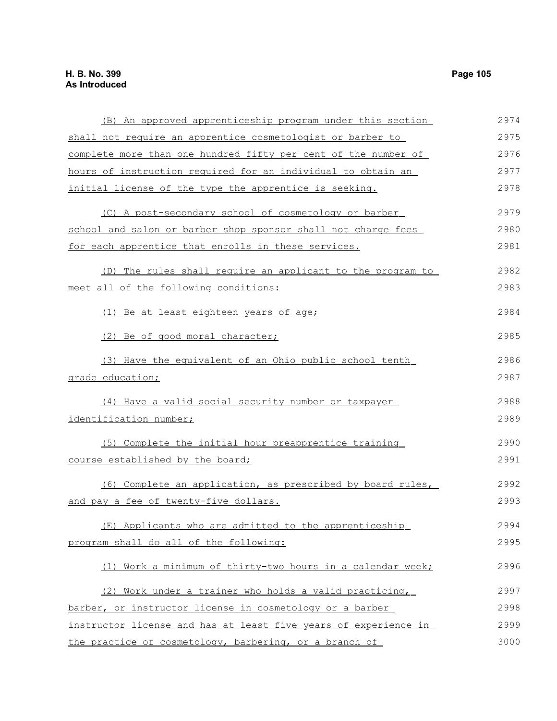| (B) An approved apprenticeship program under this section       | 2974 |
|-----------------------------------------------------------------|------|
| shall not require an apprentice cosmetologist or barber to      | 2975 |
| complete more than one hundred fifty per cent of the number of  | 2976 |
| hours of instruction required for an individual to obtain an    | 2977 |
| initial license of the type the apprentice is seeking.          | 2978 |
| (C) A post-secondary school of cosmetology or barber            | 2979 |
| school and salon or barber shop sponsor shall not charge fees   | 2980 |
| for each apprentice that enrolls in these services.             | 2981 |
| (D) The rules shall require an applicant to the program to      | 2982 |
| meet all of the following conditions:                           | 2983 |
| (1) Be at least eighteen years of age;                          | 2984 |
| (2) Be of good moral character;                                 | 2985 |
| (3) Have the equivalent of an Ohio public school tenth          | 2986 |
| grade education;                                                | 2987 |
| (4) Have a valid social security number or taxpayer             | 2988 |
| identification number;                                          | 2989 |
| (5) Complete the initial hour preapprentice training            | 2990 |
| course established by the board;                                | 2991 |
| (6) Complete an application, as prescribed by board rules,      | 2992 |
| and pay a fee of twenty-five dollars.                           | 2993 |
| (E) Applicants who are admitted to the apprenticeship           | 2994 |
| program shall do all of the following:                          | 2995 |
| (1) Work a minimum of thirty-two hours in a calendar week;      | 2996 |
| (2) Work under a trainer who holds a valid practicing,          | 2997 |
| barber, or instructor license in cosmetology or a barber        | 2998 |
| instructor license and has at least five years of experience in | 2999 |
| the practice of cosmetology, barbering, or a branch of          | 3000 |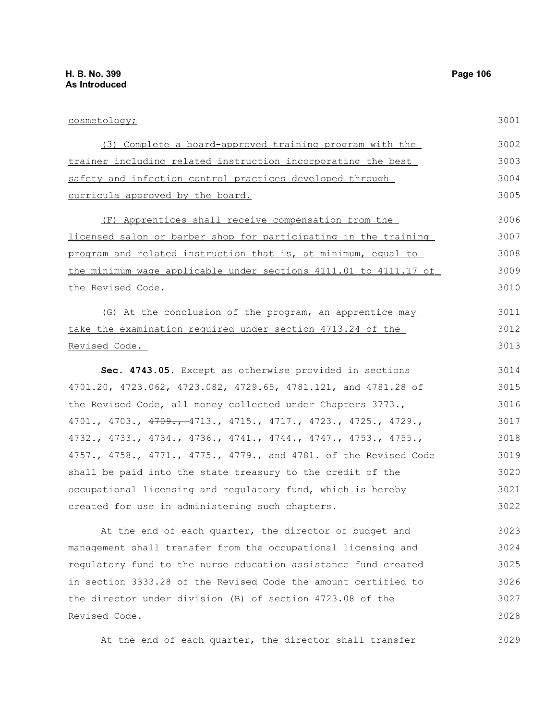cosmetology; (3) Complete a board-approved training program with the trainer including related instruction incorporating the best safety and infection control practices developed through curricula approved by the board. (F) Apprentices shall receive compensation from the licensed salon or barber shop for participating in the training program and related instruction that is, at minimum, equal to the minimum wage applicable under sections 4111.01 to 4111.17 of the Revised Code. (G) At the conclusion of the program, an apprentice may take the examination required under section 4713.24 of the Revised Code. **Sec. 4743.05.** Except as otherwise provided in sections 4701.20, 4723.062, 4723.082, 4729.65, 4781.121, and 4781.28 of the Revised Code, all money collected under Chapters 3773., 4701., 4703., 4709., 4713., 4715., 4717., 4723., 4725., 4729., 4732., 4733., 4734., 4736., 4741., 4744., 4747., 4753., 4755., 4757., 4758., 4771., 4775., 4779., and 4781. of the Revised Code shall be paid into the state treasury to the credit of the occupational licensing and regulatory fund, which is hereby created for use in administering such chapters. At the end of each quarter, the director of budget and management shall transfer from the occupational licensing and regulatory fund to the nurse education assistance fund created in section 3333.28 of the Revised Code the amount certified to the director under division (B) of section 4723.08 of the Revised Code. 3001 3002 3003 3004 3005 3006 3007 3008 3009 3010 3011 3012 3013 3014 3015 3016 3017 3018 3019 3020 3021 3022 3023 3024 3025 3026 3027 3028

At the end of each quarter, the director shall transfer 3029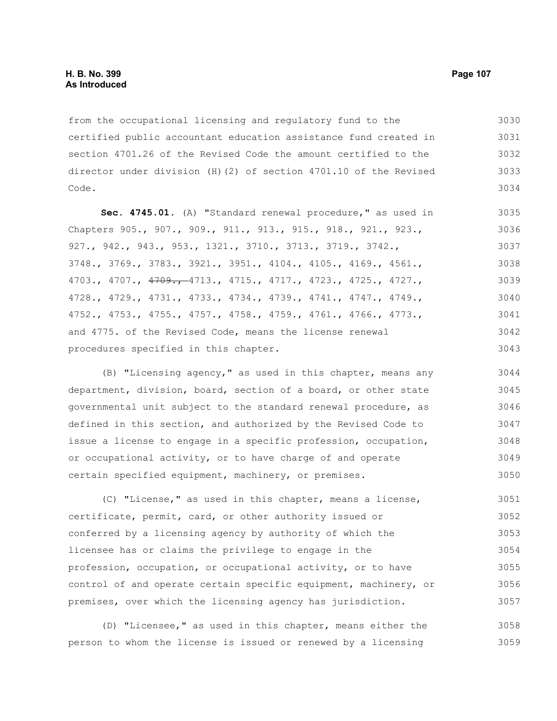from the occupational licensing and regulatory fund to the certified public accountant education assistance fund created in section 4701.26 of the Revised Code the amount certified to the director under division (H)(2) of section 4701.10 of the Revised Code. 3030 3031 3032 3033 3034

**Sec. 4745.01.** (A) "Standard renewal procedure," as used in Chapters 905., 907., 909., 911., 913., 915., 918., 921., 923., 927., 942., 943., 953., 1321., 3710., 3713., 3719., 3742., 3748., 3769., 3783., 3921., 3951., 4104., 4105., 4169., 4561., 4703., 4707., 4709., 4713., 4715., 4717., 4723., 4725., 4727., 4728., 4729., 4731., 4733., 4734., 4739., 4741., 4747., 4749., 4752., 4753., 4755., 4757., 4758., 4759., 4761., 4766., 4773., and 4775. of the Revised Code, means the license renewal procedures specified in this chapter. 3035 3036 3037 3038 3039 3040 3041 3042 3043

(B) "Licensing agency," as used in this chapter, means any department, division, board, section of a board, or other state governmental unit subject to the standard renewal procedure, as defined in this section, and authorized by the Revised Code to issue a license to engage in a specific profession, occupation, or occupational activity, or to have charge of and operate certain specified equipment, machinery, or premises. 3044 3045 3046 3047 3048 3049 3050

(C) "License," as used in this chapter, means a license, certificate, permit, card, or other authority issued or conferred by a licensing agency by authority of which the licensee has or claims the privilege to engage in the profession, occupation, or occupational activity, or to have control of and operate certain specific equipment, machinery, or premises, over which the licensing agency has jurisdiction. 3051 3052 3053 3054 3055 3056 3057

(D) "Licensee," as used in this chapter, means either the person to whom the license is issued or renewed by a licensing 3058 3059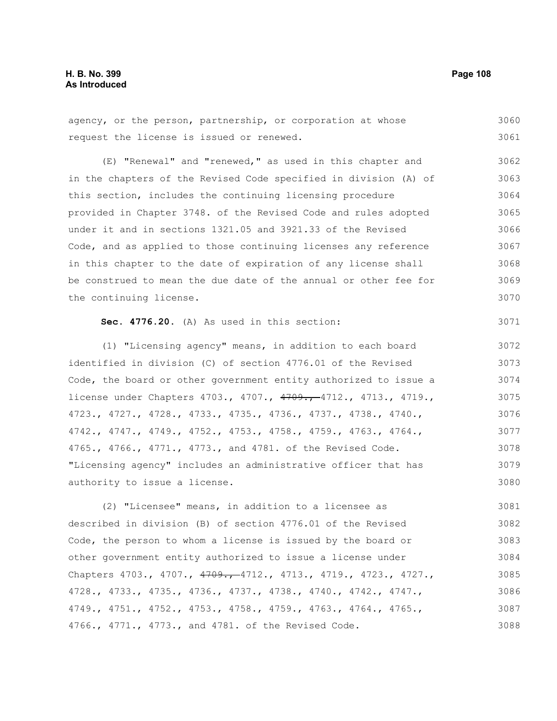#### agency, or the person, partnership, or corporation at whose request the license is issued or renewed. (E) "Renewal" and "renewed," as used in this chapter and in the chapters of the Revised Code specified in division (A) of this section, includes the continuing licensing procedure provided in Chapter 3748. of the Revised Code and rules adopted under it and in sections 1321.05 and 3921.33 of the Revised Code, and as applied to those continuing licenses any reference in this chapter to the date of expiration of any license shall be construed to mean the due date of the annual or other fee for the continuing license. **Sec. 4776.20.** (A) As used in this section: (1) "Licensing agency" means, in addition to each board identified in division (C) of section 4776.01 of the Revised Code, the board or other government entity authorized to issue a license under Chapters 4703., 4707., 4709., 4712., 4713., 4719., 4723., 4727., 4728., 4733., 4735., 4736., 4737., 4738., 4740., 4742., 4747., 4749., 4752., 4753., 4758., 4759., 4763., 4764., 4765., 4766., 4771., 4773., and 4781. of the Revised Code. "Licensing agency" includes an administrative officer that has authority to issue a license. (2) "Licensee" means, in addition to a licensee as described in division (B) of section 4776.01 of the Revised Code, the person to whom a license is issued by the board or other government entity authorized to issue a license under 3060 3061 3062 3063 3064 3065 3066 3067 3068 3069 3070 3071 3072 3073 3074 3075 3076 3077 3078 3079 3080 3081 3082 3083 3084

Chapters 4703., 4707., 4709., 4712., 4713., 4719., 4723., 4727., 4728., 4733., 4735., 4736., 4737., 4738., 4740., 4742., 4747., 4749., 4751., 4752., 4753., 4758., 4759., 4763., 4764., 4765., 4766., 4771., 4773., and 4781. of the Revised Code. 3085 3086 3087 3088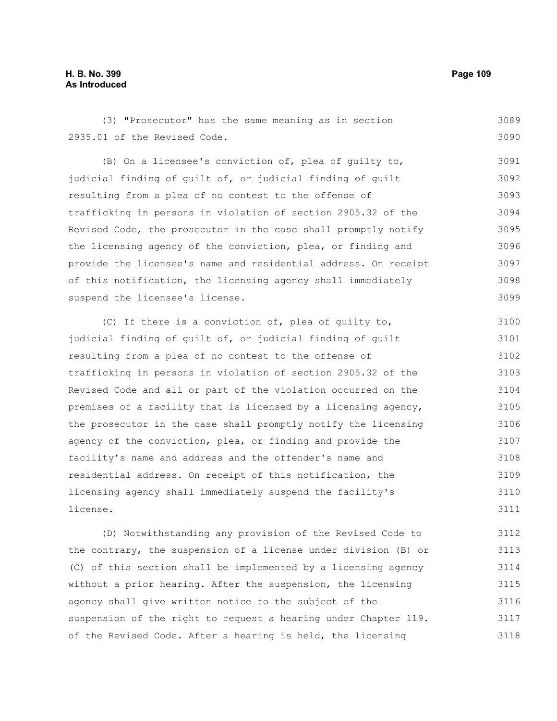## **H. B. No. 399 Page 109 As Introduced**

(3) "Prosecutor" has the same meaning as in section 2935.01 of the Revised Code. 3089 3090

(B) On a licensee's conviction of, plea of guilty to, judicial finding of guilt of, or judicial finding of guilt resulting from a plea of no contest to the offense of trafficking in persons in violation of section 2905.32 of the Revised Code, the prosecutor in the case shall promptly notify the licensing agency of the conviction, plea, or finding and provide the licensee's name and residential address. On receipt of this notification, the licensing agency shall immediately suspend the licensee's license. 3091 3092 3093 3094 3095 3096 3097 3098 3099

(C) If there is a conviction of, plea of guilty to, judicial finding of guilt of, or judicial finding of guilt resulting from a plea of no contest to the offense of trafficking in persons in violation of section 2905.32 of the Revised Code and all or part of the violation occurred on the premises of a facility that is licensed by a licensing agency, the prosecutor in the case shall promptly notify the licensing agency of the conviction, plea, or finding and provide the facility's name and address and the offender's name and residential address. On receipt of this notification, the licensing agency shall immediately suspend the facility's license. 3100 3101 3102 3103 3104 3105 3106 3107 3108 3109 3110 3111

(D) Notwithstanding any provision of the Revised Code to the contrary, the suspension of a license under division (B) or (C) of this section shall be implemented by a licensing agency without a prior hearing. After the suspension, the licensing agency shall give written notice to the subject of the suspension of the right to request a hearing under Chapter 119. of the Revised Code. After a hearing is held, the licensing 3112 3113 3114 3115 3116 3117 3118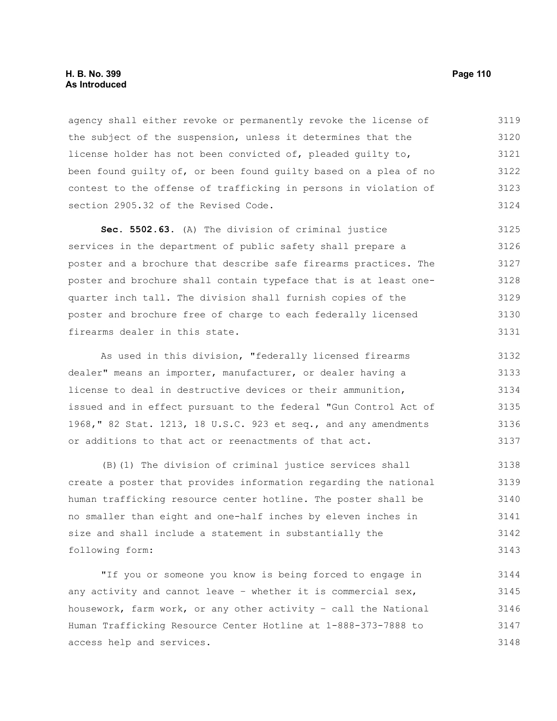## **H. B. No. 399 Page 110 As Introduced**

agency shall either revoke or permanently revoke the license of the subject of the suspension, unless it determines that the license holder has not been convicted of, pleaded guilty to, been found guilty of, or been found guilty based on a plea of no contest to the offense of trafficking in persons in violation of section 2905.32 of the Revised Code. 3119 3120 3121 3122 3123 3124

**Sec. 5502.63.** (A) The division of criminal justice services in the department of public safety shall prepare a poster and a brochure that describe safe firearms practices. The poster and brochure shall contain typeface that is at least onequarter inch tall. The division shall furnish copies of the poster and brochure free of charge to each federally licensed firearms dealer in this state. 3125 3126 3127 3128 3129 3130 3131

As used in this division, "federally licensed firearms dealer" means an importer, manufacturer, or dealer having a license to deal in destructive devices or their ammunition, issued and in effect pursuant to the federal "Gun Control Act of 1968," 82 Stat. 1213, 18 U.S.C. 923 et seq., and any amendments or additions to that act or reenactments of that act. 3132 3133 3134 3135 3136 3137

(B)(1) The division of criminal justice services shall create a poster that provides information regarding the national human trafficking resource center hotline. The poster shall be no smaller than eight and one-half inches by eleven inches in size and shall include a statement in substantially the following form: 3138 3139 3140 3141 3142 3143

"If you or someone you know is being forced to engage in any activity and cannot leave – whether it is commercial sex, housework, farm work, or any other activity – call the National Human Trafficking Resource Center Hotline at 1-888-373-7888 to access help and services. 3144 3145 3146 3147 3148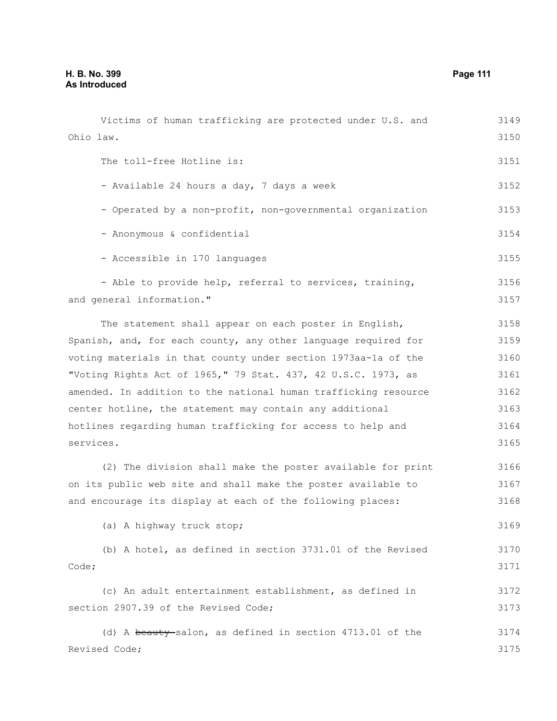| Victims of human trafficking are protected under U.S. and       | 3149 |
|-----------------------------------------------------------------|------|
| Ohio law.                                                       | 3150 |
| The toll-free Hotline is:                                       | 3151 |
| - Available 24 hours a day, 7 days a week                       | 3152 |
| - Operated by a non-profit, non-governmental organization       | 3153 |
| - Anonymous & confidential                                      | 3154 |
| - Accessible in 170 languages                                   | 3155 |
| - Able to provide help, referral to services, training,         | 3156 |
| and general information."                                       | 3157 |
| The statement shall appear on each poster in English,           | 3158 |
| Spanish, and, for each county, any other language required for  | 3159 |
| voting materials in that county under section 1973aa-la of the  | 3160 |
| "Voting Rights Act of 1965," 79 Stat. 437, 42 U.S.C. 1973, as   | 3161 |
| amended. In addition to the national human trafficking resource | 3162 |
| center hotline, the statement may contain any additional        | 3163 |
| hotlines regarding human trafficking for access to help and     | 3164 |
| services.                                                       | 3165 |
| (2) The division shall make the poster available for print      | 3166 |
| on its public web site and shall make the poster available to   | 3167 |
| and encourage its display at each of the following places:      | 3168 |
| (a) A highway truck stop;                                       | 3169 |
| (b) A hotel, as defined in section 3731.01 of the Revised       | 3170 |
| Code;                                                           | 3171 |
| (c) An adult entertainment establishment, as defined in         | 3172 |
| section 2907.39 of the Revised Code;                            | 3173 |
| (d) A beauty-salon, as defined in section 4713.01 of the        | 3174 |
| Revised Code;                                                   | 3175 |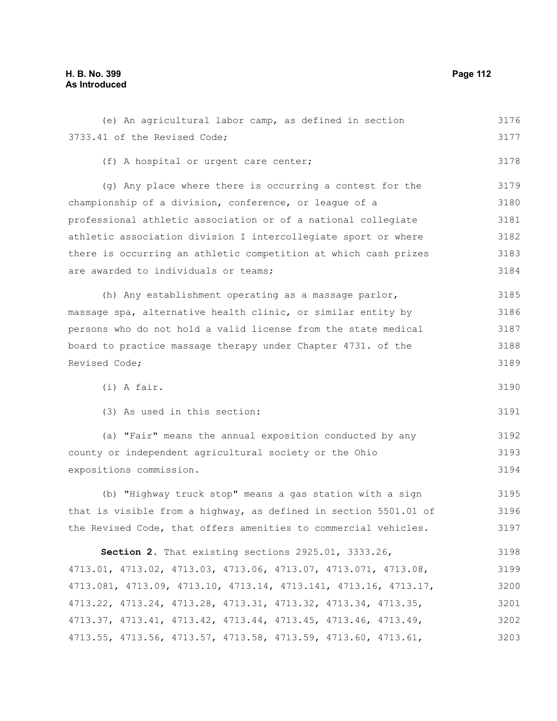(e) An agricultural labor camp, as defined in section 3733.41 of the Revised Code; (f) A hospital or urgent care center; (g) Any place where there is occurring a contest for the (h) Any establishment operating as a massage parlor, (i) A fair. (3) As used in this section: (a) "Fair" means the annual exposition conducted by any (b) "Highway truck stop" means a gas station with a sign **Section 2.** That existing sections 2925.01, 3333.26, 4713.01, 4713.02, 4713.03, 4713.06, 4713.07, 4713.071, 4713.08, 4713.081, 4713.09, 4713.10, 4713.14, 4713.141, 4713.16, 4713.17, 4713.22, 4713.24, 4713.28, 4713.31, 4713.32, 4713.34, 4713.35, 4713.37, 4713.41, 4713.42, 4713.44, 4713.45, 4713.46, 4713.49, 3176 3177 3178 3179 3180 3181 3182 3183 3184 3185 3186 3187 3188 3189 3190 3191 3192 3193 3194 3195 3196 3197 3198 3199 3200 3201 3202

championship of a division, conference, or league of a professional athletic association or of a national collegiate athletic association division I intercollegiate sport or where there is occurring an athletic competition at which cash prizes are awarded to individuals or teams;

massage spa, alternative health clinic, or similar entity by persons who do not hold a valid license from the state medical board to practice massage therapy under Chapter 4731. of the Revised Code;

county or independent agricultural society or the Ohio expositions commission.

that is visible from a highway, as defined in section 5501.01 of the Revised Code, that offers amenities to commercial vehicles.

4713.55, 4713.56, 4713.57, 4713.58, 4713.59, 4713.60, 4713.61,

3203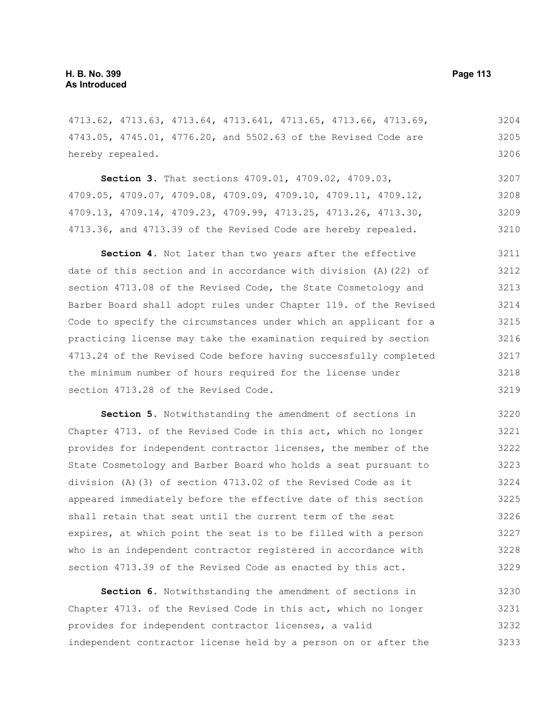4713.62, 4713.63, 4713.64, 4713.641, 4713.65, 4713.66, 4713.69, 4743.05, 4745.01, 4776.20, and 5502.63 of the Revised Code are hereby repealed. 3204 3205 3206

**Section 3.** That sections 4709.01, 4709.02, 4709.03, 4709.05, 4709.07, 4709.08, 4709.09, 4709.10, 4709.11, 4709.12, 4709.13, 4709.14, 4709.23, 4709.99, 4713.25, 4713.26, 4713.30, 4713.36, and 4713.39 of the Revised Code are hereby repealed. 3207 3208 3209 3210

**Section 4.** Not later than two years after the effective date of this section and in accordance with division (A)(22) of section 4713.08 of the Revised Code, the State Cosmetology and Barber Board shall adopt rules under Chapter 119. of the Revised Code to specify the circumstances under which an applicant for a practicing license may take the examination required by section 4713.24 of the Revised Code before having successfully completed the minimum number of hours required for the license under section 4713.28 of the Revised Code. 3211 3212 3213 3214 3215 3216 3217 3218 3219

**Section 5.** Notwithstanding the amendment of sections in Chapter 4713. of the Revised Code in this act, which no longer provides for independent contractor licenses, the member of the State Cosmetology and Barber Board who holds a seat pursuant to division (A)(3) of section 4713.02 of the Revised Code as it appeared immediately before the effective date of this section shall retain that seat until the current term of the seat expires, at which point the seat is to be filled with a person who is an independent contractor registered in accordance with section 4713.39 of the Revised Code as enacted by this act. 3220 3221 3222 3223 3224 3225 3226 3227 3228 3229

**Section 6.** Notwithstanding the amendment of sections in Chapter 4713. of the Revised Code in this act, which no longer provides for independent contractor licenses, a valid independent contractor license held by a person on or after the 3230 3231 3232 3233